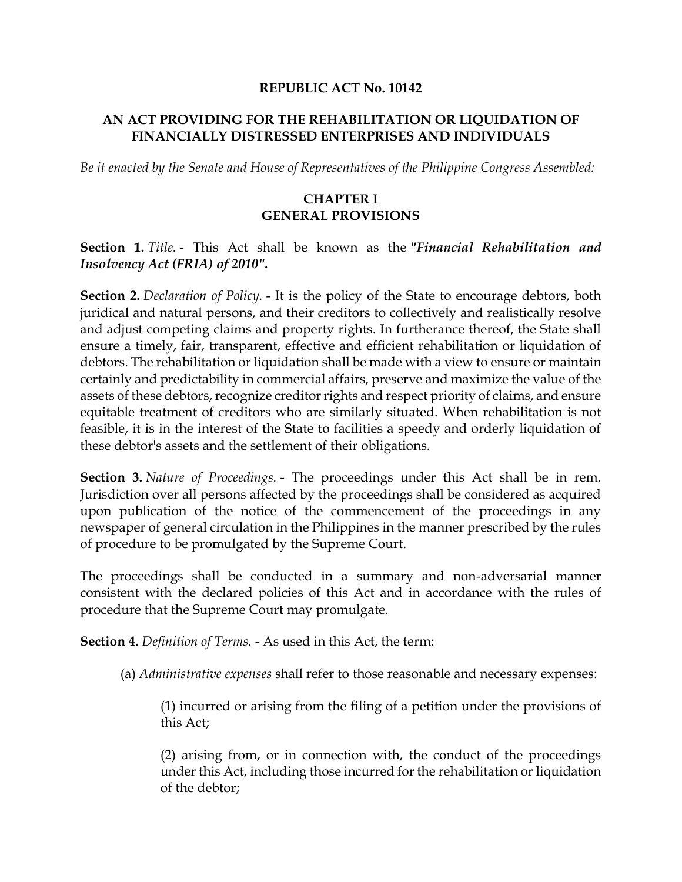#### **REPUBLIC ACT No. 10142**

#### **AN ACT PROVIDING FOR THE REHABILITATION OR LIQUIDATION OF FINANCIALLY DISTRESSED ENTERPRISES AND INDIVIDUALS**

*Be it enacted by the Senate and House of Representatives of the Philippine Congress Assembled:*

#### **CHAPTER I GENERAL PROVISIONS**

#### **Section 1.** *Title.* - This Act shall be known as the *"Financial Rehabilitation and Insolvency Act (FRIA) of 2010".*

**Section 2.** *Declaration of Policy.* - It is the policy of the State to encourage debtors, both juridical and natural persons, and their creditors to collectively and realistically resolve and adjust competing claims and property rights. In furtherance thereof, the State shall ensure a timely, fair, transparent, effective and efficient rehabilitation or liquidation of debtors. The rehabilitation or liquidation shall be made with a view to ensure or maintain certainly and predictability in commercial affairs, preserve and maximize the value of the assets of these debtors, recognize creditor rights and respect priority of claims, and ensure equitable treatment of creditors who are similarly situated. When rehabilitation is not feasible, it is in the interest of the State to facilities a speedy and orderly liquidation of these debtor's assets and the settlement of their obligations.

**Section 3.** *Nature of Proceedings.* - The proceedings under this Act shall be in rem. Jurisdiction over all persons affected by the proceedings shall be considered as acquired upon publication of the notice of the commencement of the proceedings in any newspaper of general circulation in the Philippines in the manner prescribed by the rules of procedure to be promulgated by the Supreme Court.

The proceedings shall be conducted in a summary and non-adversarial manner consistent with the declared policies of this Act and in accordance with the rules of procedure that the Supreme Court may promulgate.

**Section 4.** *Definition of Terms.* - As used in this Act, the term:

(a) *Administrative expenses* shall refer to those reasonable and necessary expenses:

(1) incurred or arising from the filing of a petition under the provisions of this Act;

(2) arising from, or in connection with, the conduct of the proceedings under this Act, including those incurred for the rehabilitation or liquidation of the debtor;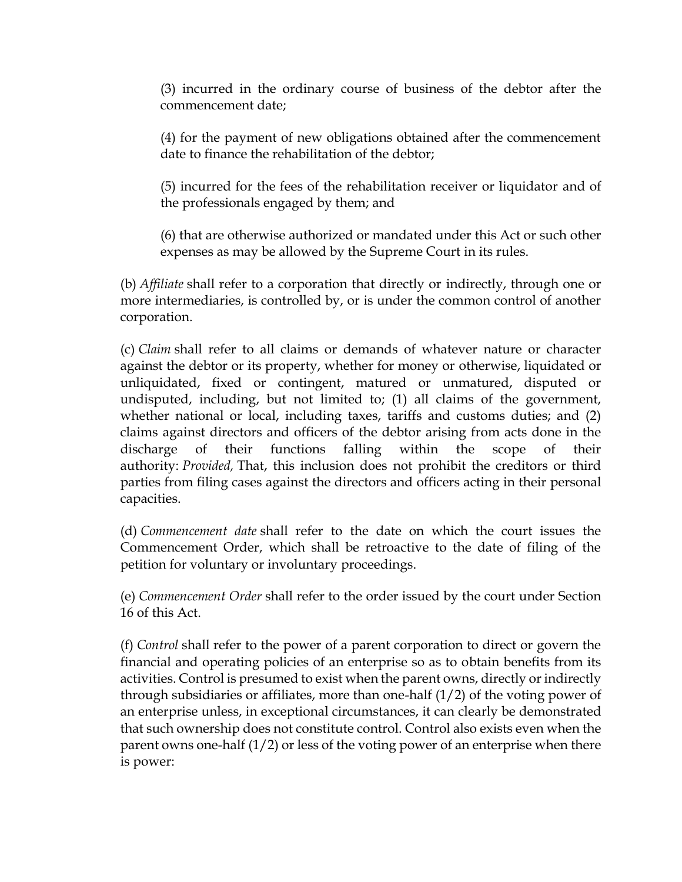(3) incurred in the ordinary course of business of the debtor after the commencement date;

(4) for the payment of new obligations obtained after the commencement date to finance the rehabilitation of the debtor;

(5) incurred for the fees of the rehabilitation receiver or liquidator and of the professionals engaged by them; and

(6) that are otherwise authorized or mandated under this Act or such other expenses as may be allowed by the Supreme Court in its rules.

(b) *Affiliate* shall refer to a corporation that directly or indirectly, through one or more intermediaries, is controlled by, or is under the common control of another corporation.

(c) *Claim* shall refer to all claims or demands of whatever nature or character against the debtor or its property, whether for money or otherwise, liquidated or unliquidated, fixed or contingent, matured or unmatured, disputed or undisputed, including, but not limited to; (1) all claims of the government, whether national or local, including taxes, tariffs and customs duties; and (2) claims against directors and officers of the debtor arising from acts done in the discharge of their functions falling within the scope of their authority: *Provided,* That, this inclusion does not prohibit the creditors or third parties from filing cases against the directors and officers acting in their personal capacities.

(d) *Commencement date* shall refer to the date on which the court issues the Commencement Order, which shall be retroactive to the date of filing of the petition for voluntary or involuntary proceedings.

(e) *Commencement Order* shall refer to the order issued by the court under Section 16 of this Act.

(f) *Control* shall refer to the power of a parent corporation to direct or govern the financial and operating policies of an enterprise so as to obtain benefits from its activities. Control is presumed to exist when the parent owns, directly or indirectly through subsidiaries or affiliates, more than one-half (1/2) of the voting power of an enterprise unless, in exceptional circumstances, it can clearly be demonstrated that such ownership does not constitute control. Control also exists even when the parent owns one-half (1/2) or less of the voting power of an enterprise when there is power: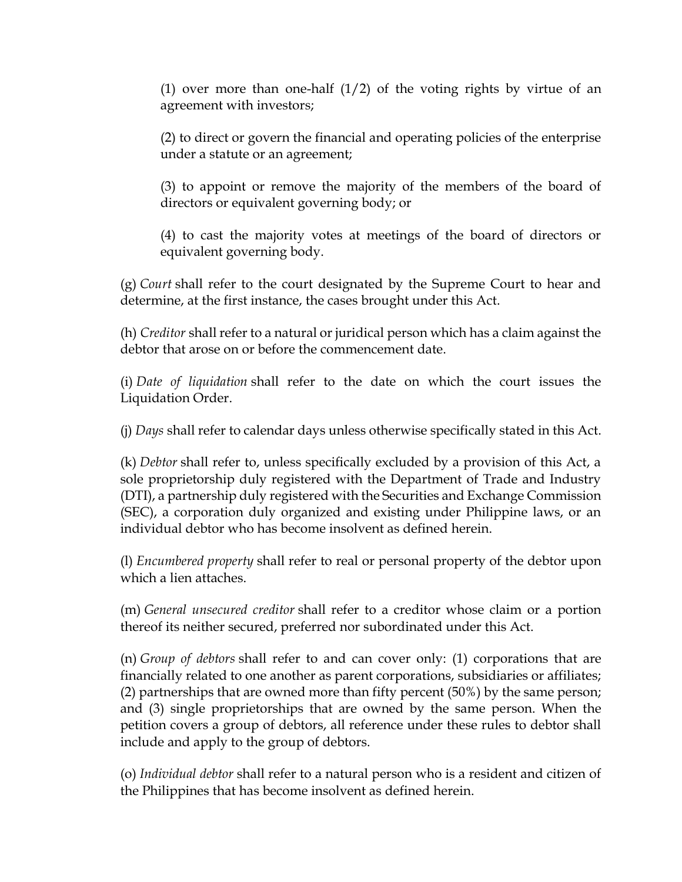(1) over more than one-half  $(1/2)$  of the voting rights by virtue of an agreement with investors;

(2) to direct or govern the financial and operating policies of the enterprise under a statute or an agreement;

(3) to appoint or remove the majority of the members of the board of directors or equivalent governing body; or

(4) to cast the majority votes at meetings of the board of directors or equivalent governing body.

(g) *Court* shall refer to the court designated by the Supreme Court to hear and determine, at the first instance, the cases brought under this Act.

(h) *Creditor* shall refer to a natural or juridical person which has a claim against the debtor that arose on or before the commencement date.

(i) *Date of liquidation* shall refer to the date on which the court issues the Liquidation Order.

(j) *Days* shall refer to calendar days unless otherwise specifically stated in this Act.

(k) *Debtor* shall refer to, unless specifically excluded by a provision of this Act, a sole proprietorship duly registered with the Department of Trade and Industry (DTI), a partnership duly registered with the Securities and Exchange Commission (SEC), a corporation duly organized and existing under Philippine laws, or an individual debtor who has become insolvent as defined herein.

(l) *Encumbered property* shall refer to real or personal property of the debtor upon which a lien attaches.

(m) *General unsecured creditor* shall refer to a creditor whose claim or a portion thereof its neither secured, preferred nor subordinated under this Act.

(n) *Group of debtors* shall refer to and can cover only: (1) corporations that are financially related to one another as parent corporations, subsidiaries or affiliates; (2) partnerships that are owned more than fifty percent (50%) by the same person; and (3) single proprietorships that are owned by the same person. When the petition covers a group of debtors, all reference under these rules to debtor shall include and apply to the group of debtors.

(o) *Individual debtor* shall refer to a natural person who is a resident and citizen of the Philippines that has become insolvent as defined herein.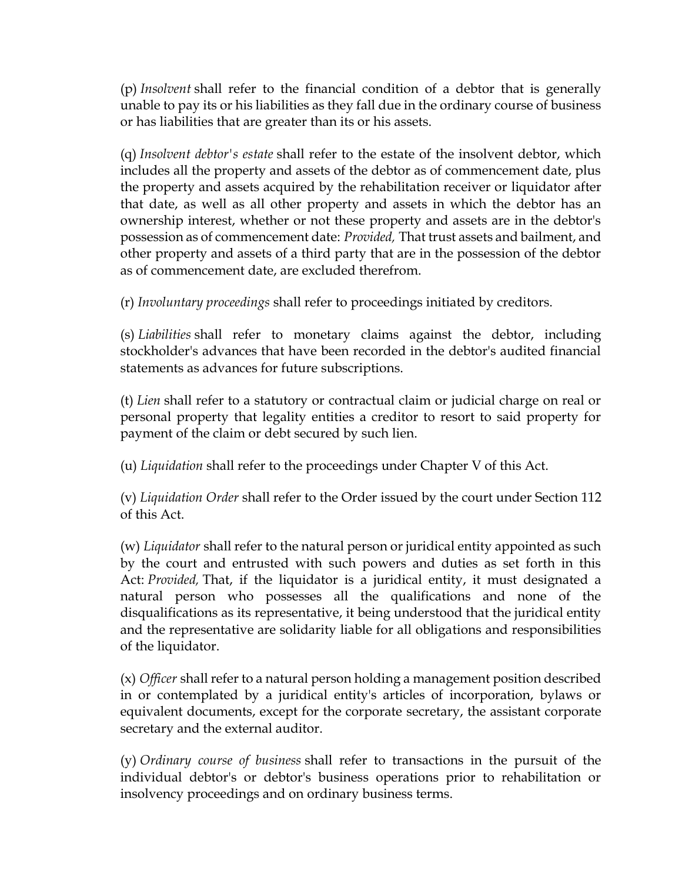(p) *Insolvent* shall refer to the financial condition of a debtor that is generally unable to pay its or his liabilities as they fall due in the ordinary course of business or has liabilities that are greater than its or his assets.

(q) *Insolvent debtor's estate* shall refer to the estate of the insolvent debtor, which includes all the property and assets of the debtor as of commencement date, plus the property and assets acquired by the rehabilitation receiver or liquidator after that date, as well as all other property and assets in which the debtor has an ownership interest, whether or not these property and assets are in the debtor's possession as of commencement date: *Provided,* That trust assets and bailment, and other property and assets of a third party that are in the possession of the debtor as of commencement date, are excluded therefrom.

(r) *Involuntary proceedings* shall refer to proceedings initiated by creditors.

(s) *Liabilities* shall refer to monetary claims against the debtor, including stockholder's advances that have been recorded in the debtor's audited financial statements as advances for future subscriptions.

(t) *Lien* shall refer to a statutory or contractual claim or judicial charge on real or personal property that legality entities a creditor to resort to said property for payment of the claim or debt secured by such lien.

(u) *Liquidation* shall refer to the proceedings under Chapter V of this Act.

(v) *Liquidation Order* shall refer to the Order issued by the court under Section 112 of this Act.

(w) *Liquidator* shall refer to the natural person or juridical entity appointed as such by the court and entrusted with such powers and duties as set forth in this Act: *Provided,* That, if the liquidator is a juridical entity, it must designated a natural person who possesses all the qualifications and none of the disqualifications as its representative, it being understood that the juridical entity and the representative are solidarity liable for all obligations and responsibilities of the liquidator.

(x) *Officer* shall refer to a natural person holding a management position described in or contemplated by a juridical entity's articles of incorporation, bylaws or equivalent documents, except for the corporate secretary, the assistant corporate secretary and the external auditor.

(y) *Ordinary course of business* shall refer to transactions in the pursuit of the individual debtor's or debtor's business operations prior to rehabilitation or insolvency proceedings and on ordinary business terms.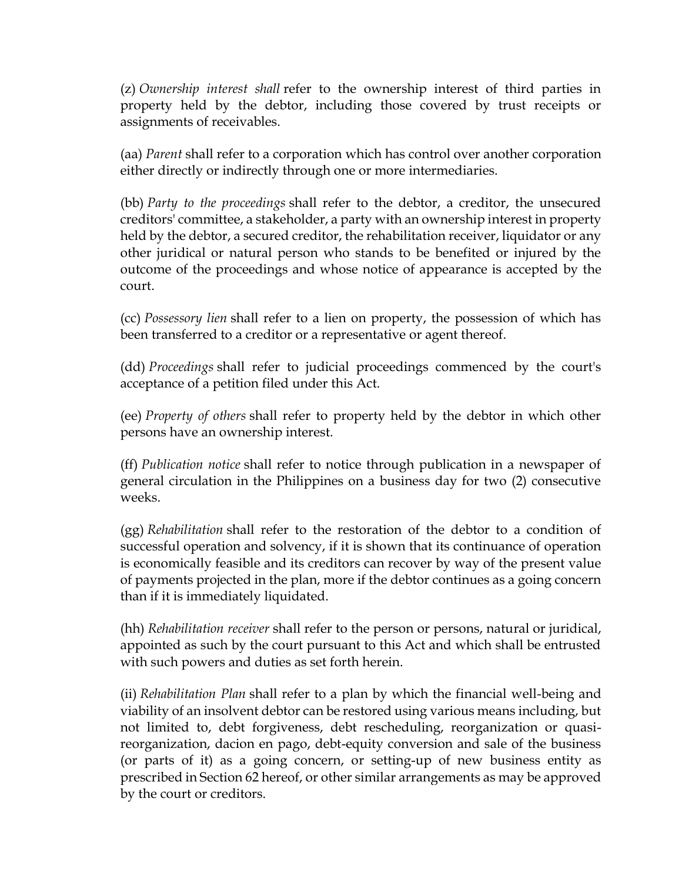(z) *Ownership interest shall* refer to the ownership interest of third parties in property held by the debtor, including those covered by trust receipts or assignments of receivables.

(aa) *Parent* shall refer to a corporation which has control over another corporation either directly or indirectly through one or more intermediaries.

(bb) *Party to the proceedings* shall refer to the debtor, a creditor, the unsecured creditors' committee, a stakeholder, a party with an ownership interest in property held by the debtor, a secured creditor, the rehabilitation receiver, liquidator or any other juridical or natural person who stands to be benefited or injured by the outcome of the proceedings and whose notice of appearance is accepted by the court.

(cc) *Possessory lien* shall refer to a lien on property, the possession of which has been transferred to a creditor or a representative or agent thereof.

(dd) *Proceedings* shall refer to judicial proceedings commenced by the court's acceptance of a petition filed under this Act.

(ee) *Property of others* shall refer to property held by the debtor in which other persons have an ownership interest.

(ff) *Publication notice* shall refer to notice through publication in a newspaper of general circulation in the Philippines on a business day for two (2) consecutive weeks.

(gg) *Rehabilitation* shall refer to the restoration of the debtor to a condition of successful operation and solvency, if it is shown that its continuance of operation is economically feasible and its creditors can recover by way of the present value of payments projected in the plan, more if the debtor continues as a going concern than if it is immediately liquidated.

(hh) *Rehabilitation receiver* shall refer to the person or persons, natural or juridical, appointed as such by the court pursuant to this Act and which shall be entrusted with such powers and duties as set forth herein.

(ii) *Rehabilitation Plan* shall refer to a plan by which the financial well-being and viability of an insolvent debtor can be restored using various means including, but not limited to, debt forgiveness, debt rescheduling, reorganization or quasireorganization, dacion en pago, debt-equity conversion and sale of the business (or parts of it) as a going concern, or setting-up of new business entity as prescribed in Section 62 hereof, or other similar arrangements as may be approved by the court or creditors.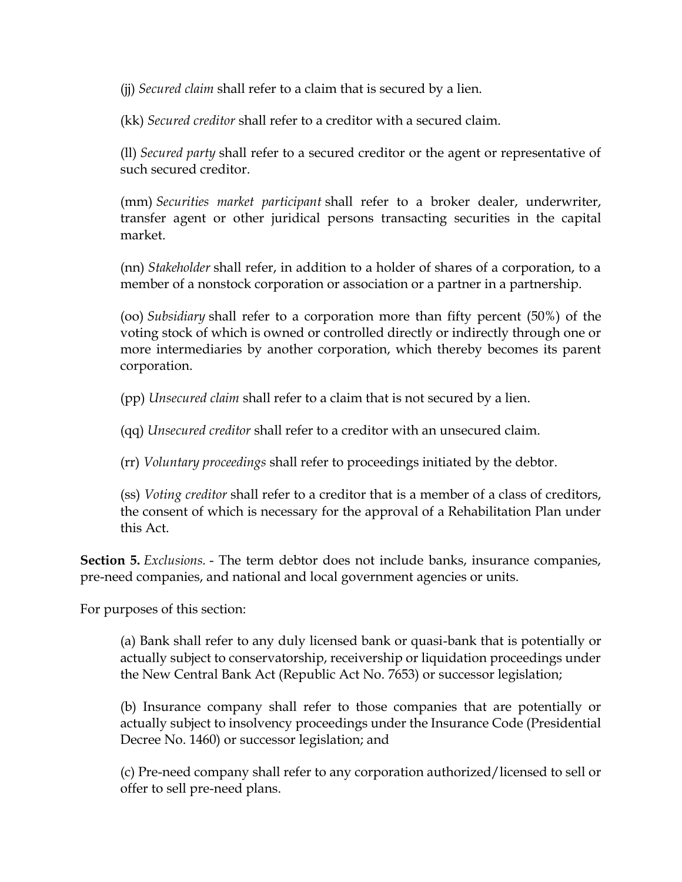(jj) *Secured claim* shall refer to a claim that is secured by a lien.

(kk) *Secured creditor* shall refer to a creditor with a secured claim.

(ll) *Secured party* shall refer to a secured creditor or the agent or representative of such secured creditor.

(mm) *Securities market participant* shall refer to a broker dealer, underwriter, transfer agent or other juridical persons transacting securities in the capital market.

(nn) *Stakeholder* shall refer, in addition to a holder of shares of a corporation, to a member of a nonstock corporation or association or a partner in a partnership.

(oo) *Subsidiary* shall refer to a corporation more than fifty percent (50%) of the voting stock of which is owned or controlled directly or indirectly through one or more intermediaries by another corporation, which thereby becomes its parent corporation.

(pp) *Unsecured claim* shall refer to a claim that is not secured by a lien.

(qq) *Unsecured creditor* shall refer to a creditor with an unsecured claim.

(rr) *Voluntary proceedings* shall refer to proceedings initiated by the debtor.

(ss) *Voting creditor* shall refer to a creditor that is a member of a class of creditors, the consent of which is necessary for the approval of a Rehabilitation Plan under this Act.

**Section 5.** *Exclusions.* - The term debtor does not include banks, insurance companies, pre-need companies, and national and local government agencies or units.

For purposes of this section:

(a) Bank shall refer to any duly licensed bank or quasi-bank that is potentially or actually subject to conservatorship, receivership or liquidation proceedings under the New Central Bank Act (Republic Act No. 7653) or successor legislation;

(b) Insurance company shall refer to those companies that are potentially or actually subject to insolvency proceedings under the Insurance Code (Presidential Decree No. 1460) or successor legislation; and

(c) Pre-need company shall refer to any corporation authorized/licensed to sell or offer to sell pre-need plans.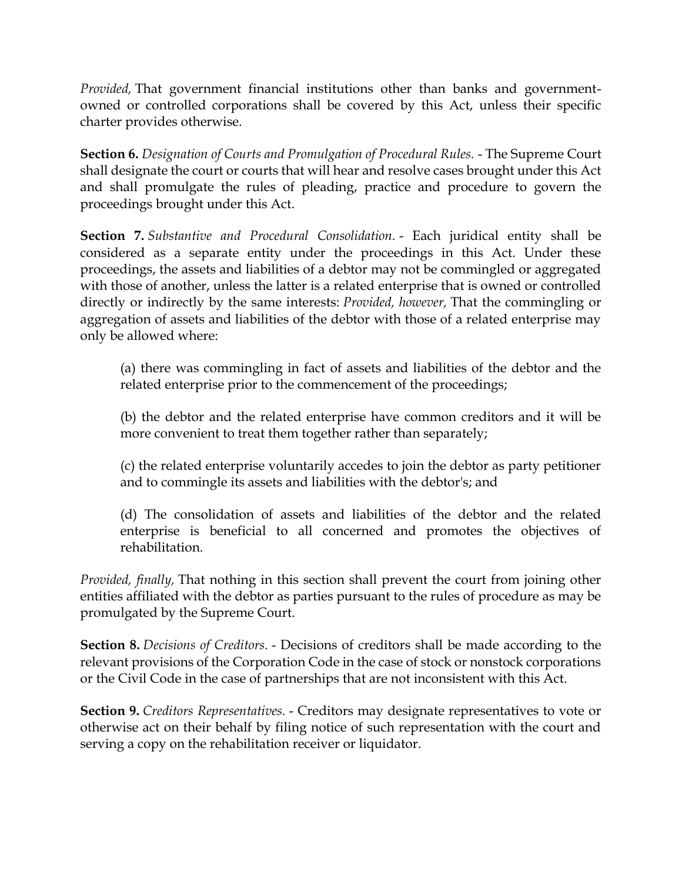*Provided,* That government financial institutions other than banks and governmentowned or controlled corporations shall be covered by this Act, unless their specific charter provides otherwise.

**Section 6.** *Designation of Courts and Promulgation of Procedural Rules.* - The Supreme Court shall designate the court or courts that will hear and resolve cases brought under this Act and shall promulgate the rules of pleading, practice and procedure to govern the proceedings brought under this Act.

**Section 7.** *Substantive and Procedural Consolidation.* - Each juridical entity shall be considered as a separate entity under the proceedings in this Act. Under these proceedings, the assets and liabilities of a debtor may not be commingled or aggregated with those of another, unless the latter is a related enterprise that is owned or controlled directly or indirectly by the same interests: *Provided, however,* That the commingling or aggregation of assets and liabilities of the debtor with those of a related enterprise may only be allowed where:

(a) there was commingling in fact of assets and liabilities of the debtor and the related enterprise prior to the commencement of the proceedings;

(b) the debtor and the related enterprise have common creditors and it will be more convenient to treat them together rather than separately;

(c) the related enterprise voluntarily accedes to join the debtor as party petitioner and to commingle its assets and liabilities with the debtor's; and

(d) The consolidation of assets and liabilities of the debtor and the related enterprise is beneficial to all concerned and promotes the objectives of rehabilitation.

*Provided, finally,* That nothing in this section shall prevent the court from joining other entities affiliated with the debtor as parties pursuant to the rules of procedure as may be promulgated by the Supreme Court.

**Section 8.** *Decisions of Creditors.* - Decisions of creditors shall be made according to the relevant provisions of the Corporation Code in the case of stock or nonstock corporations or the Civil Code in the case of partnerships that are not inconsistent with this Act.

**Section 9.** *Creditors Representatives.* - Creditors may designate representatives to vote or otherwise act on their behalf by filing notice of such representation with the court and serving a copy on the rehabilitation receiver or liquidator.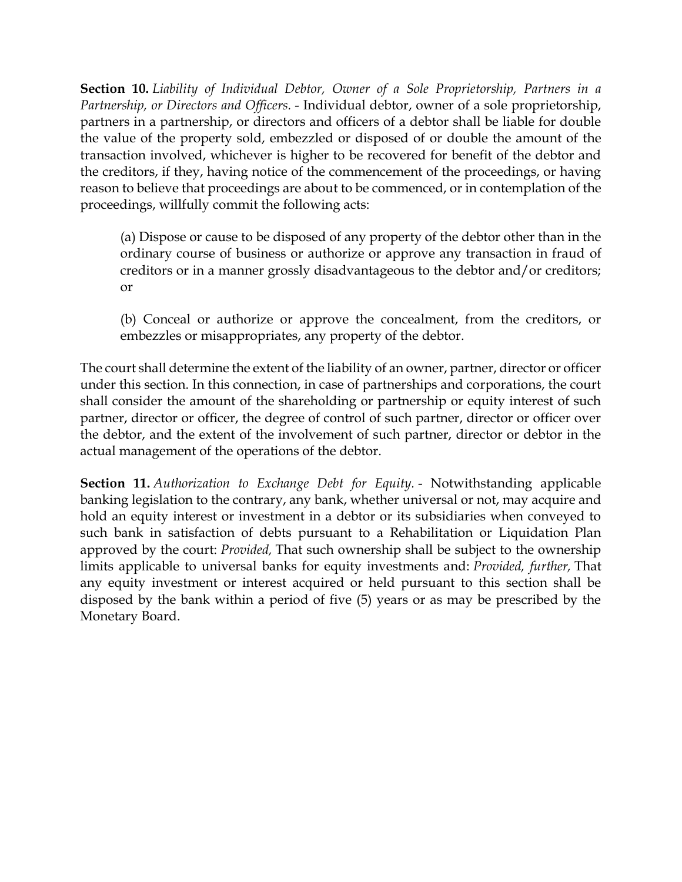**Section 10.** *Liability of Individual Debtor, Owner of a Sole Proprietorship, Partners in a Partnership, or Directors and Officers.* - Individual debtor, owner of a sole proprietorship, partners in a partnership, or directors and officers of a debtor shall be liable for double the value of the property sold, embezzled or disposed of or double the amount of the transaction involved, whichever is higher to be recovered for benefit of the debtor and the creditors, if they, having notice of the commencement of the proceedings, or having reason to believe that proceedings are about to be commenced, or in contemplation of the proceedings, willfully commit the following acts:

(a) Dispose or cause to be disposed of any property of the debtor other than in the ordinary course of business or authorize or approve any transaction in fraud of creditors or in a manner grossly disadvantageous to the debtor and/or creditors; or

(b) Conceal or authorize or approve the concealment, from the creditors, or embezzles or misappropriates, any property of the debtor.

The court shall determine the extent of the liability of an owner, partner, director or officer under this section. In this connection, in case of partnerships and corporations, the court shall consider the amount of the shareholding or partnership or equity interest of such partner, director or officer, the degree of control of such partner, director or officer over the debtor, and the extent of the involvement of such partner, director or debtor in the actual management of the operations of the debtor.

**Section 11.** *Authorization to Exchange Debt for Equity.* - Notwithstanding applicable banking legislation to the contrary, any bank, whether universal or not, may acquire and hold an equity interest or investment in a debtor or its subsidiaries when conveyed to such bank in satisfaction of debts pursuant to a Rehabilitation or Liquidation Plan approved by the court: *Provided,* That such ownership shall be subject to the ownership limits applicable to universal banks for equity investments and: *Provided, further,* That any equity investment or interest acquired or held pursuant to this section shall be disposed by the bank within a period of five (5) years or as may be prescribed by the Monetary Board.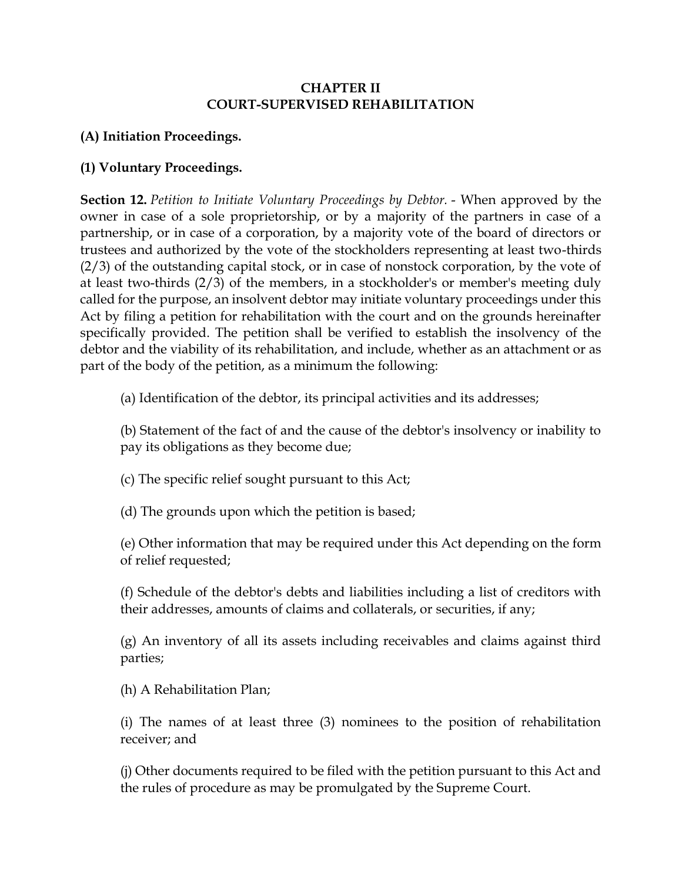#### **CHAPTER II COURT-SUPERVISED REHABILITATION**

## **(A) Initiation Proceedings.**

## **(1) Voluntary Proceedings.**

**Section 12.** *Petition to Initiate Voluntary Proceedings by Debtor.* - When approved by the owner in case of a sole proprietorship, or by a majority of the partners in case of a partnership, or in case of a corporation, by a majority vote of the board of directors or trustees and authorized by the vote of the stockholders representing at least two-thirds (2/3) of the outstanding capital stock, or in case of nonstock corporation, by the vote of at least two-thirds (2/3) of the members, in a stockholder's or member's meeting duly called for the purpose, an insolvent debtor may initiate voluntary proceedings under this Act by filing a petition for rehabilitation with the court and on the grounds hereinafter specifically provided. The petition shall be verified to establish the insolvency of the debtor and the viability of its rehabilitation, and include, whether as an attachment or as part of the body of the petition, as a minimum the following:

(a) Identification of the debtor, its principal activities and its addresses;

(b) Statement of the fact of and the cause of the debtor's insolvency or inability to pay its obligations as they become due;

(c) The specific relief sought pursuant to this Act;

(d) The grounds upon which the petition is based;

(e) Other information that may be required under this Act depending on the form of relief requested;

(f) Schedule of the debtor's debts and liabilities including a list of creditors with their addresses, amounts of claims and collaterals, or securities, if any;

(g) An inventory of all its assets including receivables and claims against third parties;

(h) A Rehabilitation Plan;

(i) The names of at least three (3) nominees to the position of rehabilitation receiver; and

(j) Other documents required to be filed with the petition pursuant to this Act and the rules of procedure as may be promulgated by the Supreme Court.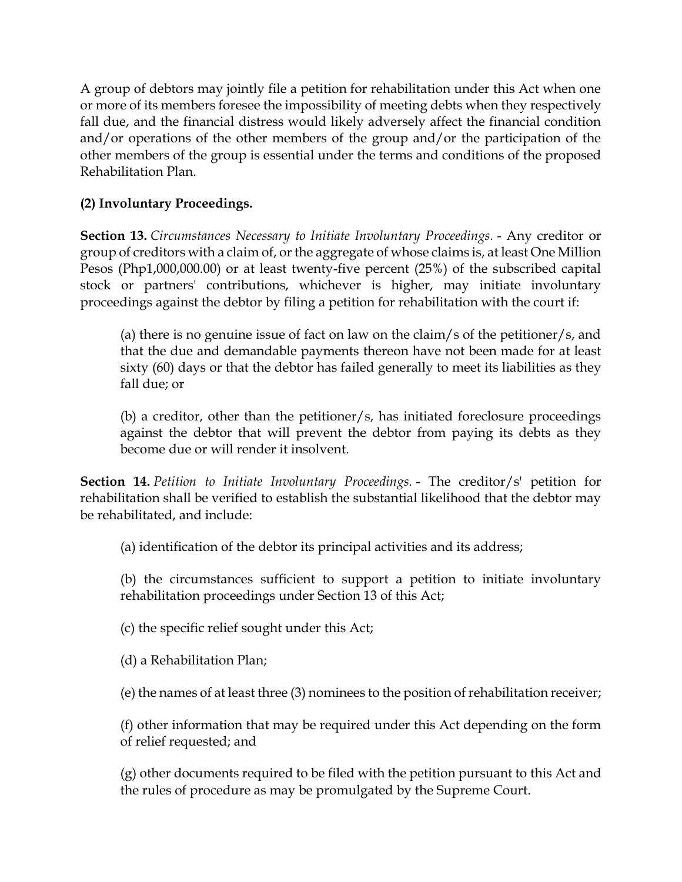A group of debtors may jointly file a petition for rehabilitation under this Act when one or more of its members foresee the impossibility of meeting debts when they respectively fall due, and the financial distress would likely adversely affect the financial condition and/or operations of the other members of the group and/or the participation of the other members of the group is essential under the terms and conditions of the proposed Rehabilitation Plan.

# **(2) Involuntary Proceedings.**

**Section 13.** *Circumstances Necessary to Initiate Involuntary Proceedings.* - Any creditor or group of creditors with a claim of, or the aggregate of whose claims is, at least One Million Pesos (Php1,000,000.00) or at least twenty-five percent (25%) of the subscribed capital stock or partners' contributions, whichever is higher, may initiate involuntary proceedings against the debtor by filing a petition for rehabilitation with the court if:

(a) there is no genuine issue of fact on law on the claim/s of the petitioner/s, and that the due and demandable payments thereon have not been made for at least sixty (60) days or that the debtor has failed generally to meet its liabilities as they fall due; or

(b) a creditor, other than the petitioner/s, has initiated foreclosure proceedings against the debtor that will prevent the debtor from paying its debts as they become due or will render it insolvent.

**Section 14.** *Petition to Initiate Involuntary Proceedings.* - The creditor/s' petition for rehabilitation shall be verified to establish the substantial likelihood that the debtor may be rehabilitated, and include:

(a) identification of the debtor its principal activities and its address;

(b) the circumstances sufficient to support a petition to initiate involuntary rehabilitation proceedings under Section 13 of this Act;

(c) the specific relief sought under this Act;

(d) a Rehabilitation Plan;

(e) the names of at least three (3) nominees to the position of rehabilitation receiver;

(f) other information that may be required under this Act depending on the form of relief requested; and

(g) other documents required to be filed with the petition pursuant to this Act and the rules of procedure as may be promulgated by the Supreme Court.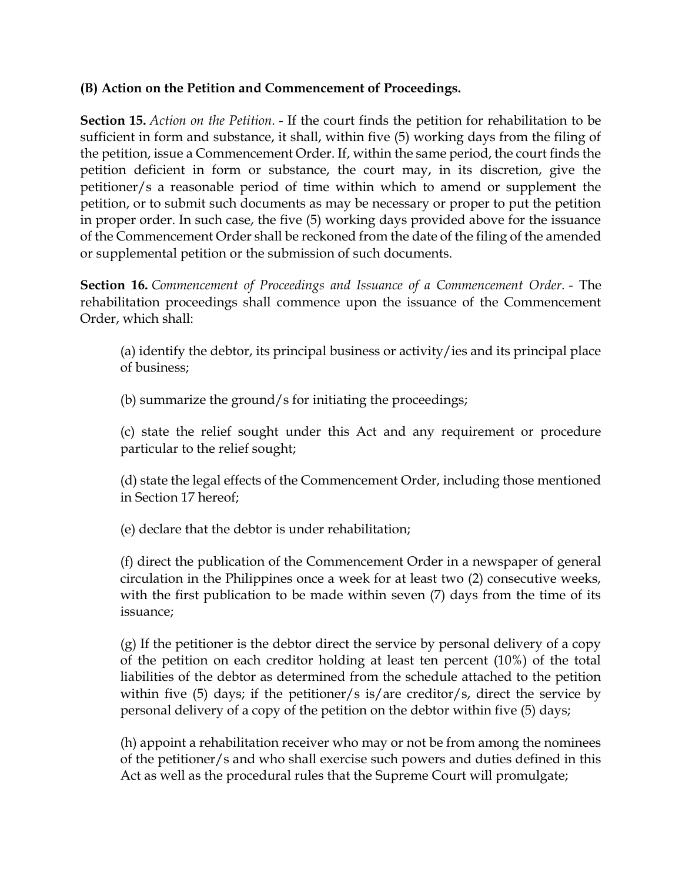### **(B) Action on the Petition and Commencement of Proceedings.**

**Section 15.** *Action on the Petition.* - If the court finds the petition for rehabilitation to be sufficient in form and substance, it shall, within five (5) working days from the filing of the petition, issue a Commencement Order. If, within the same period, the court finds the petition deficient in form or substance, the court may, in its discretion, give the petitioner/s a reasonable period of time within which to amend or supplement the petition, or to submit such documents as may be necessary or proper to put the petition in proper order. In such case, the five (5) working days provided above for the issuance of the Commencement Order shall be reckoned from the date of the filing of the amended or supplemental petition or the submission of such documents.

**Section 16.** *Commencement of Proceedings and Issuance of a Commencement Order.* - The rehabilitation proceedings shall commence upon the issuance of the Commencement Order, which shall:

(a) identify the debtor, its principal business or activity/ies and its principal place of business;

(b) summarize the ground/s for initiating the proceedings;

(c) state the relief sought under this Act and any requirement or procedure particular to the relief sought;

(d) state the legal effects of the Commencement Order, including those mentioned in Section 17 hereof;

(e) declare that the debtor is under rehabilitation;

(f) direct the publication of the Commencement Order in a newspaper of general circulation in the Philippines once a week for at least two (2) consecutive weeks, with the first publication to be made within seven (7) days from the time of its issuance;

(g) If the petitioner is the debtor direct the service by personal delivery of a copy of the petition on each creditor holding at least ten percent (10%) of the total liabilities of the debtor as determined from the schedule attached to the petition within five (5) days; if the petitioner/s is/are creditor/s, direct the service by personal delivery of a copy of the petition on the debtor within five (5) days;

(h) appoint a rehabilitation receiver who may or not be from among the nominees of the petitioner/s and who shall exercise such powers and duties defined in this Act as well as the procedural rules that the Supreme Court will promulgate;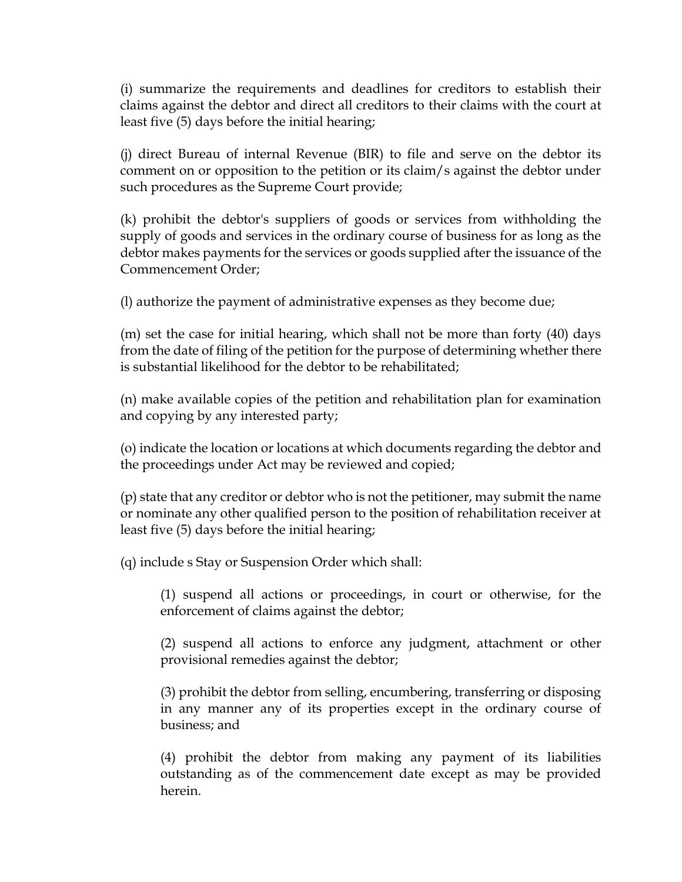(i) summarize the requirements and deadlines for creditors to establish their claims against the debtor and direct all creditors to their claims with the court at least five (5) days before the initial hearing;

(j) direct Bureau of internal Revenue (BIR) to file and serve on the debtor its comment on or opposition to the petition or its claim/s against the debtor under such procedures as the Supreme Court provide;

(k) prohibit the debtor's suppliers of goods or services from withholding the supply of goods and services in the ordinary course of business for as long as the debtor makes payments for the services or goods supplied after the issuance of the Commencement Order;

(l) authorize the payment of administrative expenses as they become due;

(m) set the case for initial hearing, which shall not be more than forty (40) days from the date of filing of the petition for the purpose of determining whether there is substantial likelihood for the debtor to be rehabilitated;

(n) make available copies of the petition and rehabilitation plan for examination and copying by any interested party;

(o) indicate the location or locations at which documents regarding the debtor and the proceedings under Act may be reviewed and copied;

(p) state that any creditor or debtor who is not the petitioner, may submit the name or nominate any other qualified person to the position of rehabilitation receiver at least five (5) days before the initial hearing;

(q) include s Stay or Suspension Order which shall:

(1) suspend all actions or proceedings, in court or otherwise, for the enforcement of claims against the debtor;

(2) suspend all actions to enforce any judgment, attachment or other provisional remedies against the debtor;

(3) prohibit the debtor from selling, encumbering, transferring or disposing in any manner any of its properties except in the ordinary course of business; and

(4) prohibit the debtor from making any payment of its liabilities outstanding as of the commencement date except as may be provided herein.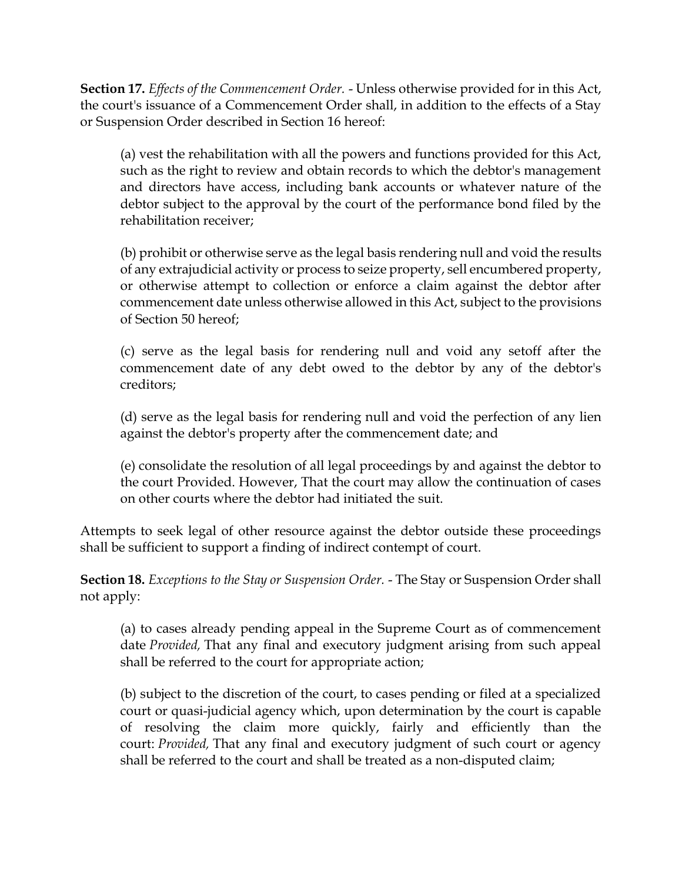**Section 17.** *Effects of the Commencement Order.* - Unless otherwise provided for in this Act, the court's issuance of a Commencement Order shall, in addition to the effects of a Stay or Suspension Order described in Section 16 hereof:

(a) vest the rehabilitation with all the powers and functions provided for this Act, such as the right to review and obtain records to which the debtor's management and directors have access, including bank accounts or whatever nature of the debtor subject to the approval by the court of the performance bond filed by the rehabilitation receiver;

(b) prohibit or otherwise serve as the legal basis rendering null and void the results of any extrajudicial activity or process to seize property, sell encumbered property, or otherwise attempt to collection or enforce a claim against the debtor after commencement date unless otherwise allowed in this Act, subject to the provisions of Section 50 hereof;

(c) serve as the legal basis for rendering null and void any setoff after the commencement date of any debt owed to the debtor by any of the debtor's creditors;

(d) serve as the legal basis for rendering null and void the perfection of any lien against the debtor's property after the commencement date; and

(e) consolidate the resolution of all legal proceedings by and against the debtor to the court Provided. However, That the court may allow the continuation of cases on other courts where the debtor had initiated the suit.

Attempts to seek legal of other resource against the debtor outside these proceedings shall be sufficient to support a finding of indirect contempt of court.

**Section 18.** *Exceptions to the Stay or Suspension Order.* - The Stay or Suspension Order shall not apply:

(a) to cases already pending appeal in the Supreme Court as of commencement date *Provided,* That any final and executory judgment arising from such appeal shall be referred to the court for appropriate action;

(b) subject to the discretion of the court, to cases pending or filed at a specialized court or quasi-judicial agency which, upon determination by the court is capable of resolving the claim more quickly, fairly and efficiently than the court: *Provided,* That any final and executory judgment of such court or agency shall be referred to the court and shall be treated as a non-disputed claim;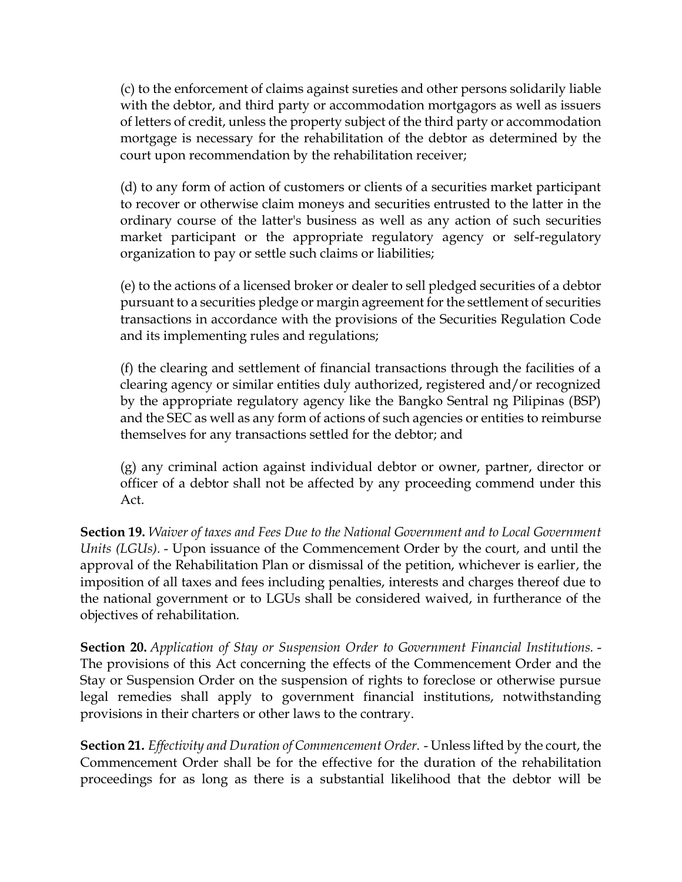(c) to the enforcement of claims against sureties and other persons solidarily liable with the debtor, and third party or accommodation mortgagors as well as issuers of letters of credit, unless the property subject of the third party or accommodation mortgage is necessary for the rehabilitation of the debtor as determined by the court upon recommendation by the rehabilitation receiver;

(d) to any form of action of customers or clients of a securities market participant to recover or otherwise claim moneys and securities entrusted to the latter in the ordinary course of the latter's business as well as any action of such securities market participant or the appropriate regulatory agency or self-regulatory organization to pay or settle such claims or liabilities;

(e) to the actions of a licensed broker or dealer to sell pledged securities of a debtor pursuant to a securities pledge or margin agreement for the settlement of securities transactions in accordance with the provisions of the Securities Regulation Code and its implementing rules and regulations;

(f) the clearing and settlement of financial transactions through the facilities of a clearing agency or similar entities duly authorized, registered and/or recognized by the appropriate regulatory agency like the Bangko Sentral ng Pilipinas (BSP) and the SEC as well as any form of actions of such agencies or entities to reimburse themselves for any transactions settled for the debtor; and

(g) any criminal action against individual debtor or owner, partner, director or officer of a debtor shall not be affected by any proceeding commend under this Act.

**Section 19.** *Waiver of taxes and Fees Due to the National Government and to Local Government Units (LGUs).* - Upon issuance of the Commencement Order by the court, and until the approval of the Rehabilitation Plan or dismissal of the petition, whichever is earlier, the imposition of all taxes and fees including penalties, interests and charges thereof due to the national government or to LGUs shall be considered waived, in furtherance of the objectives of rehabilitation.

**Section 20.** *Application of Stay or Suspension Order to Government Financial Institutions.* - The provisions of this Act concerning the effects of the Commencement Order and the Stay or Suspension Order on the suspension of rights to foreclose or otherwise pursue legal remedies shall apply to government financial institutions, notwithstanding provisions in their charters or other laws to the contrary.

**Section 21.** *Effectivity and Duration of Commencement Order.* - Unless lifted by the court, the Commencement Order shall be for the effective for the duration of the rehabilitation proceedings for as long as there is a substantial likelihood that the debtor will be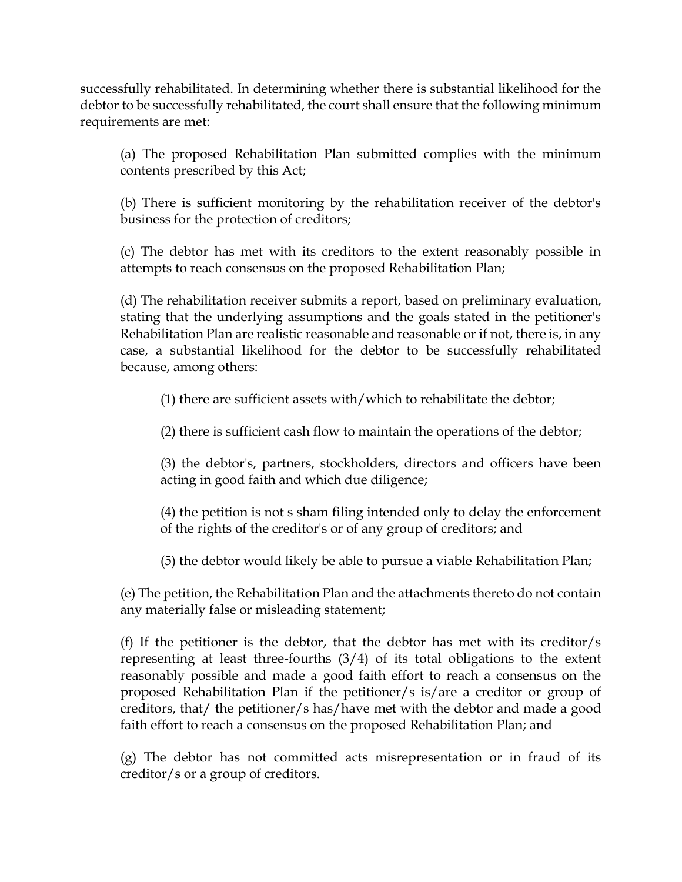successfully rehabilitated. In determining whether there is substantial likelihood for the debtor to be successfully rehabilitated, the court shall ensure that the following minimum requirements are met:

(a) The proposed Rehabilitation Plan submitted complies with the minimum contents prescribed by this Act;

(b) There is sufficient monitoring by the rehabilitation receiver of the debtor's business for the protection of creditors;

(c) The debtor has met with its creditors to the extent reasonably possible in attempts to reach consensus on the proposed Rehabilitation Plan;

(d) The rehabilitation receiver submits a report, based on preliminary evaluation, stating that the underlying assumptions and the goals stated in the petitioner's Rehabilitation Plan are realistic reasonable and reasonable or if not, there is, in any case, a substantial likelihood for the debtor to be successfully rehabilitated because, among others:

(1) there are sufficient assets with/which to rehabilitate the debtor;

(2) there is sufficient cash flow to maintain the operations of the debtor;

(3) the debtor's, partners, stockholders, directors and officers have been acting in good faith and which due diligence;

(4) the petition is not s sham filing intended only to delay the enforcement of the rights of the creditor's or of any group of creditors; and

(5) the debtor would likely be able to pursue a viable Rehabilitation Plan;

(e) The petition, the Rehabilitation Plan and the attachments thereto do not contain any materially false or misleading statement;

(f) If the petitioner is the debtor, that the debtor has met with its creditor/s representing at least three-fourths (3/4) of its total obligations to the extent reasonably possible and made a good faith effort to reach a consensus on the proposed Rehabilitation Plan if the petitioner/s is/are a creditor or group of creditors, that/ the petitioner/s has/have met with the debtor and made a good faith effort to reach a consensus on the proposed Rehabilitation Plan; and

(g) The debtor has not committed acts misrepresentation or in fraud of its creditor/s or a group of creditors.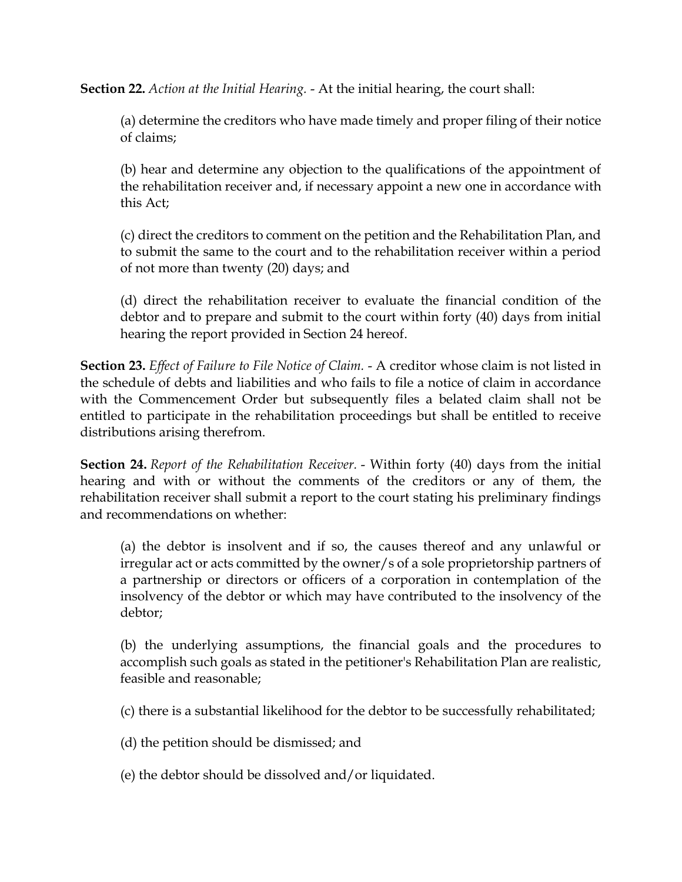**Section 22.** *Action at the Initial Hearing.* - At the initial hearing, the court shall:

(a) determine the creditors who have made timely and proper filing of their notice of claims;

(b) hear and determine any objection to the qualifications of the appointment of the rehabilitation receiver and, if necessary appoint a new one in accordance with this Act;

(c) direct the creditors to comment on the petition and the Rehabilitation Plan, and to submit the same to the court and to the rehabilitation receiver within a period of not more than twenty (20) days; and

(d) direct the rehabilitation receiver to evaluate the financial condition of the debtor and to prepare and submit to the court within forty (40) days from initial hearing the report provided in Section 24 hereof.

**Section 23.** *Effect of Failure to File Notice of Claim.* - A creditor whose claim is not listed in the schedule of debts and liabilities and who fails to file a notice of claim in accordance with the Commencement Order but subsequently files a belated claim shall not be entitled to participate in the rehabilitation proceedings but shall be entitled to receive distributions arising therefrom.

**Section 24.** *Report of the Rehabilitation Receiver.* - Within forty (40) days from the initial hearing and with or without the comments of the creditors or any of them, the rehabilitation receiver shall submit a report to the court stating his preliminary findings and recommendations on whether:

(a) the debtor is insolvent and if so, the causes thereof and any unlawful or irregular act or acts committed by the owner/s of a sole proprietorship partners of a partnership or directors or officers of a corporation in contemplation of the insolvency of the debtor or which may have contributed to the insolvency of the debtor;

(b) the underlying assumptions, the financial goals and the procedures to accomplish such goals as stated in the petitioner's Rehabilitation Plan are realistic, feasible and reasonable;

(c) there is a substantial likelihood for the debtor to be successfully rehabilitated;

(d) the petition should be dismissed; and

(e) the debtor should be dissolved and/or liquidated.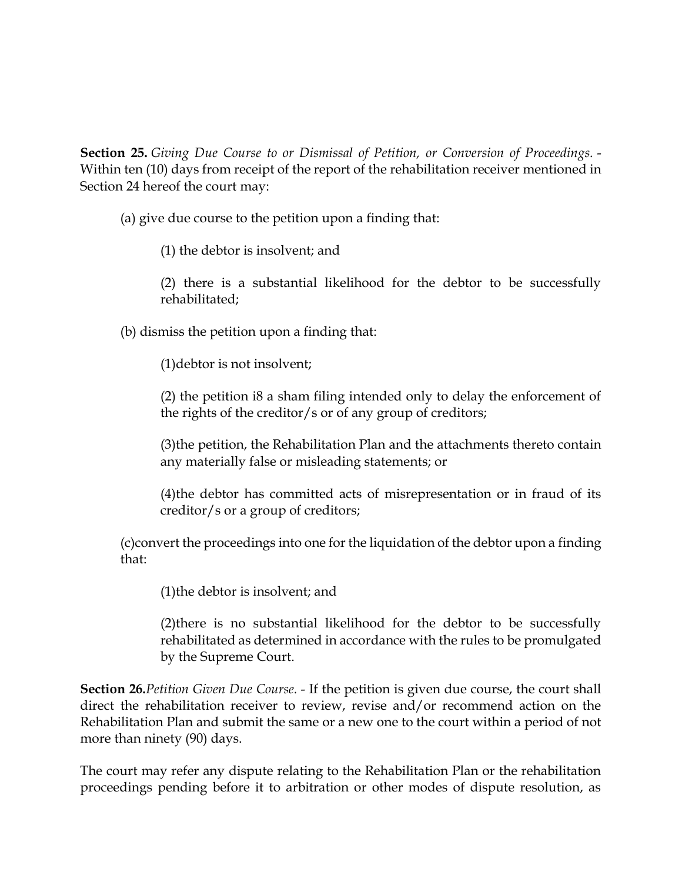**Section 25.** *Giving Due Course to or Dismissal of Petition, or Conversion of Proceedings.* - Within ten (10) days from receipt of the report of the rehabilitation receiver mentioned in Section 24 hereof the court may:

(a) give due course to the petition upon a finding that:

(1) the debtor is insolvent; and

(2) there is a substantial likelihood for the debtor to be successfully rehabilitated;

(b) dismiss the petition upon a finding that:

(1)debtor is not insolvent;

(2) the petition i8 a sham filing intended only to delay the enforcement of the rights of the creditor/s or of any group of creditors;

(3)the petition, the Rehabilitation Plan and the attachments thereto contain any materially false or misleading statements; or

(4)the debtor has committed acts of misrepresentation or in fraud of its creditor/s or a group of creditors;

(c)convert the proceedings into one for the liquidation of the debtor upon a finding that:

(1)the debtor is insolvent; and

(2)there is no substantial likelihood for the debtor to be successfully rehabilitated as determined in accordance with the rules to be promulgated by the Supreme Court.

**Section 26.***Petition Given Due Course.* - If the petition is given due course, the court shall direct the rehabilitation receiver to review, revise and/or recommend action on the Rehabilitation Plan and submit the same or a new one to the court within a period of not more than ninety (90) days.

The court may refer any dispute relating to the Rehabilitation Plan or the rehabilitation proceedings pending before it to arbitration or other modes of dispute resolution, as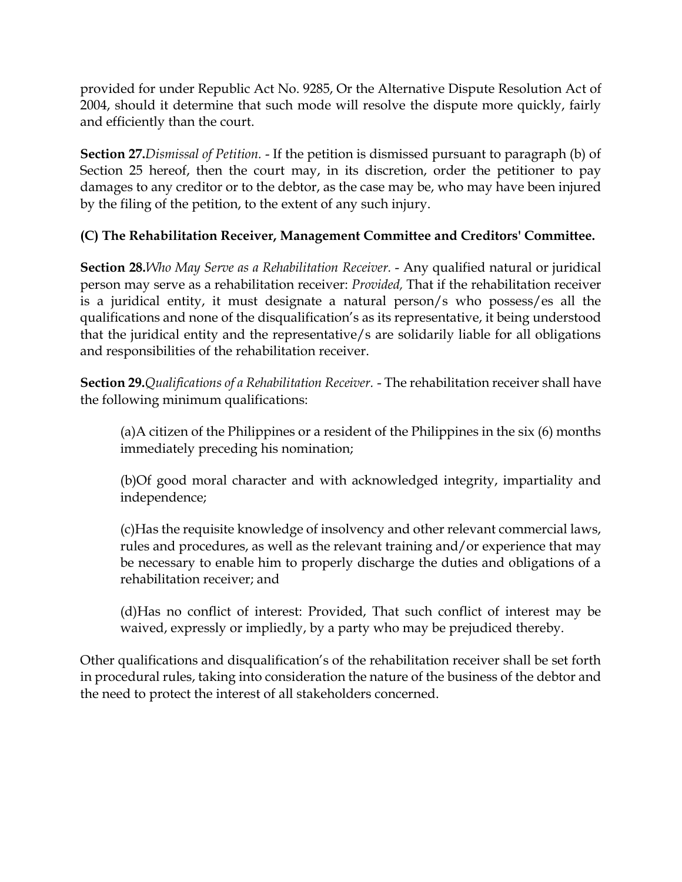provided for under Republic Act No. 9285, Or the Alternative Dispute Resolution Act of 2004, should it determine that such mode will resolve the dispute more quickly, fairly and efficiently than the court.

**Section 27.***Dismissal of Petition.* - If the petition is dismissed pursuant to paragraph (b) of Section 25 hereof, then the court may, in its discretion, order the petitioner to pay damages to any creditor or to the debtor, as the case may be, who may have been injured by the filing of the petition, to the extent of any such injury.

# **(C) The Rehabilitation Receiver, Management Committee and Creditors' Committee.**

**Section 28.***Who May Serve as a Rehabilitation Receiver.* - Any qualified natural or juridical person may serve as a rehabilitation receiver: *Provided,* That if the rehabilitation receiver is a juridical entity, it must designate a natural person/s who possess/es all the qualifications and none of the disqualification's as its representative, it being understood that the juridical entity and the representative/s are solidarily liable for all obligations and responsibilities of the rehabilitation receiver.

**Section 29.***Qualifications of a Rehabilitation Receiver.* - The rehabilitation receiver shall have the following minimum qualifications:

(a)A citizen of the Philippines or a resident of the Philippines in the six (6) months immediately preceding his nomination;

(b)Of good moral character and with acknowledged integrity, impartiality and independence;

(c)Has the requisite knowledge of insolvency and other relevant commercial laws, rules and procedures, as well as the relevant training and/or experience that may be necessary to enable him to properly discharge the duties and obligations of a rehabilitation receiver; and

(d)Has no conflict of interest: Provided, That such conflict of interest may be waived, expressly or impliedly, by a party who may be prejudiced thereby.

Other qualifications and disqualification's of the rehabilitation receiver shall be set forth in procedural rules, taking into consideration the nature of the business of the debtor and the need to protect the interest of all stakeholders concerned.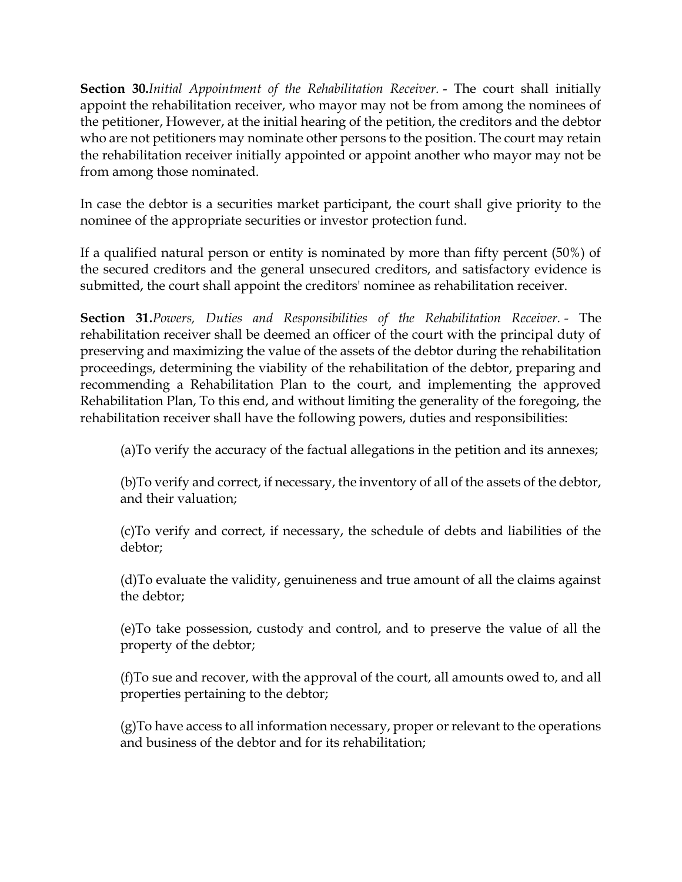**Section 30.***Initial Appointment of the Rehabilitation Receiver.* - The court shall initially appoint the rehabilitation receiver, who mayor may not be from among the nominees of the petitioner, However, at the initial hearing of the petition, the creditors and the debtor who are not petitioners may nominate other persons to the position. The court may retain the rehabilitation receiver initially appointed or appoint another who mayor may not be from among those nominated.

In case the debtor is a securities market participant, the court shall give priority to the nominee of the appropriate securities or investor protection fund.

If a qualified natural person or entity is nominated by more than fifty percent (50%) of the secured creditors and the general unsecured creditors, and satisfactory evidence is submitted, the court shall appoint the creditors' nominee as rehabilitation receiver.

**Section 31.***Powers, Duties and Responsibilities of the Rehabilitation Receiver.* - The rehabilitation receiver shall be deemed an officer of the court with the principal duty of preserving and maximizing the value of the assets of the debtor during the rehabilitation proceedings, determining the viability of the rehabilitation of the debtor, preparing and recommending a Rehabilitation Plan to the court, and implementing the approved Rehabilitation Plan, To this end, and without limiting the generality of the foregoing, the rehabilitation receiver shall have the following powers, duties and responsibilities:

(a)To verify the accuracy of the factual allegations in the petition and its annexes;

(b)To verify and correct, if necessary, the inventory of all of the assets of the debtor, and their valuation;

(c)To verify and correct, if necessary, the schedule of debts and liabilities of the debtor;

(d)To evaluate the validity, genuineness and true amount of all the claims against the debtor;

(e)To take possession, custody and control, and to preserve the value of all the property of the debtor;

(f)To sue and recover, with the approval of the court, all amounts owed to, and all properties pertaining to the debtor;

(g)To have access to all information necessary, proper or relevant to the operations and business of the debtor and for its rehabilitation;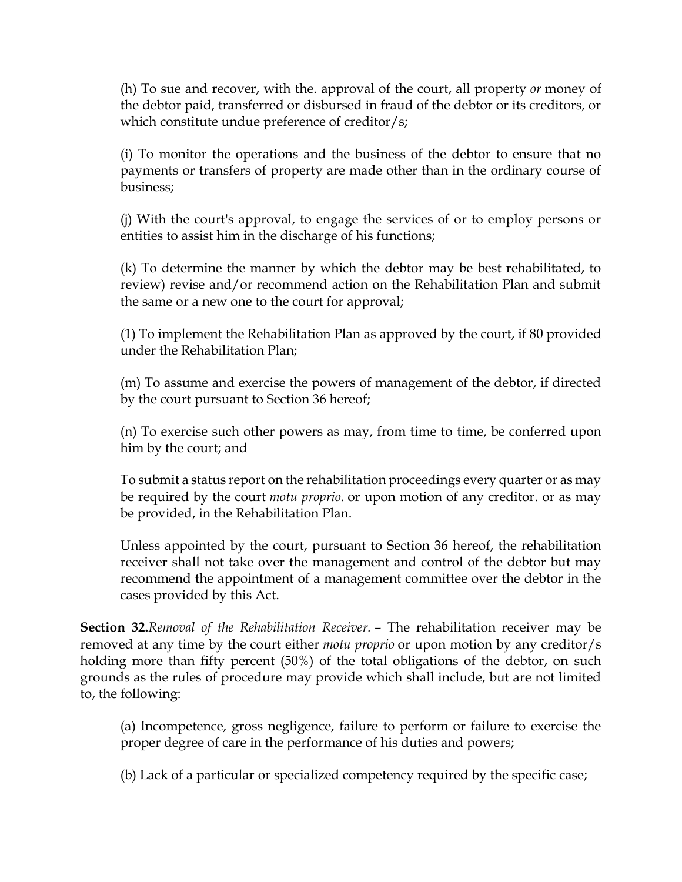(h) To sue and recover, with the. approval of the court, all property *or* money of the debtor paid, transferred or disbursed in fraud of the debtor or its creditors, or which constitute undue preference of creditor/s;

(i) To monitor the operations and the business of the debtor to ensure that no payments or transfers of property are made other than in the ordinary course of business;

(j) With the court's approval, to engage the services of or to employ persons or entities to assist him in the discharge of his functions;

(k) To determine the manner by which the debtor may be best rehabilitated, to review) revise and/or recommend action on the Rehabilitation Plan and submit the same or a new one to the court for approval;

(1) To implement the Rehabilitation Plan as approved by the court, if 80 provided under the Rehabilitation Plan;

(m) To assume and exercise the powers of management of the debtor, if directed by the court pursuant to Section 36 hereof;

(n) To exercise such other powers as may, from time to time, be conferred upon him by the court; and

To submit a status report on the rehabilitation proceedings every quarter or as may be required by the court *motu proprio.* or upon motion of any creditor. or as may be provided, in the Rehabilitation Plan.

Unless appointed by the court, pursuant to Section 36 hereof, the rehabilitation receiver shall not take over the management and control of the debtor but may recommend the appointment of a management committee over the debtor in the cases provided by this Act.

**Section 32.***Removal of the Rehabilitation Receiver.* – The rehabilitation receiver may be removed at any time by the court either *motu proprio* or upon motion by any creditor/s holding more than fifty percent (50%) of the total obligations of the debtor, on such grounds as the rules of procedure may provide which shall include, but are not limited to, the following:

(a) Incompetence, gross negligence, failure to perform or failure to exercise the proper degree of care in the performance of his duties and powers;

(b) Lack of a particular or specialized competency required by the specific case;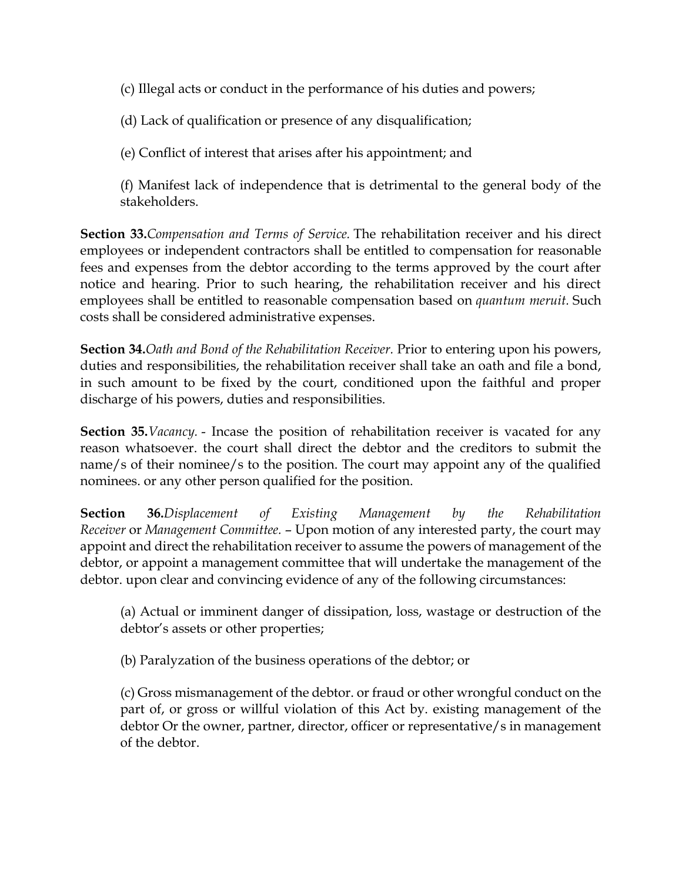(c) Illegal acts or conduct in the performance of his duties and powers;

(d) Lack of qualification or presence of any disqualification;

(e) Conflict of interest that arises after his appointment; and

(f) Manifest lack of independence that is detrimental to the general body of the stakeholders.

**Section 33.***Compensation and Terms of Service.* The rehabilitation receiver and his direct employees or independent contractors shall be entitled to compensation for reasonable fees and expenses from the debtor according to the terms approved by the court after notice and hearing. Prior to such hearing, the rehabilitation receiver and his direct employees shall be entitled to reasonable compensation based on *quantum meruit.* Such costs shall be considered administrative expenses.

**Section 34.***Oath and Bond of the Rehabilitation Receiver.* Prior to entering upon his powers, duties and responsibilities, the rehabilitation receiver shall take an oath and file a bond, in such amount to be fixed by the court, conditioned upon the faithful and proper discharge of his powers, duties and responsibilities.

**Section 35.***Vacancy.* - Incase the position of rehabilitation receiver is vacated for any reason whatsoever. the court shall direct the debtor and the creditors to submit the name/s of their nominee/s to the position. The court may appoint any of the qualified nominees. or any other person qualified for the position.

**Section 36.***Displacement of Existing Management by the Rehabilitation Receiver* or *Management Committee.* – Upon motion of any interested party, the court may appoint and direct the rehabilitation receiver to assume the powers of management of the debtor, or appoint a management committee that will undertake the management of the debtor. upon clear and convincing evidence of any of the following circumstances:

(a) Actual or imminent danger of dissipation, loss, wastage or destruction of the debtor's assets or other properties;

(b) Paralyzation of the business operations of the debtor; or

(c) Gross mismanagement of the debtor. or fraud or other wrongful conduct on the part of, or gross or willful violation of this Act by. existing management of the debtor Or the owner, partner, director, officer or representative/s in management of the debtor.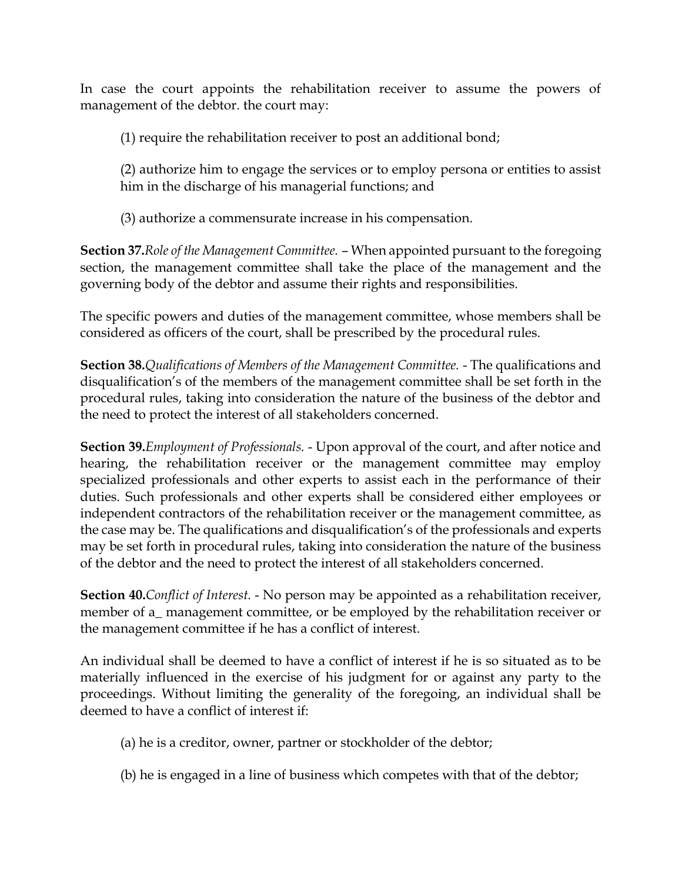In case the court appoints the rehabilitation receiver to assume the powers of management of the debtor. the court may:

(1) require the rehabilitation receiver to post an additional bond;

(2) authorize him to engage the services or to employ persona or entities to assist him in the discharge of his managerial functions; and

(3) authorize a commensurate increase in his compensation.

**Section 37.***Role of the Management Committee.* – When appointed pursuant to the foregoing section, the management committee shall take the place of the management and the governing body of the debtor and assume their rights and responsibilities.

The specific powers and duties of the management committee, whose members shall be considered as officers of the court, shall be prescribed by the procedural rules.

**Section 38.***Qualifications of Members of the Management Committee.* - The qualifications and disqualification's of the members of the management committee shall be set forth in the procedural rules, taking into consideration the nature of the business of the debtor and the need to protect the interest of all stakeholders concerned.

**Section 39.***Employment of Professionals.* - Upon approval of the court, and after notice and hearing, the rehabilitation receiver or the management committee may employ specialized professionals and other experts to assist each in the performance of their duties. Such professionals and other experts shall be considered either employees or independent contractors of the rehabilitation receiver or the management committee, as the case may be. The qualifications and disqualification's of the professionals and experts may be set forth in procedural rules, taking into consideration the nature of the business of the debtor and the need to protect the interest of all stakeholders concerned.

**Section 40.***Conflict of Interest.* - No person may be appointed as a rehabilitation receiver, member of a\_ management committee, or be employed by the rehabilitation receiver or the management committee if he has a conflict of interest.

An individual shall be deemed to have a conflict of interest if he is so situated as to be materially influenced in the exercise of his judgment for or against any party to the proceedings. Without limiting the generality of the foregoing, an individual shall be deemed to have a conflict of interest if:

- (a) he is a creditor, owner, partner or stockholder of the debtor;
- (b) he is engaged in a line of business which competes with that of the debtor;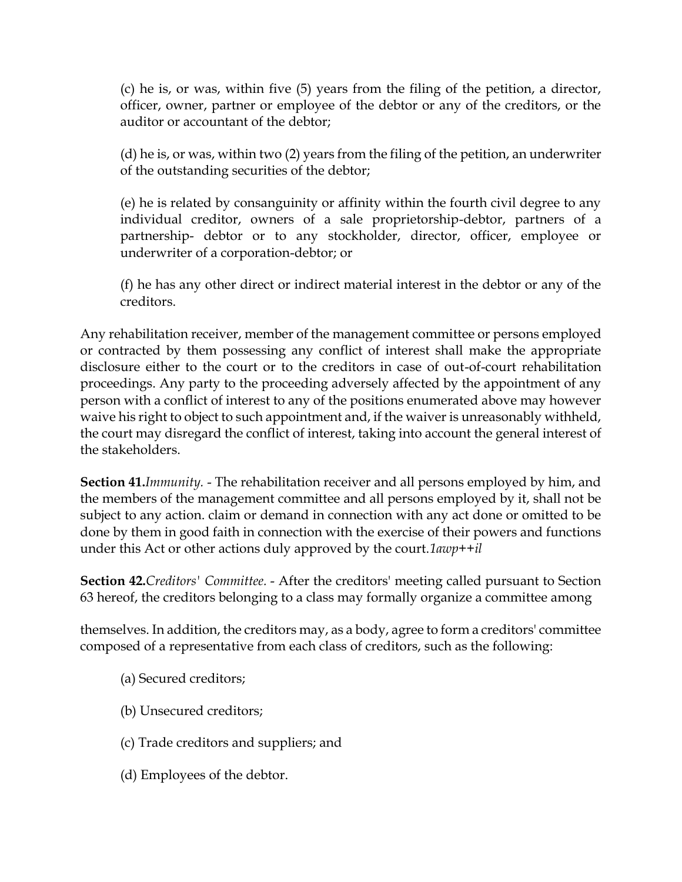(c) he is, or was, within five (5) years from the filing of the petition, a director, officer, owner, partner or employee of the debtor or any of the creditors, or the auditor or accountant of the debtor;

(d) he is, or was, within two (2) years from the filing of the petition, an underwriter of the outstanding securities of the debtor;

(e) he is related by consanguinity or affinity within the fourth civil degree to any individual creditor, owners of a sale proprietorship-debtor, partners of a partnership- debtor or to any stockholder, director, officer, employee or underwriter of a corporation-debtor; or

(f) he has any other direct or indirect material interest in the debtor or any of the creditors.

Any rehabilitation receiver, member of the management committee or persons employed or contracted by them possessing any conflict of interest shall make the appropriate disclosure either to the court or to the creditors in case of out-of-court rehabilitation proceedings. Any party to the proceeding adversely affected by the appointment of any person with a conflict of interest to any of the positions enumerated above may however waive his right to object to such appointment and, if the waiver is unreasonably withheld, the court may disregard the conflict of interest, taking into account the general interest of the stakeholders.

**Section 41.***Immunity.* - The rehabilitation receiver and all persons employed by him, and the members of the management committee and all persons employed by it, shall not be subject to any action. claim or demand in connection with any act done or omitted to be done by them in good faith in connection with the exercise of their powers and functions under this Act or other actions duly approved by the court.*1awp++il*

**Section 42.***Creditors' Committee.* - After the creditors' meeting called pursuant to Section 63 hereof, the creditors belonging to a class may formally organize a committee among

themselves. In addition, the creditors may, as a body, agree to form a creditors' committee composed of a representative from each class of creditors, such as the following:

- (a) Secured creditors;
- (b) Unsecured creditors;
- (c) Trade creditors and suppliers; and
- (d) Employees of the debtor.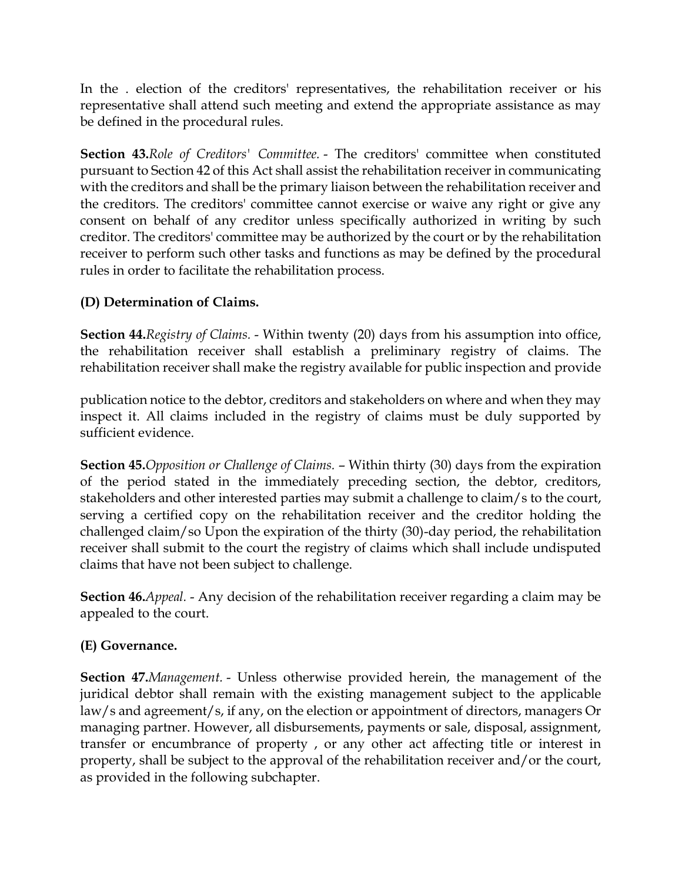In the . election of the creditors' representatives, the rehabilitation receiver or his representative shall attend such meeting and extend the appropriate assistance as may be defined in the procedural rules.

**Section 43.***Role of Creditors' Committee.* - The creditors' committee when constituted pursuant to Section 42 of this Act shall assist the rehabilitation receiver in communicating with the creditors and shall be the primary liaison between the rehabilitation receiver and the creditors. The creditors' committee cannot exercise or waive any right or give any consent on behalf of any creditor unless specifically authorized in writing by such creditor. The creditors' committee may be authorized by the court or by the rehabilitation receiver to perform such other tasks and functions as may be defined by the procedural rules in order to facilitate the rehabilitation process.

## **(D) Determination of Claims.**

**Section 44.***Registry of Claims.* - Within twenty (20) days from his assumption into office, the rehabilitation receiver shall establish a preliminary registry of claims. The rehabilitation receiver shall make the registry available for public inspection and provide

publication notice to the debtor, creditors and stakeholders on where and when they may inspect it. All claims included in the registry of claims must be duly supported by sufficient evidence.

**Section 45.***Opposition or Challenge of Claims.* – Within thirty (30) days from the expiration of the period stated in the immediately preceding section, the debtor, creditors, stakeholders and other interested parties may submit a challenge to claim/s to the court, serving a certified copy on the rehabilitation receiver and the creditor holding the challenged claim/so Upon the expiration of the thirty (30)-day period, the rehabilitation receiver shall submit to the court the registry of claims which shall include undisputed claims that have not been subject to challenge.

**Section 46.***Appeal.* - Any decision of the rehabilitation receiver regarding a claim may be appealed to the court.

# **(E) Governance.**

**Section 47.***Management.* - Unless otherwise provided herein, the management of the juridical debtor shall remain with the existing management subject to the applicable law/s and agreement/s, if any, on the election or appointment of directors, managers Or managing partner. However, all disbursements, payments or sale, disposal, assignment, transfer or encumbrance of property , or any other act affecting title or interest in property, shall be subject to the approval of the rehabilitation receiver and/or the court, as provided in the following subchapter.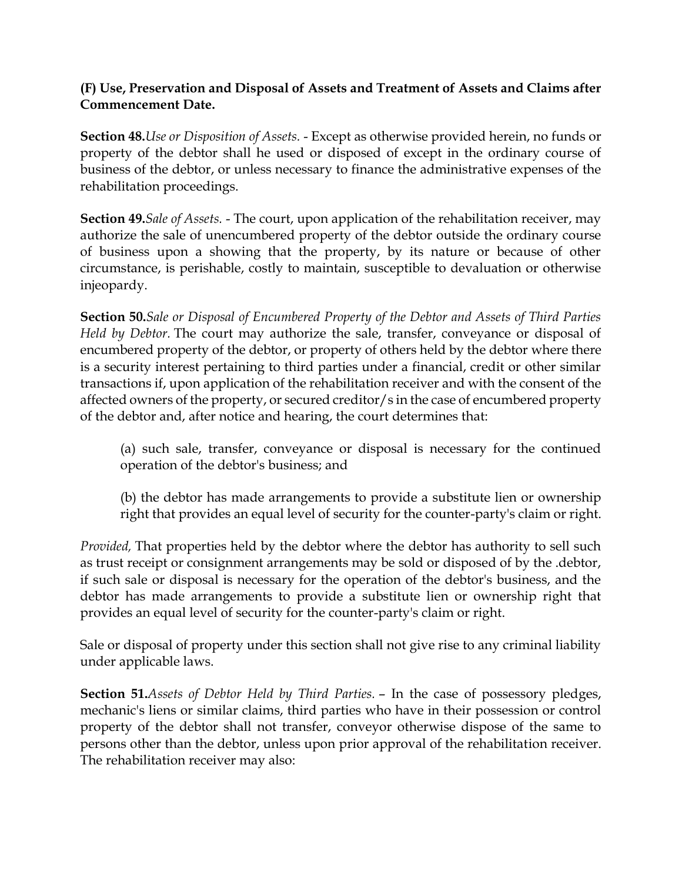### **(F) Use, Preservation and Disposal of Assets and Treatment of Assets and Claims after Commencement Date.**

**Section 48.***Use or Disposition of Assets.* - Except as otherwise provided herein, no funds or property of the debtor shall he used or disposed of except in the ordinary course of business of the debtor, or unless necessary to finance the administrative expenses of the rehabilitation proceedings.

**Section 49.***Sale of Assets.* - The court, upon application of the rehabilitation receiver, may authorize the sale of unencumbered property of the debtor outside the ordinary course of business upon a showing that the property, by its nature or because of other circumstance, is perishable, costly to maintain, susceptible to devaluation or otherwise injeopardy.

**Section 50.***Sale or Disposal of Encumbered Property of the Debtor and Assets of Third Parties Held by Debtor.* The court may authorize the sale, transfer, conveyance or disposal of encumbered property of the debtor, or property of others held by the debtor where there is a security interest pertaining to third parties under a financial, credit or other similar transactions if, upon application of the rehabilitation receiver and with the consent of the affected owners of the property, or secured creditor/s in the case of encumbered property of the debtor and, after notice and hearing, the court determines that:

(a) such sale, transfer, conveyance or disposal is necessary for the continued operation of the debtor's business; and

(b) the debtor has made arrangements to provide a substitute lien or ownership right that provides an equal level of security for the counter-party's claim or right.

*Provided,* That properties held by the debtor where the debtor has authority to sell such as trust receipt or consignment arrangements may be sold or disposed of by the .debtor, if such sale or disposal is necessary for the operation of the debtor's business, and the debtor has made arrangements to provide a substitute lien or ownership right that provides an equal level of security for the counter-party's claim or right.

Sale or disposal of property under this section shall not give rise to any criminal liability under applicable laws.

**Section 51.***Assets of Debtor Held by Third Parties.* – In the case of possessory pledges, mechanic's liens or similar claims, third parties who have in their possession or control property of the debtor shall not transfer, conveyor otherwise dispose of the same to persons other than the debtor, unless upon prior approval of the rehabilitation receiver. The rehabilitation receiver may also: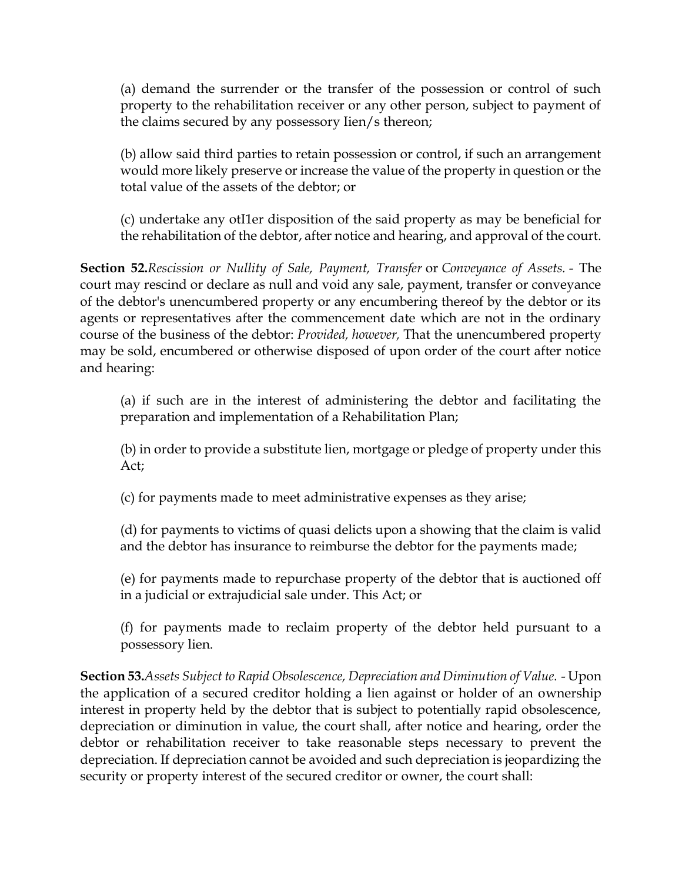(a) demand the surrender or the transfer of the possession or control of such property to the rehabilitation receiver or any other person, subject to payment of the claims secured by any possessory Iien/s thereon;

(b) allow said third parties to retain possession or control, if such an arrangement would more likely preserve or increase the value of the property in question or the total value of the assets of the debtor; or

(c) undertake any otI1er disposition of the said property as may be beneficial for the rehabilitation of the debtor, after notice and hearing, and approval of the court.

**Section 52.***Rescission or Nullity of Sale, Payment, Transfer* or *Conveyance of Assets.* - The court may rescind or declare as null and void any sale, payment, transfer or conveyance of the debtor's unencumbered property or any encumbering thereof by the debtor or its agents or representatives after the commencement date which are not in the ordinary course of the business of the debtor: *Provided, however,* That the unencumbered property may be sold, encumbered or otherwise disposed of upon order of the court after notice and hearing:

(a) if such are in the interest of administering the debtor and facilitating the preparation and implementation of a Rehabilitation Plan;

(b) in order to provide a substitute lien, mortgage or pledge of property under this Act;

(c) for payments made to meet administrative expenses as they arise;

(d) for payments to victims of quasi delicts upon a showing that the claim is valid and the debtor has insurance to reimburse the debtor for the payments made;

(e) for payments made to repurchase property of the debtor that is auctioned off in a judicial or extrajudicial sale under. This Act; or

(f) for payments made to reclaim property of the debtor held pursuant to a possessory lien.

**Section 53.***Assets Subject to Rapid Obsolescence, Depreciation and Diminution of Value.* - Upon the application of a secured creditor holding a lien against or holder of an ownership interest in property held by the debtor that is subject to potentially rapid obsolescence, depreciation or diminution in value, the court shall, after notice and hearing, order the debtor or rehabilitation receiver to take reasonable steps necessary to prevent the depreciation. If depreciation cannot be avoided and such depreciation is jeopardizing the security or property interest of the secured creditor or owner, the court shall: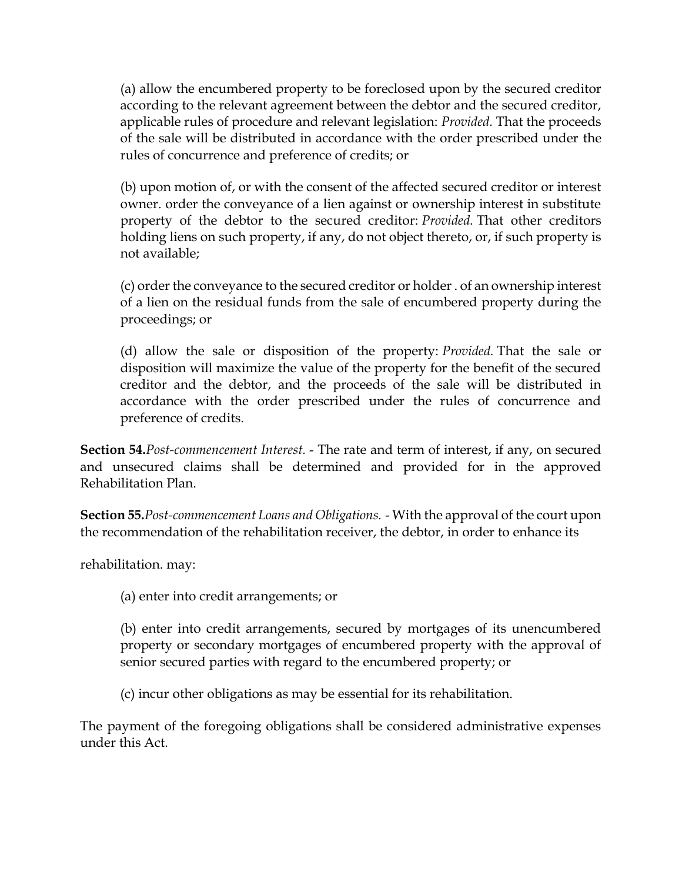(a) allow the encumbered property to be foreclosed upon by the secured creditor according to the relevant agreement between the debtor and the secured creditor, applicable rules of procedure and relevant legislation: *Provided.* That the proceeds of the sale will be distributed in accordance with the order prescribed under the rules of concurrence and preference of credits; or

(b) upon motion of, or with the consent of the affected secured creditor or interest owner. order the conveyance of a lien against or ownership interest in substitute property of the debtor to the secured creditor: *Provided.* That other creditors holding liens on such property, if any, do not object thereto, or, if such property is not available;

(c) order the conveyance to the secured creditor or holder . of an ownership interest of a lien on the residual funds from the sale of encumbered property during the proceedings; or

(d) allow the sale or disposition of the property: *Provided.* That the sale or disposition will maximize the value of the property for the benefit of the secured creditor and the debtor, and the proceeds of the sale will be distributed in accordance with the order prescribed under the rules of concurrence and preference of credits.

**Section 54.***Post-commencement Interest.* - The rate and term of interest, if any, on secured and unsecured claims shall be determined and provided for in the approved Rehabilitation Plan.

**Section 55.***Post-commencement Loans and Obligations.* - With the approval of the court upon the recommendation of the rehabilitation receiver, the debtor, in order to enhance its

rehabilitation. may:

(a) enter into credit arrangements; or

(b) enter into credit arrangements, secured by mortgages of its unencumbered property or secondary mortgages of encumbered property with the approval of senior secured parties with regard to the encumbered property; or

(c) incur other obligations as may be essential for its rehabilitation.

The payment of the foregoing obligations shall be considered administrative expenses under this Act.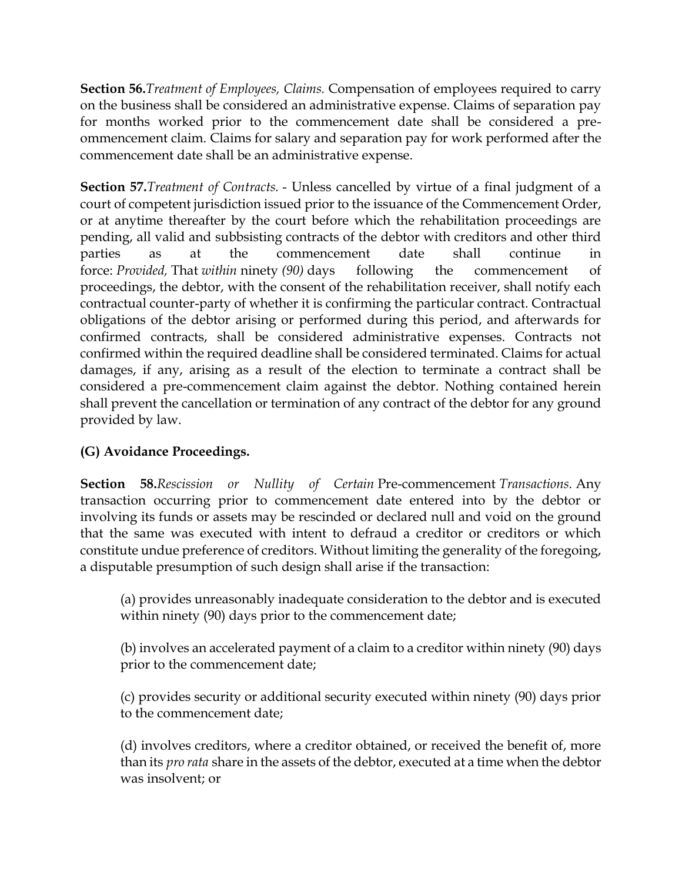**Section 56.***Treatment of Employees, Claims.* Compensation of employees required to carry on the business shall be considered an administrative expense. Claims of separation pay for months worked prior to the commencement date shall be considered a preommencement claim. Claims for salary and separation pay for work performed after the commencement date shall be an administrative expense.

**Section 57.***Treatment of Contracts.* - Unless cancelled by virtue of a final judgment of a court of competent jurisdiction issued prior to the issuance of the Commencement Order, or at anytime thereafter by the court before which the rehabilitation proceedings are pending, all valid and subbsisting contracts of the debtor with creditors and other third parties as at the commencement date shall continue in force: *Provided,* That *within* ninety *(90)* days following the commencement of proceedings, the debtor, with the consent of the rehabilitation receiver, shall notify each contractual counter-party of whether it is confirming the particular contract. Contractual obligations of the debtor arising or performed during this period, and afterwards for confirmed contracts, shall be considered administrative expenses. Contracts not confirmed within the required deadline shall be considered terminated. Claims for actual damages, if any, arising as a result of the election to terminate a contract shall be considered a pre-commencement claim against the debtor. Nothing contained herein shall prevent the cancellation or termination of any contract of the debtor for any ground provided by law.

# **(G) Avoidance Proceedings.**

**Section 58.***Rescission or Nullity of Certain* Pre-commencement *Transactions.* Any transaction occurring prior to commencement date entered into by the debtor or involving its funds or assets may be rescinded or declared null and void on the ground that the same was executed with intent to defraud a creditor or creditors or which constitute undue preference of creditors. Without limiting the generality of the foregoing, a disputable presumption of such design shall arise if the transaction:

(a) provides unreasonably inadequate consideration to the debtor and is executed within ninety (90) days prior to the commencement date;

(b) involves an accelerated payment of a claim to a creditor within ninety (90) days prior to the commencement date;

(c) provides security or additional security executed within ninety (90) days prior to the commencement date;

(d) involves creditors, where a creditor obtained, or received the benefit of, more than its *pro rata* share in the assets of the debtor, executed at a time when the debtor was insolvent; or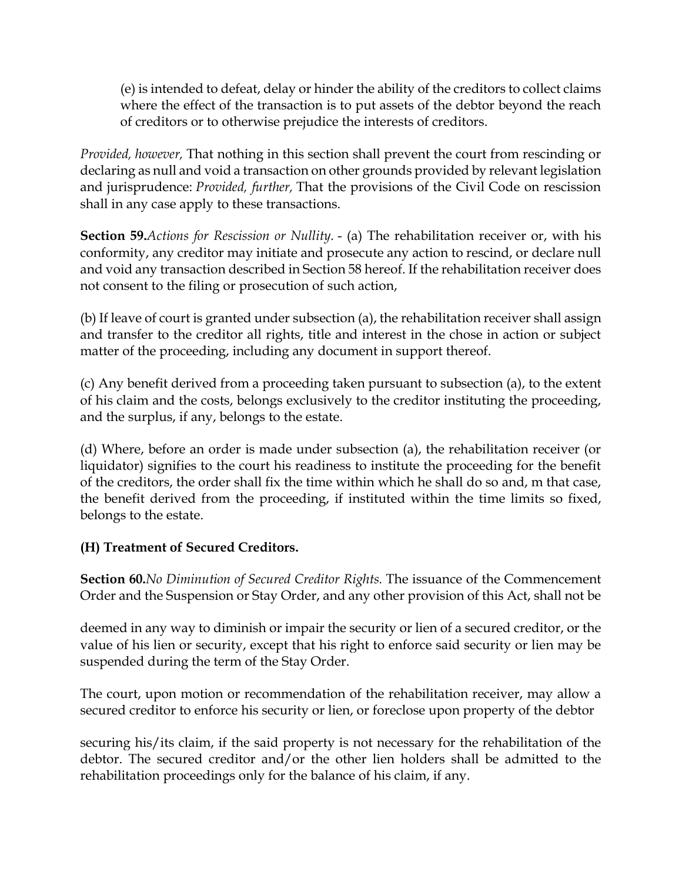(e) is intended to defeat, delay or hinder the ability of the creditors to collect claims where the effect of the transaction is to put assets of the debtor beyond the reach of creditors or to otherwise prejudice the interests of creditors.

*Provided, however,* That nothing in this section shall prevent the court from rescinding or declaring as null and void a transaction on other grounds provided by relevant legislation and jurisprudence: *Provided, further,* That the provisions of the Civil Code on rescission shall in any case apply to these transactions.

**Section 59.***Actions for Rescission or Nullity.* - (a) The rehabilitation receiver or, with his conformity, any creditor may initiate and prosecute any action to rescind, or declare null and void any transaction described in Section 58 hereof. If the rehabilitation receiver does not consent to the filing or prosecution of such action,

(b) If leave of court is granted under subsection (a), the rehabilitation receiver shall assign and transfer to the creditor all rights, title and interest in the chose in action or subject matter of the proceeding, including any document in support thereof.

(c) Any benefit derived from a proceeding taken pursuant to subsection (a), to the extent of his claim and the costs, belongs exclusively to the creditor instituting the proceeding, and the surplus, if any, belongs to the estate.

(d) Where, before an order is made under subsection (a), the rehabilitation receiver (or liquidator) signifies to the court his readiness to institute the proceeding for the benefit of the creditors, the order shall fix the time within which he shall do so and, m that case, the benefit derived from the proceeding, if instituted within the time limits so fixed, belongs to the estate.

# **(H) Treatment of Secured Creditors.**

**Section 60.***No Diminution of Secured Creditor Rights.* The issuance of the Commencement Order and the Suspension or Stay Order, and any other provision of this Act, shall not be

deemed in any way to diminish or impair the security or lien of a secured creditor, or the value of his lien or security, except that his right to enforce said security or lien may be suspended during the term of the Stay Order.

The court, upon motion or recommendation of the rehabilitation receiver, may allow a secured creditor to enforce his security or lien, or foreclose upon property of the debtor

securing his/its claim, if the said property is not necessary for the rehabilitation of the debtor. The secured creditor and/or the other lien holders shall be admitted to the rehabilitation proceedings only for the balance of his claim, if any.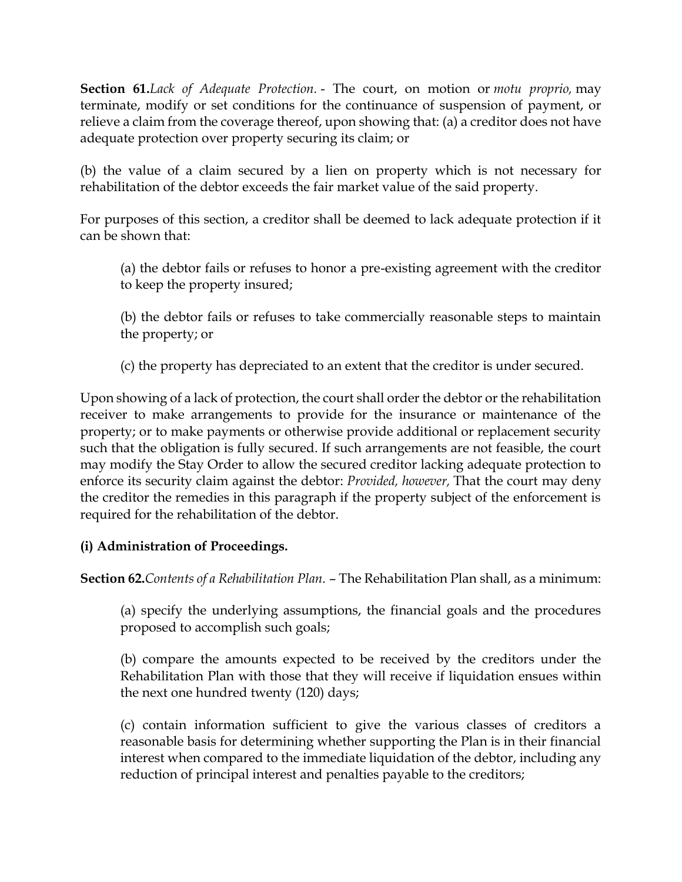**Section 61.***Lack of Adequate Protection.* - The court, on motion or *motu proprio,* may terminate, modify or set conditions for the continuance of suspension of payment, or relieve a claim from the coverage thereof, upon showing that: (a) a creditor does not have adequate protection over property securing its claim; or

(b) the value of a claim secured by a lien on property which is not necessary for rehabilitation of the debtor exceeds the fair market value of the said property.

For purposes of this section, a creditor shall be deemed to lack adequate protection if it can be shown that:

(a) the debtor fails or refuses to honor a pre-existing agreement with the creditor to keep the property insured;

(b) the debtor fails or refuses to take commercially reasonable steps to maintain the property; or

(c) the property has depreciated to an extent that the creditor is under secured.

Upon showing of a lack of protection, the court shall order the debtor or the rehabilitation receiver to make arrangements to provide for the insurance or maintenance of the property; or to make payments or otherwise provide additional or replacement security such that the obligation is fully secured. If such arrangements are not feasible, the court may modify the Stay Order to allow the secured creditor lacking adequate protection to enforce its security claim against the debtor: *Provided, however,* That the court may deny the creditor the remedies in this paragraph if the property subject of the enforcement is required for the rehabilitation of the debtor.

# **(i) Administration of Proceedings.**

**Section 62.***Contents of a Rehabilitation Plan.* – The Rehabilitation Plan shall, as a minimum:

(a) specify the underlying assumptions, the financial goals and the procedures proposed to accomplish such goals;

(b) compare the amounts expected to be received by the creditors under the Rehabilitation Plan with those that they will receive if liquidation ensues within the next one hundred twenty (120) days;

(c) contain information sufficient to give the various classes of creditors a reasonable basis for determining whether supporting the Plan is in their financial interest when compared to the immediate liquidation of the debtor, including any reduction of principal interest and penalties payable to the creditors;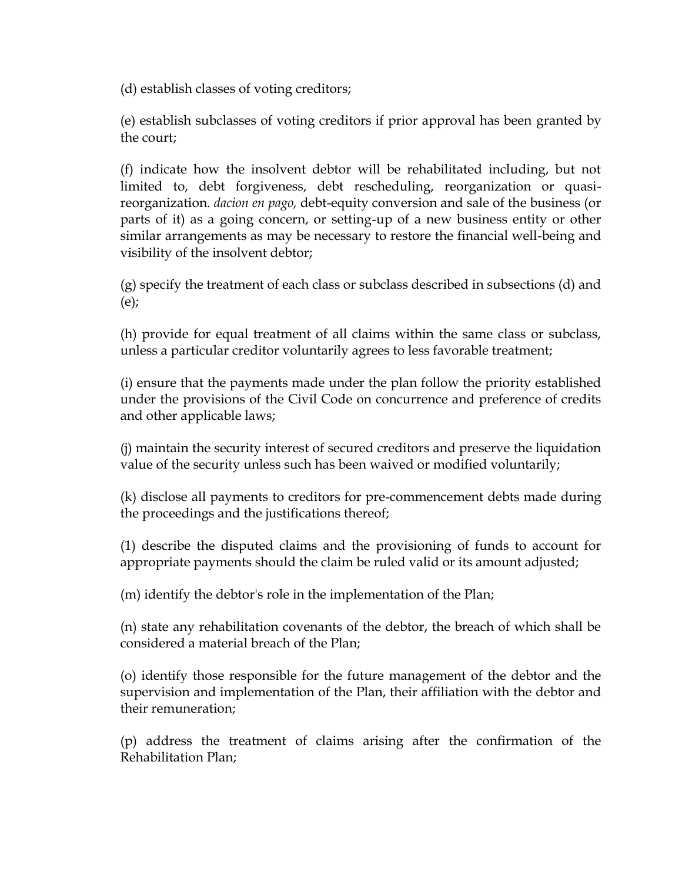(d) establish classes of voting creditors;

(e) establish subclasses of voting creditors if prior approval has been granted by the court;

(f) indicate how the insolvent debtor will be rehabilitated including, but not limited to, debt forgiveness, debt rescheduling, reorganization or quasireorganization. *dacion en pago,* debt-equity conversion and sale of the business (or parts of it) as a going concern, or setting-up of a new business entity or other similar arrangements as may be necessary to restore the financial well-being and visibility of the insolvent debtor;

(g) specify the treatment of each class or subclass described in subsections (d) and (e);

(h) provide for equal treatment of all claims within the same class or subclass, unless a particular creditor voluntarily agrees to less favorable treatment;

(i) ensure that the payments made under the plan follow the priority established under the provisions of the Civil Code on concurrence and preference of credits and other applicable laws;

(j) maintain the security interest of secured creditors and preserve the liquidation value of the security unless such has been waived or modified voluntarily;

(k) disclose all payments to creditors for pre-commencement debts made during the proceedings and the justifications thereof;

(1) describe the disputed claims and the provisioning of funds to account for appropriate payments should the claim be ruled valid or its amount adjusted;

(m) identify the debtor's role in the implementation of the Plan;

(n) state any rehabilitation covenants of the debtor, the breach of which shall be considered a material breach of the Plan;

(o) identify those responsible for the future management of the debtor and the supervision and implementation of the Plan, their affiliation with the debtor and their remuneration;

(p) address the treatment of claims arising after the confirmation of the Rehabilitation Plan;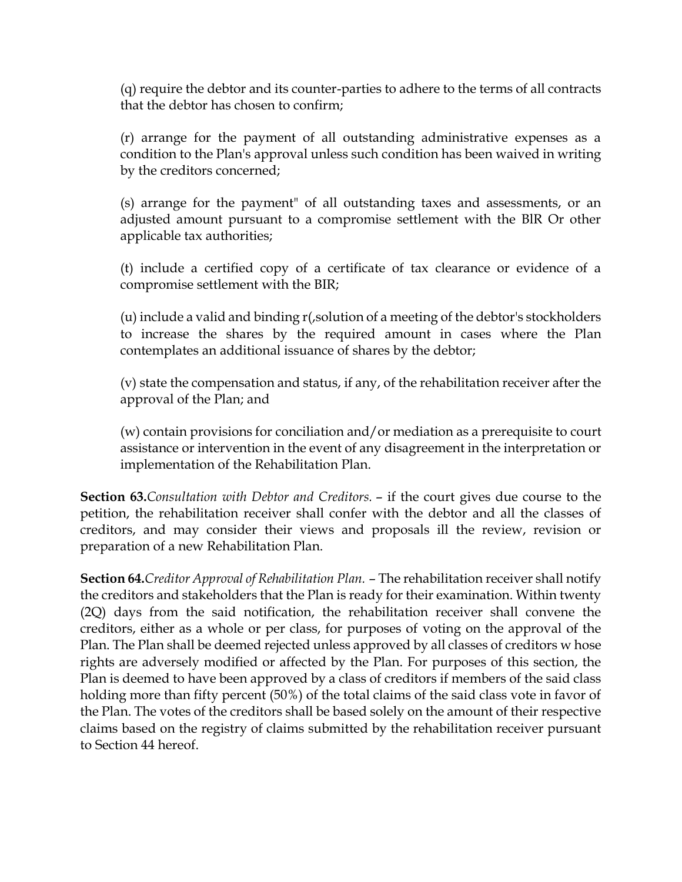(q) require the debtor and its counter-parties to adhere to the terms of all contracts that the debtor has chosen to confirm;

(r) arrange for the payment of all outstanding administrative expenses as a condition to the Plan's approval unless such condition has been waived in writing by the creditors concerned;

(s) arrange for the payment" of all outstanding taxes and assessments, or an adjusted amount pursuant to a compromise settlement with the BlR Or other applicable tax authorities;

(t) include a certified copy of a certificate of tax clearance or evidence of a compromise settlement with the BIR;

(u) include a valid and binding r(,solution of a meeting of the debtor's stockholders to increase the shares by the required amount in cases where the Plan contemplates an additional issuance of shares by the debtor;

(v) state the compensation and status, if any, of the rehabilitation receiver after the approval of the Plan; and

(w) contain provisions for conciliation and/or mediation as a prerequisite to court assistance or intervention in the event of any disagreement in the interpretation or implementation of the Rehabilitation Plan.

**Section 63.***Consultation with Debtor and Creditors.* – if the court gives due course to the petition, the rehabilitation receiver shall confer with the debtor and all the classes of creditors, and may consider their views and proposals ill the review, revision or preparation of a new Rehabilitation Plan.

**Section 64.***Creditor Approval of Rehabilitation Plan.* – The rehabilitation receiver shall notify the creditors and stakeholders that the Plan is ready for their examination. Within twenty (2Q) days from the said notification, the rehabilitation receiver shall convene the creditors, either as a whole or per class, for purposes of voting on the approval of the Plan. The Plan shall be deemed rejected unless approved by all classes of creditors w hose rights are adversely modified or affected by the Plan. For purposes of this section, the Plan is deemed to have been approved by a class of creditors if members of the said class holding more than fifty percent (50%) of the total claims of the said class vote in favor of the Plan. The votes of the creditors shall be based solely on the amount of their respective claims based on the registry of claims submitted by the rehabilitation receiver pursuant to Section 44 hereof.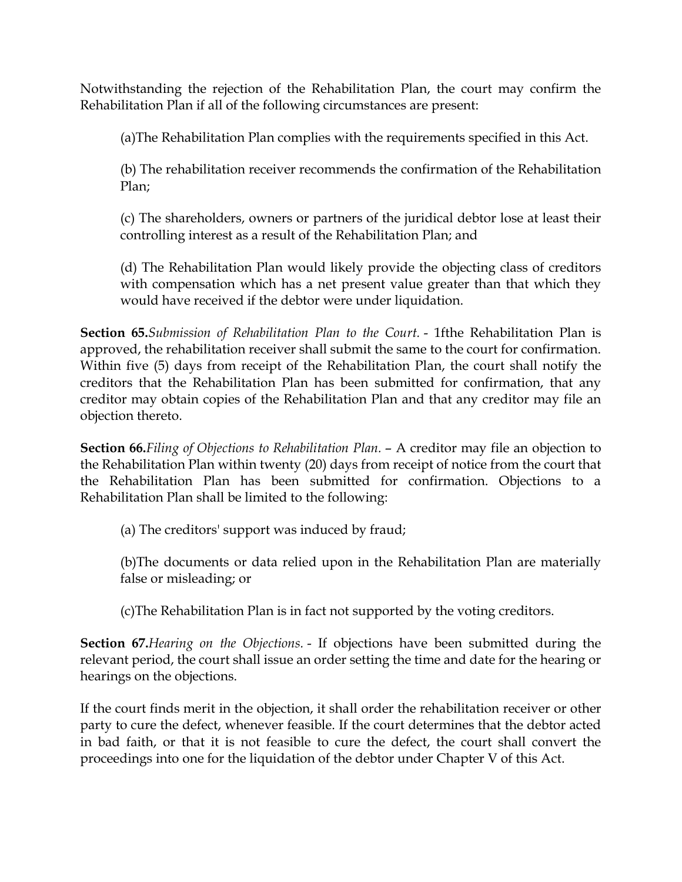Notwithstanding the rejection of the Rehabilitation Plan, the court may confirm the Rehabilitation Plan if all of the following circumstances are present:

(a)The Rehabilitation Plan complies with the requirements specified in this Act.

(b) The rehabilitation receiver recommends the confirmation of the Rehabilitation Plan;

(c) The shareholders, owners or partners of the juridical debtor lose at least their controlling interest as a result of the Rehabilitation Plan; and

(d) The Rehabilitation Plan would likely provide the objecting class of creditors with compensation which has a net present value greater than that which they would have received if the debtor were under liquidation.

**Section 65.***Submission of Rehabilitation Plan to the Court.* - 1fthe Rehabilitation Plan is approved, the rehabilitation receiver shall submit the same to the court for confirmation. Within five (5) days from receipt of the Rehabilitation Plan, the court shall notify the creditors that the Rehabilitation Plan has been submitted for confirmation, that any creditor may obtain copies of the Rehabilitation Plan and that any creditor may file an objection thereto.

**Section 66.***Filing of Objections to Rehabilitation Plan.* – A creditor may file an objection to the Rehabilitation Plan within twenty (20) days from receipt of notice from the court that the Rehabilitation Plan has been submitted for confirmation. Objections to a Rehabilitation Plan shall be limited to the following:

(a) The creditors' support was induced by fraud;

(b)The documents or data relied upon in the Rehabilitation Plan are materially false or misleading; or

(c)The Rehabilitation Plan is in fact not supported by the voting creditors.

**Section 67.***Hearing on the Objections.* - If objections have been submitted during the relevant period, the court shall issue an order setting the time and date for the hearing or hearings on the objections.

If the court finds merit in the objection, it shall order the rehabilitation receiver or other party to cure the defect, whenever feasible. If the court determines that the debtor acted in bad faith, or that it is not feasible to cure the defect, the court shall convert the proceedings into one for the liquidation of the debtor under Chapter V of this Act.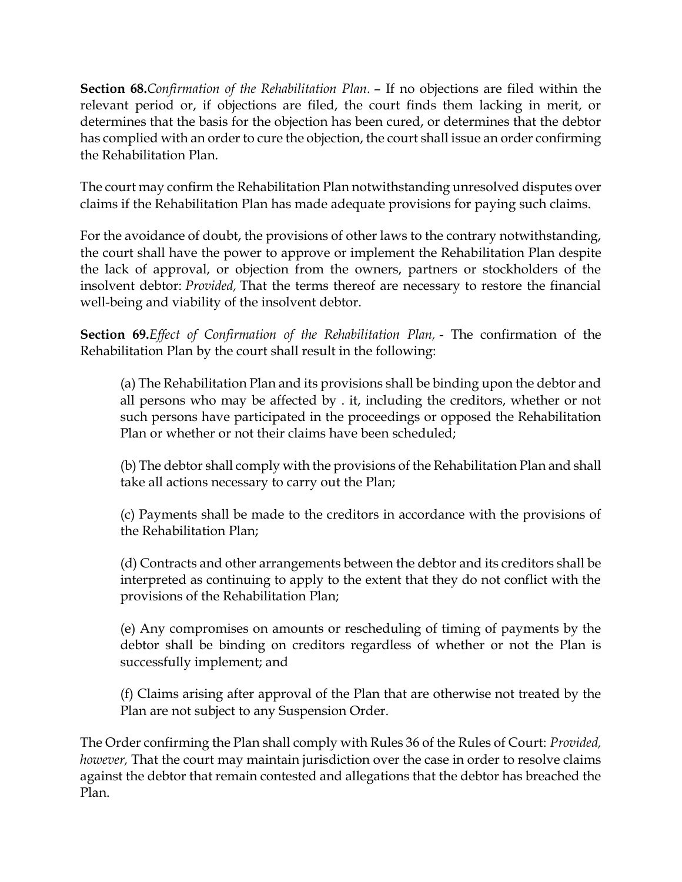**Section 68.***Confirmation of the Rehabilitation Plan.* – If no objections are filed within the relevant period or, if objections are filed, the court finds them lacking in merit, or determines that the basis for the objection has been cured, or determines that the debtor has complied with an order to cure the objection, the court shall issue an order confirming the Rehabilitation Plan.

The court may confirm the Rehabilitation Plan notwithstanding unresolved disputes over claims if the Rehabilitation Plan has made adequate provisions for paying such claims.

For the avoidance of doubt, the provisions of other laws to the contrary notwithstanding, the court shall have the power to approve or implement the Rehabilitation Plan despite the lack of approval, or objection from the owners, partners or stockholders of the insolvent debtor: *Provided,* That the terms thereof are necessary to restore the financial well-being and viability of the insolvent debtor.

**Section 69.***Effect of Confirmation of the Rehabilitation Plan,* - The confirmation of the Rehabilitation Plan by the court shall result in the following:

(a) The Rehabilitation Plan and its provisions shall be binding upon the debtor and all persons who may be affected by . it, including the creditors, whether or not such persons have participated in the proceedings or opposed the Rehabilitation Plan or whether or not their claims have been scheduled;

(b) The debtor shall comply with the provisions of the Rehabilitation Plan and shall take all actions necessary to carry out the Plan;

(c) Payments shall be made to the creditors in accordance with the provisions of the Rehabilitation Plan;

(d) Contracts and other arrangements between the debtor and its creditors shall be interpreted as continuing to apply to the extent that they do not conflict with the provisions of the Rehabilitation Plan;

(e) Any compromises on amounts or rescheduling of timing of payments by the debtor shall be binding on creditors regardless of whether or not the Plan is successfully implement; and

(f) Claims arising after approval of the Plan that are otherwise not treated by the Plan are not subject to any Suspension Order.

The Order confirming the Plan shall comply with Rules 36 of the Rules of Court: *Provided, however,* That the court may maintain jurisdiction over the case in order to resolve claims against the debtor that remain contested and allegations that the debtor has breached the Plan.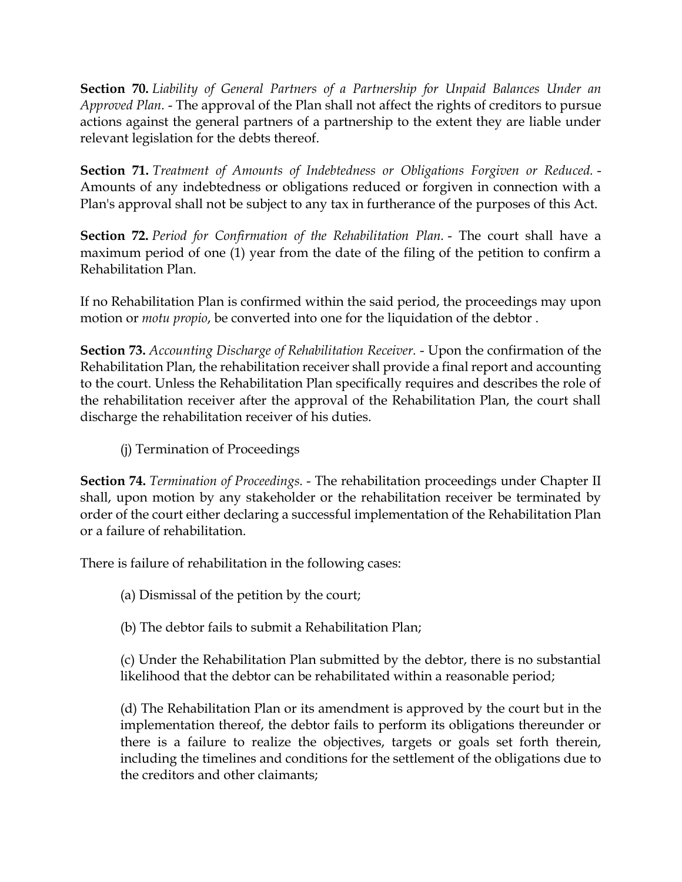**Section 70.** *Liability of General Partners of a Partnership for Unpaid Balances Under an Approved Plan.* - The approval of the Plan shall not affect the rights of creditors to pursue actions against the general partners of a partnership to the extent they are liable under relevant legislation for the debts thereof.

**Section 71.** *Treatment of Amounts of Indebtedness or Obligations Forgiven or Reduced.* - Amounts of any indebtedness or obligations reduced or forgiven in connection with a Plan's approval shall not be subject to any tax in furtherance of the purposes of this Act.

**Section 72.** *Period for Confirmation of the Rehabilitation Plan.* - The court shall have a maximum period of one (1) year from the date of the filing of the petition to confirm a Rehabilitation Plan.

If no Rehabilitation Plan is confirmed within the said period, the proceedings may upon motion or *motu propio*, be converted into one for the liquidation of the debtor .

**Section 73.** *Accounting Discharge of Rehabilitation Receiver.* - Upon the confirmation of the Rehabilitation Plan, the rehabilitation receiver shall provide a final report and accounting to the court. Unless the Rehabilitation Plan specifically requires and describes the role of the rehabilitation receiver after the approval of the Rehabilitation Plan, the court shall discharge the rehabilitation receiver of his duties.

(j) Termination of Proceedings

**Section 74.** *Termination of Proceedings.* - The rehabilitation proceedings under Chapter II shall, upon motion by any stakeholder or the rehabilitation receiver be terminated by order of the court either declaring a successful implementation of the Rehabilitation Plan or a failure of rehabilitation.

There is failure of rehabilitation in the following cases:

(a) Dismissal of the petition by the court;

(b) The debtor fails to submit a Rehabilitation Plan;

(c) Under the Rehabilitation Plan submitted by the debtor, there is no substantial likelihood that the debtor can be rehabilitated within a reasonable period;

(d) The Rehabilitation Plan or its amendment is approved by the court but in the implementation thereof, the debtor fails to perform its obligations thereunder or there is a failure to realize the objectives, targets or goals set forth therein, including the timelines and conditions for the settlement of the obligations due to the creditors and other claimants;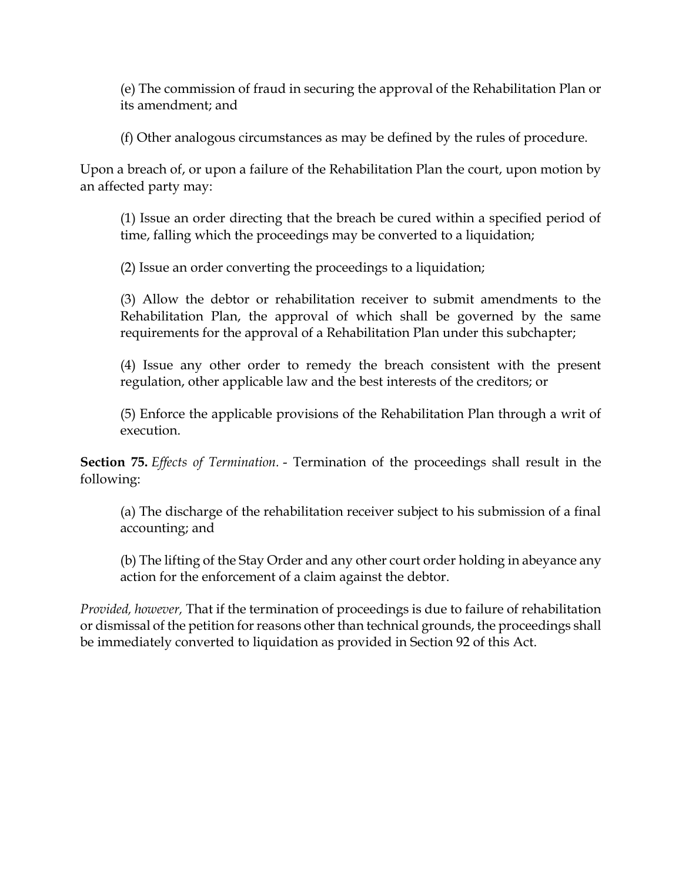(e) The commission of fraud in securing the approval of the Rehabilitation Plan or its amendment; and

(f) Other analogous circumstances as may be defined by the rules of procedure.

Upon a breach of, or upon a failure of the Rehabilitation Plan the court, upon motion by an affected party may:

(1) Issue an order directing that the breach be cured within a specified period of time, falling which the proceedings may be converted to a liquidation;

(2) Issue an order converting the proceedings to a liquidation;

(3) Allow the debtor or rehabilitation receiver to submit amendments to the Rehabilitation Plan, the approval of which shall be governed by the same requirements for the approval of a Rehabilitation Plan under this subchapter;

(4) Issue any other order to remedy the breach consistent with the present regulation, other applicable law and the best interests of the creditors; or

(5) Enforce the applicable provisions of the Rehabilitation Plan through a writ of execution.

**Section 75.** *Effects of Termination.* - Termination of the proceedings shall result in the following:

(a) The discharge of the rehabilitation receiver subject to his submission of a final accounting; and

(b) The lifting of the Stay Order and any other court order holding in abeyance any action for the enforcement of a claim against the debtor.

*Provided, however,* That if the termination of proceedings is due to failure of rehabilitation or dismissal of the petition for reasons other than technical grounds, the proceedings shall be immediately converted to liquidation as provided in Section 92 of this Act.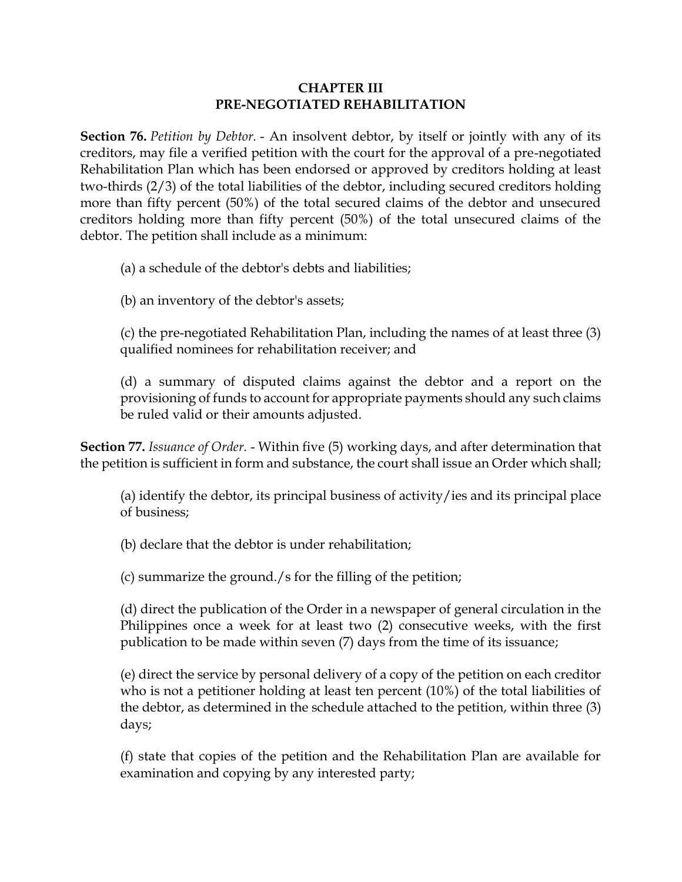#### **CHAPTER III PRE-NEGOTIATED REHABILITATION**

**Section 76.** *Petition by Debtor.* - An insolvent debtor, by itself or jointly with any of its creditors, may file a verified petition with the court for the approval of a pre-negotiated Rehabilitation Plan which has been endorsed or approved by creditors holding at least two-thirds (2/3) of the total liabilities of the debtor, including secured creditors holding more than fifty percent (50%) of the total secured claims of the debtor and unsecured creditors holding more than fifty percent (50%) of the total unsecured claims of the debtor. The petition shall include as a minimum:

(a) a schedule of the debtor's debts and liabilities;

(b) an inventory of the debtor's assets;

(c) the pre-negotiated Rehabilitation Plan, including the names of at least three (3) qualified nominees for rehabilitation receiver; and

(d) a summary of disputed claims against the debtor and a report on the provisioning of funds to account for appropriate payments should any such claims be ruled valid or their amounts adjusted.

**Section 77.** *Issuance of Order.* - Within five (5) working days, and after determination that the petition is sufficient in form and substance, the court shall issue an Order which shall;

(a) identify the debtor, its principal business of activity/ies and its principal place of business;

(b) declare that the debtor is under rehabilitation;

(c) summarize the ground./s for the filling of the petition;

(d) direct the publication of the Order in a newspaper of general circulation in the Philippines once a week for at least two (2) consecutive weeks, with the first publication to be made within seven (7) days from the time of its issuance;

(e) direct the service by personal delivery of a copy of the petition on each creditor who is not a petitioner holding at least ten percent (10%) of the total liabilities of the debtor, as determined in the schedule attached to the petition, within three (3) days;

(f) state that copies of the petition and the Rehabilitation Plan are available for examination and copying by any interested party;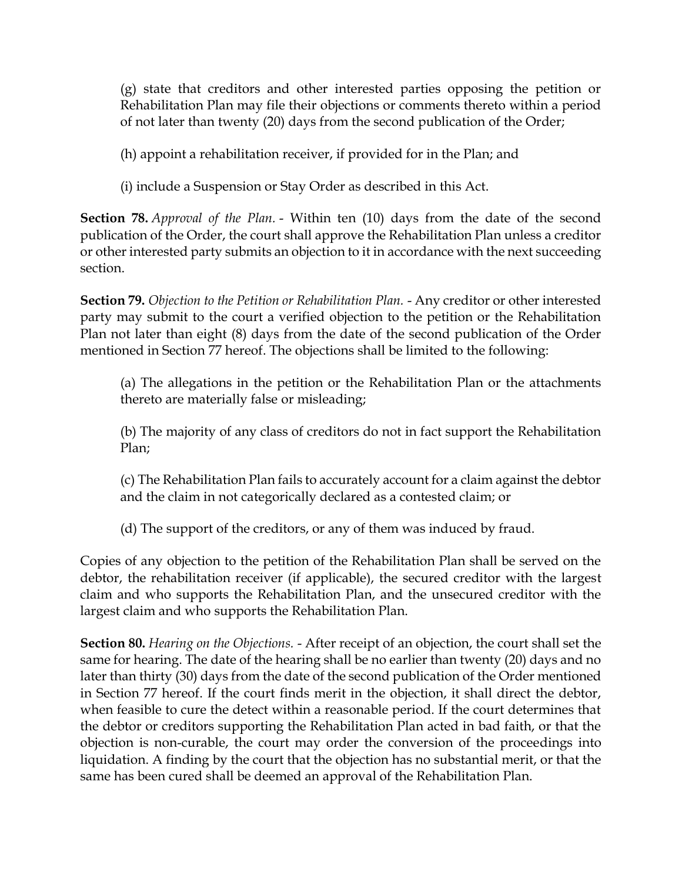(g) state that creditors and other interested parties opposing the petition or Rehabilitation Plan may file their objections or comments thereto within a period of not later than twenty (20) days from the second publication of the Order;

(h) appoint a rehabilitation receiver, if provided for in the Plan; and

(i) include a Suspension or Stay Order as described in this Act.

**Section 78.** *Approval of the Plan.* - Within ten (10) days from the date of the second publication of the Order, the court shall approve the Rehabilitation Plan unless a creditor or other interested party submits an objection to it in accordance with the next succeeding section.

**Section 79.** *Objection to the Petition or Rehabilitation Plan.* - Any creditor or other interested party may submit to the court a verified objection to the petition or the Rehabilitation Plan not later than eight (8) days from the date of the second publication of the Order mentioned in Section 77 hereof. The objections shall be limited to the following:

(a) The allegations in the petition or the Rehabilitation Plan or the attachments thereto are materially false or misleading;

(b) The majority of any class of creditors do not in fact support the Rehabilitation Plan;

(c) The Rehabilitation Plan fails to accurately account for a claim against the debtor and the claim in not categorically declared as a contested claim; or

(d) The support of the creditors, or any of them was induced by fraud.

Copies of any objection to the petition of the Rehabilitation Plan shall be served on the debtor, the rehabilitation receiver (if applicable), the secured creditor with the largest claim and who supports the Rehabilitation Plan, and the unsecured creditor with the largest claim and who supports the Rehabilitation Plan.

**Section 80.** *Hearing on the Objections.* - After receipt of an objection, the court shall set the same for hearing. The date of the hearing shall be no earlier than twenty (20) days and no later than thirty (30) days from the date of the second publication of the Order mentioned in Section 77 hereof. If the court finds merit in the objection, it shall direct the debtor, when feasible to cure the detect within a reasonable period. If the court determines that the debtor or creditors supporting the Rehabilitation Plan acted in bad faith, or that the objection is non-curable, the court may order the conversion of the proceedings into liquidation. A finding by the court that the objection has no substantial merit, or that the same has been cured shall be deemed an approval of the Rehabilitation Plan.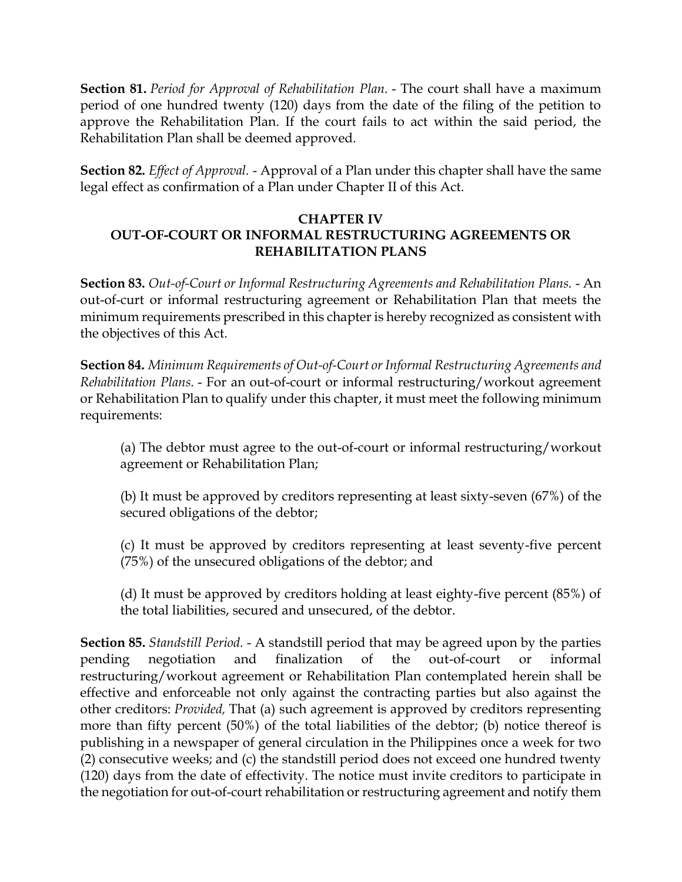**Section 81.** *Period for Approval of Rehabilitation Plan.* - The court shall have a maximum period of one hundred twenty (120) days from the date of the filing of the petition to approve the Rehabilitation Plan. If the court fails to act within the said period, the Rehabilitation Plan shall be deemed approved.

**Section 82.** *Effect of Approval.* - Approval of a Plan under this chapter shall have the same legal effect as confirmation of a Plan under Chapter II of this Act.

#### **CHAPTER IV OUT-OF-COURT OR INFORMAL RESTRUCTURING AGREEMENTS OR REHABILITATION PLANS**

**Section 83.** *Out-of-Court or Informal Restructuring Agreements and Rehabilitation Plans.* - An out-of-curt or informal restructuring agreement or Rehabilitation Plan that meets the minimum requirements prescribed in this chapter is hereby recognized as consistent with the objectives of this Act.

**Section 84.** *Minimum Requirements of Out-of-Court or Informal Restructuring Agreements and Rehabilitation Plans.* - For an out-of-court or informal restructuring/workout agreement or Rehabilitation Plan to qualify under this chapter, it must meet the following minimum requirements:

(a) The debtor must agree to the out-of-court or informal restructuring/workout agreement or Rehabilitation Plan;

(b) It must be approved by creditors representing at least sixty-seven (67%) of the secured obligations of the debtor;

(c) It must be approved by creditors representing at least seventy-five percent (75%) of the unsecured obligations of the debtor; and

(d) It must be approved by creditors holding at least eighty-five percent (85%) of the total liabilities, secured and unsecured, of the debtor.

**Section 85.** *Standstill Period.* - A standstill period that may be agreed upon by the parties pending negotiation and finalization of the out-of-court or informal restructuring/workout agreement or Rehabilitation Plan contemplated herein shall be effective and enforceable not only against the contracting parties but also against the other creditors: *Provided,* That (a) such agreement is approved by creditors representing more than fifty percent (50%) of the total liabilities of the debtor; (b) notice thereof is publishing in a newspaper of general circulation in the Philippines once a week for two (2) consecutive weeks; and (c) the standstill period does not exceed one hundred twenty (120) days from the date of effectivity. The notice must invite creditors to participate in the negotiation for out-of-court rehabilitation or restructuring agreement and notify them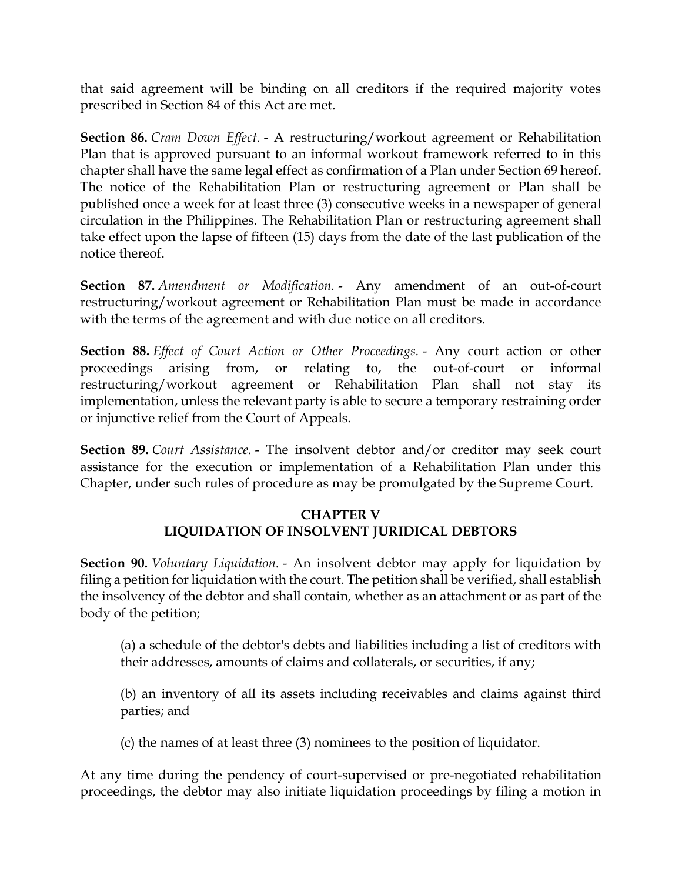that said agreement will be binding on all creditors if the required majority votes prescribed in Section 84 of this Act are met.

**Section 86.** *Cram Down Effect.* - A restructuring/workout agreement or Rehabilitation Plan that is approved pursuant to an informal workout framework referred to in this chapter shall have the same legal effect as confirmation of a Plan under Section 69 hereof. The notice of the Rehabilitation Plan or restructuring agreement or Plan shall be published once a week for at least three (3) consecutive weeks in a newspaper of general circulation in the Philippines. The Rehabilitation Plan or restructuring agreement shall take effect upon the lapse of fifteen (15) days from the date of the last publication of the notice thereof.

**Section 87.** *Amendment or Modification.* - Any amendment of an out-of-court restructuring/workout agreement or Rehabilitation Plan must be made in accordance with the terms of the agreement and with due notice on all creditors.

**Section 88.** *Effect of Court Action or Other Proceedings.* - Any court action or other proceedings arising from, or relating to, the out-of-court or informal restructuring/workout agreement or Rehabilitation Plan shall not stay its implementation, unless the relevant party is able to secure a temporary restraining order or injunctive relief from the Court of Appeals.

**Section 89.** *Court Assistance.* - The insolvent debtor and/or creditor may seek court assistance for the execution or implementation of a Rehabilitation Plan under this Chapter, under such rules of procedure as may be promulgated by the Supreme Court.

### **CHAPTER V LIQUIDATION OF INSOLVENT JURIDICAL DEBTORS**

**Section 90.** *Voluntary Liquidation.* - An insolvent debtor may apply for liquidation by filing a petition for liquidation with the court. The petition shall be verified, shall establish the insolvency of the debtor and shall contain, whether as an attachment or as part of the body of the petition;

(a) a schedule of the debtor's debts and liabilities including a list of creditors with their addresses, amounts of claims and collaterals, or securities, if any;

(b) an inventory of all its assets including receivables and claims against third parties; and

(c) the names of at least three (3) nominees to the position of liquidator.

At any time during the pendency of court-supervised or pre-negotiated rehabilitation proceedings, the debtor may also initiate liquidation proceedings by filing a motion in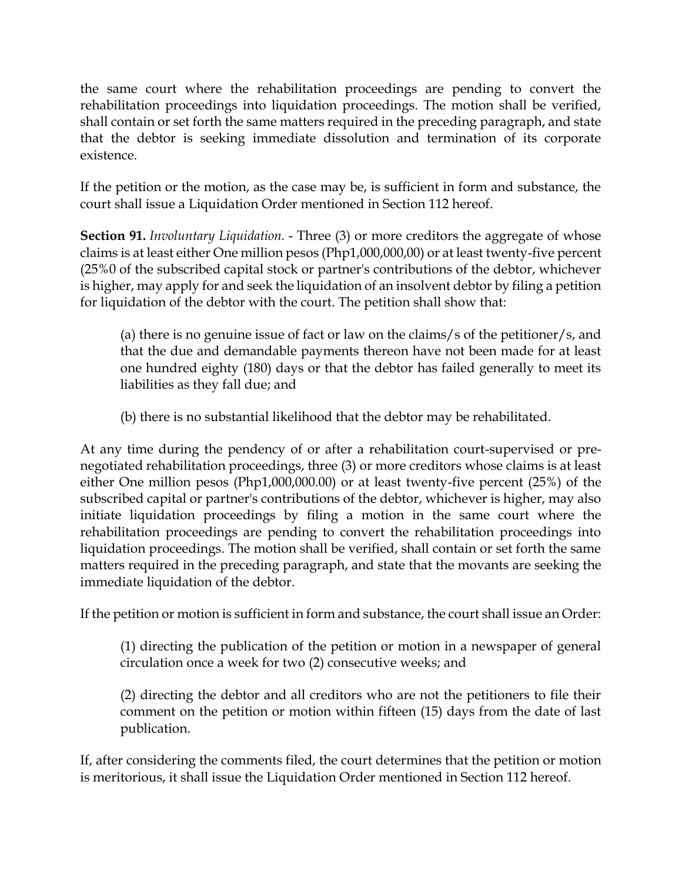the same court where the rehabilitation proceedings are pending to convert the rehabilitation proceedings into liquidation proceedings. The motion shall be verified, shall contain or set forth the same matters required in the preceding paragraph, and state that the debtor is seeking immediate dissolution and termination of its corporate existence.

If the petition or the motion, as the case may be, is sufficient in form and substance, the court shall issue a Liquidation Order mentioned in Section 112 hereof.

**Section 91.** *Involuntary Liquidation.* - Three (3) or more creditors the aggregate of whose claims is at least either One million pesos (Php1,000,000,00) or at least twenty-five percent (25%0 of the subscribed capital stock or partner's contributions of the debtor, whichever is higher, may apply for and seek the liquidation of an insolvent debtor by filing a petition for liquidation of the debtor with the court. The petition shall show that:

(a) there is no genuine issue of fact or law on the claims/s of the petitioner/s, and that the due and demandable payments thereon have not been made for at least one hundred eighty (180) days or that the debtor has failed generally to meet its liabilities as they fall due; and

(b) there is no substantial likelihood that the debtor may be rehabilitated.

At any time during the pendency of or after a rehabilitation court-supervised or prenegotiated rehabilitation proceedings, three (3) or more creditors whose claims is at least either One million pesos (Php1,000,000.00) or at least twenty-five percent (25%) of the subscribed capital or partner's contributions of the debtor, whichever is higher, may also initiate liquidation proceedings by filing a motion in the same court where the rehabilitation proceedings are pending to convert the rehabilitation proceedings into liquidation proceedings. The motion shall be verified, shall contain or set forth the same matters required in the preceding paragraph, and state that the movants are seeking the immediate liquidation of the debtor.

If the petition or motion is sufficient in form and substance, the court shall issue an Order:

(1) directing the publication of the petition or motion in a newspaper of general circulation once a week for two (2) consecutive weeks; and

(2) directing the debtor and all creditors who are not the petitioners to file their comment on the petition or motion within fifteen (15) days from the date of last publication.

If, after considering the comments filed, the court determines that the petition or motion is meritorious, it shall issue the Liquidation Order mentioned in Section 112 hereof.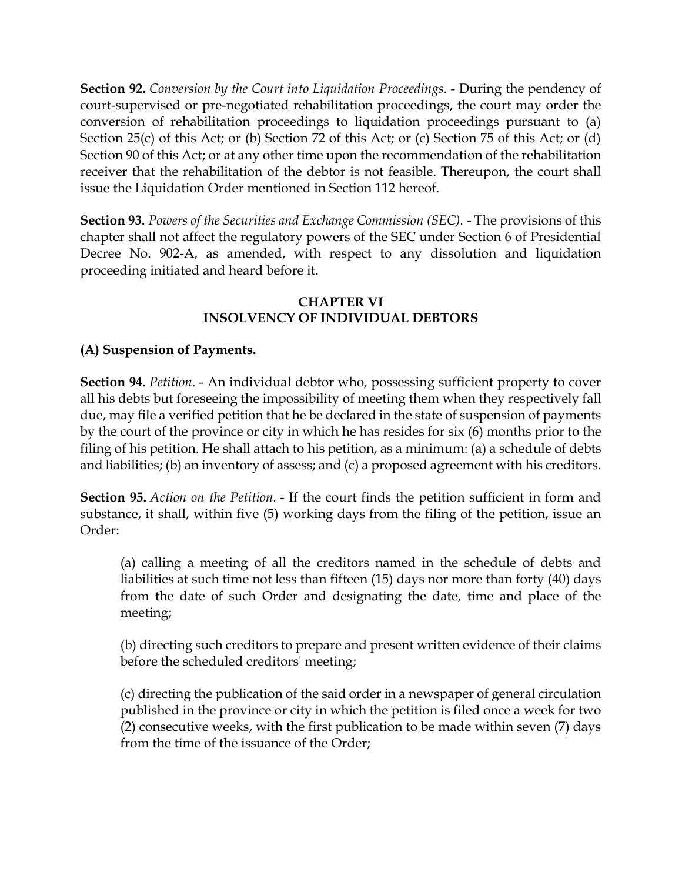**Section 92.** *Conversion by the Court into Liquidation Proceedings.* - During the pendency of court-supervised or pre-negotiated rehabilitation proceedings, the court may order the conversion of rehabilitation proceedings to liquidation proceedings pursuant to (a) Section 25(c) of this Act; or (b) Section 72 of this Act; or (c) Section 75 of this Act; or (d) Section 90 of this Act; or at any other time upon the recommendation of the rehabilitation receiver that the rehabilitation of the debtor is not feasible. Thereupon, the court shall issue the Liquidation Order mentioned in Section 112 hereof.

**Section 93.** *Powers of the Securities and Exchange Commission (SEC).* - The provisions of this chapter shall not affect the regulatory powers of the SEC under Section 6 of Presidential Decree No. 902-A, as amended, with respect to any dissolution and liquidation proceeding initiated and heard before it.

#### **CHAPTER VI INSOLVENCY OF INDIVIDUAL DEBTORS**

### **(A) Suspension of Payments.**

**Section 94.** *Petition.* - An individual debtor who, possessing sufficient property to cover all his debts but foreseeing the impossibility of meeting them when they respectively fall due, may file a verified petition that he be declared in the state of suspension of payments by the court of the province or city in which he has resides for six (6) months prior to the filing of his petition. He shall attach to his petition, as a minimum: (a) a schedule of debts and liabilities; (b) an inventory of assess; and (c) a proposed agreement with his creditors.

**Section 95.** *Action on the Petition.* - If the court finds the petition sufficient in form and substance, it shall, within five (5) working days from the filing of the petition, issue an Order:

(a) calling a meeting of all the creditors named in the schedule of debts and liabilities at such time not less than fifteen (15) days nor more than forty (40) days from the date of such Order and designating the date, time and place of the meeting;

(b) directing such creditors to prepare and present written evidence of their claims before the scheduled creditors' meeting;

(c) directing the publication of the said order in a newspaper of general circulation published in the province or city in which the petition is filed once a week for two (2) consecutive weeks, with the first publication to be made within seven (7) days from the time of the issuance of the Order;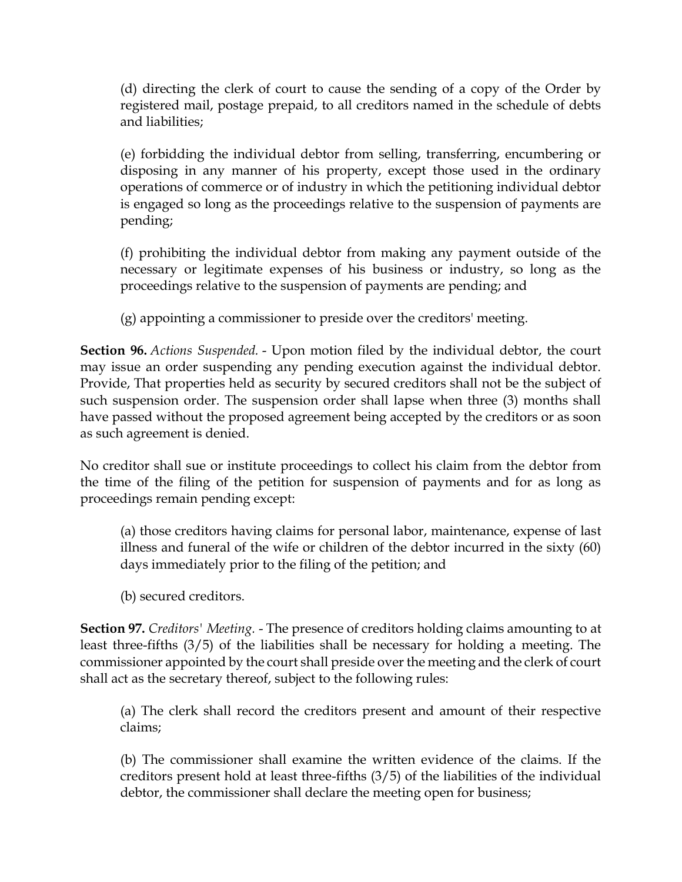(d) directing the clerk of court to cause the sending of a copy of the Order by registered mail, postage prepaid, to all creditors named in the schedule of debts and liabilities;

(e) forbidding the individual debtor from selling, transferring, encumbering or disposing in any manner of his property, except those used in the ordinary operations of commerce or of industry in which the petitioning individual debtor is engaged so long as the proceedings relative to the suspension of payments are pending;

(f) prohibiting the individual debtor from making any payment outside of the necessary or legitimate expenses of his business or industry, so long as the proceedings relative to the suspension of payments are pending; and

(g) appointing a commissioner to preside over the creditors' meeting.

**Section 96.** *Actions Suspended.* - Upon motion filed by the individual debtor, the court may issue an order suspending any pending execution against the individual debtor. Provide, That properties held as security by secured creditors shall not be the subject of such suspension order. The suspension order shall lapse when three (3) months shall have passed without the proposed agreement being accepted by the creditors or as soon as such agreement is denied.

No creditor shall sue or institute proceedings to collect his claim from the debtor from the time of the filing of the petition for suspension of payments and for as long as proceedings remain pending except:

(a) those creditors having claims for personal labor, maintenance, expense of last illness and funeral of the wife or children of the debtor incurred in the sixty (60) days immediately prior to the filing of the petition; and

(b) secured creditors.

**Section 97.** *Creditors' Meeting.* - The presence of creditors holding claims amounting to at least three-fifths (3/5) of the liabilities shall be necessary for holding a meeting. The commissioner appointed by the court shall preside over the meeting and the clerk of court shall act as the secretary thereof, subject to the following rules:

(a) The clerk shall record the creditors present and amount of their respective claims;

(b) The commissioner shall examine the written evidence of the claims. If the creditors present hold at least three-fifths (3/5) of the liabilities of the individual debtor, the commissioner shall declare the meeting open for business;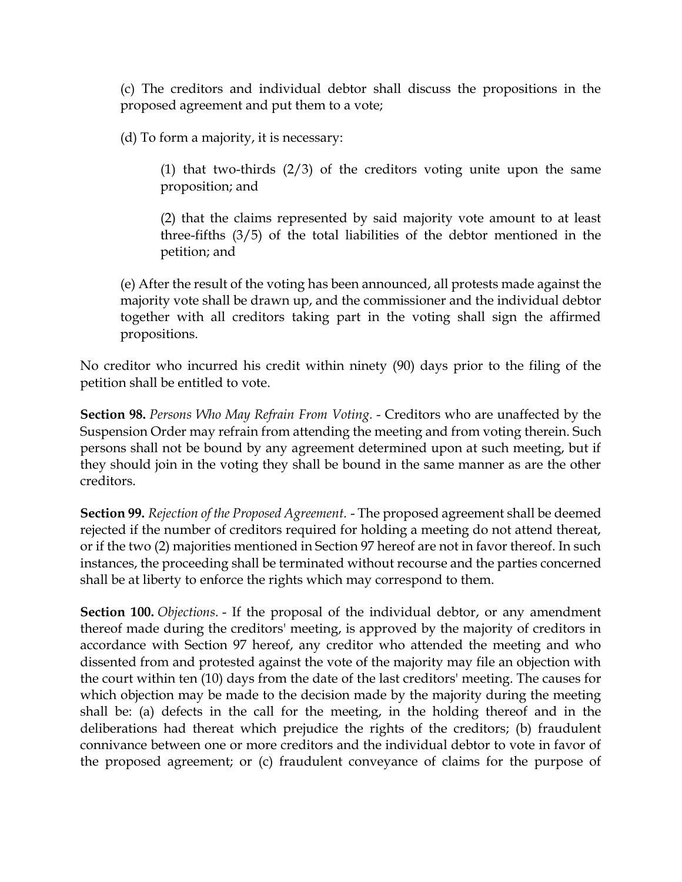(c) The creditors and individual debtor shall discuss the propositions in the proposed agreement and put them to a vote;

(d) To form a majority, it is necessary:

(1) that two-thirds (2/3) of the creditors voting unite upon the same proposition; and

(2) that the claims represented by said majority vote amount to at least three-fifths (3/5) of the total liabilities of the debtor mentioned in the petition; and

(e) After the result of the voting has been announced, all protests made against the majority vote shall be drawn up, and the commissioner and the individual debtor together with all creditors taking part in the voting shall sign the affirmed propositions.

No creditor who incurred his credit within ninety (90) days prior to the filing of the petition shall be entitled to vote.

**Section 98.** *Persons Who May Refrain From Voting.* - Creditors who are unaffected by the Suspension Order may refrain from attending the meeting and from voting therein. Such persons shall not be bound by any agreement determined upon at such meeting, but if they should join in the voting they shall be bound in the same manner as are the other creditors.

**Section 99.** *Rejection of the Proposed Agreement.* - The proposed agreement shall be deemed rejected if the number of creditors required for holding a meeting do not attend thereat, or if the two (2) majorities mentioned in Section 97 hereof are not in favor thereof. In such instances, the proceeding shall be terminated without recourse and the parties concerned shall be at liberty to enforce the rights which may correspond to them.

**Section 100.** *Objections.* - If the proposal of the individual debtor, or any amendment thereof made during the creditors' meeting, is approved by the majority of creditors in accordance with Section 97 hereof, any creditor who attended the meeting and who dissented from and protested against the vote of the majority may file an objection with the court within ten (10) days from the date of the last creditors' meeting. The causes for which objection may be made to the decision made by the majority during the meeting shall be: (a) defects in the call for the meeting, in the holding thereof and in the deliberations had thereat which prejudice the rights of the creditors; (b) fraudulent connivance between one or more creditors and the individual debtor to vote in favor of the proposed agreement; or (c) fraudulent conveyance of claims for the purpose of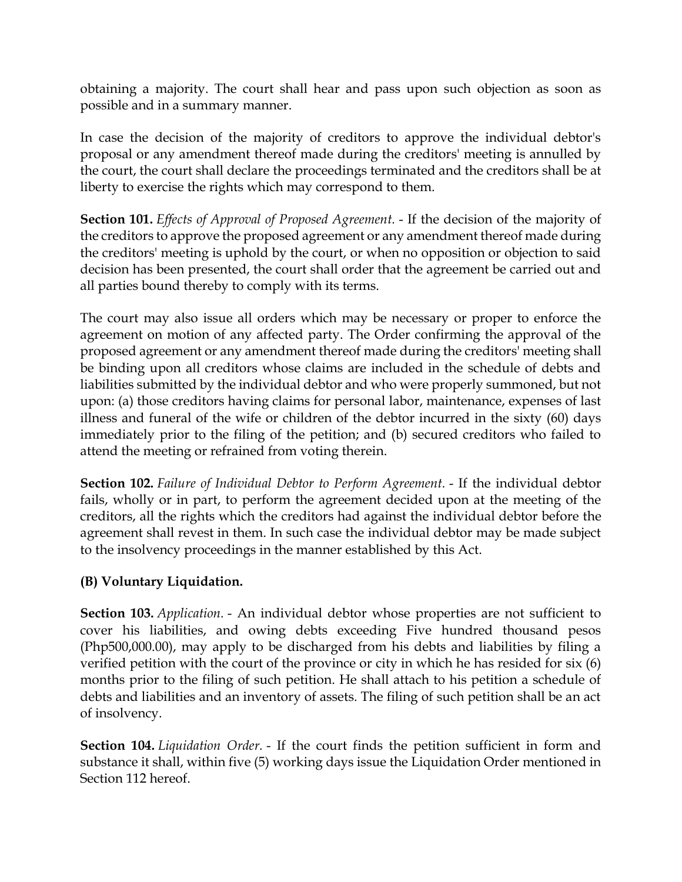obtaining a majority. The court shall hear and pass upon such objection as soon as possible and in a summary manner.

In case the decision of the majority of creditors to approve the individual debtor's proposal or any amendment thereof made during the creditors' meeting is annulled by the court, the court shall declare the proceedings terminated and the creditors shall be at liberty to exercise the rights which may correspond to them.

**Section 101.** *Effects of Approval of Proposed Agreement.* - If the decision of the majority of the creditors to approve the proposed agreement or any amendment thereof made during the creditors' meeting is uphold by the court, or when no opposition or objection to said decision has been presented, the court shall order that the agreement be carried out and all parties bound thereby to comply with its terms.

The court may also issue all orders which may be necessary or proper to enforce the agreement on motion of any affected party. The Order confirming the approval of the proposed agreement or any amendment thereof made during the creditors' meeting shall be binding upon all creditors whose claims are included in the schedule of debts and liabilities submitted by the individual debtor and who were properly summoned, but not upon: (a) those creditors having claims for personal labor, maintenance, expenses of last illness and funeral of the wife or children of the debtor incurred in the sixty (60) days immediately prior to the filing of the petition; and (b) secured creditors who failed to attend the meeting or refrained from voting therein.

**Section 102.** *Failure of Individual Debtor to Perform Agreement.* - If the individual debtor fails, wholly or in part, to perform the agreement decided upon at the meeting of the creditors, all the rights which the creditors had against the individual debtor before the agreement shall revest in them. In such case the individual debtor may be made subject to the insolvency proceedings in the manner established by this Act.

# **(B) Voluntary Liquidation.**

**Section 103.** *Application.* - An individual debtor whose properties are not sufficient to cover his liabilities, and owing debts exceeding Five hundred thousand pesos (Php500,000.00), may apply to be discharged from his debts and liabilities by filing a verified petition with the court of the province or city in which he has resided for six (6) months prior to the filing of such petition. He shall attach to his petition a schedule of debts and liabilities and an inventory of assets. The filing of such petition shall be an act of insolvency.

**Section 104.** *Liquidation Order.* - If the court finds the petition sufficient in form and substance it shall, within five (5) working days issue the Liquidation Order mentioned in Section 112 hereof.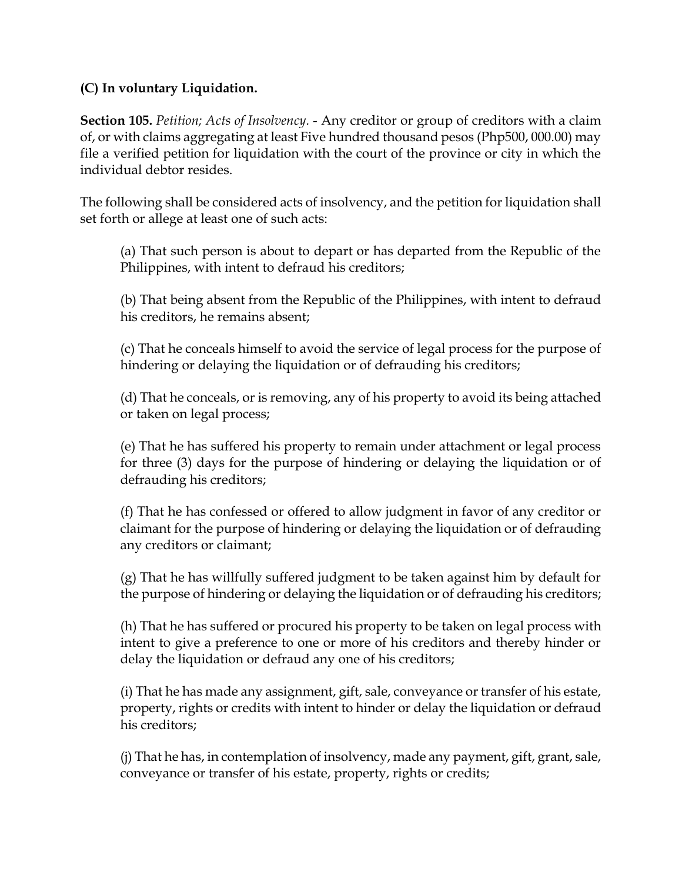## **(C) In voluntary Liquidation.**

**Section 105.** *Petition; Acts of Insolvency.* - Any creditor or group of creditors with a claim of, or with claims aggregating at least Five hundred thousand pesos (Php500, 000.00) may file a verified petition for liquidation with the court of the province or city in which the individual debtor resides.

The following shall be considered acts of insolvency, and the petition for liquidation shall set forth or allege at least one of such acts:

(a) That such person is about to depart or has departed from the Republic of the Philippines, with intent to defraud his creditors;

(b) That being absent from the Republic of the Philippines, with intent to defraud his creditors, he remains absent;

(c) That he conceals himself to avoid the service of legal process for the purpose of hindering or delaying the liquidation or of defrauding his creditors;

(d) That he conceals, or is removing, any of his property to avoid its being attached or taken on legal process;

(e) That he has suffered his property to remain under attachment or legal process for three (3) days for the purpose of hindering or delaying the liquidation or of defrauding his creditors;

(f) That he has confessed or offered to allow judgment in favor of any creditor or claimant for the purpose of hindering or delaying the liquidation or of defrauding any creditors or claimant;

(g) That he has willfully suffered judgment to be taken against him by default for the purpose of hindering or delaying the liquidation or of defrauding his creditors;

(h) That he has suffered or procured his property to be taken on legal process with intent to give a preference to one or more of his creditors and thereby hinder or delay the liquidation or defraud any one of his creditors;

(i) That he has made any assignment, gift, sale, conveyance or transfer of his estate, property, rights or credits with intent to hinder or delay the liquidation or defraud his creditors;

(j) That he has, in contemplation of insolvency, made any payment, gift, grant, sale, conveyance or transfer of his estate, property, rights or credits;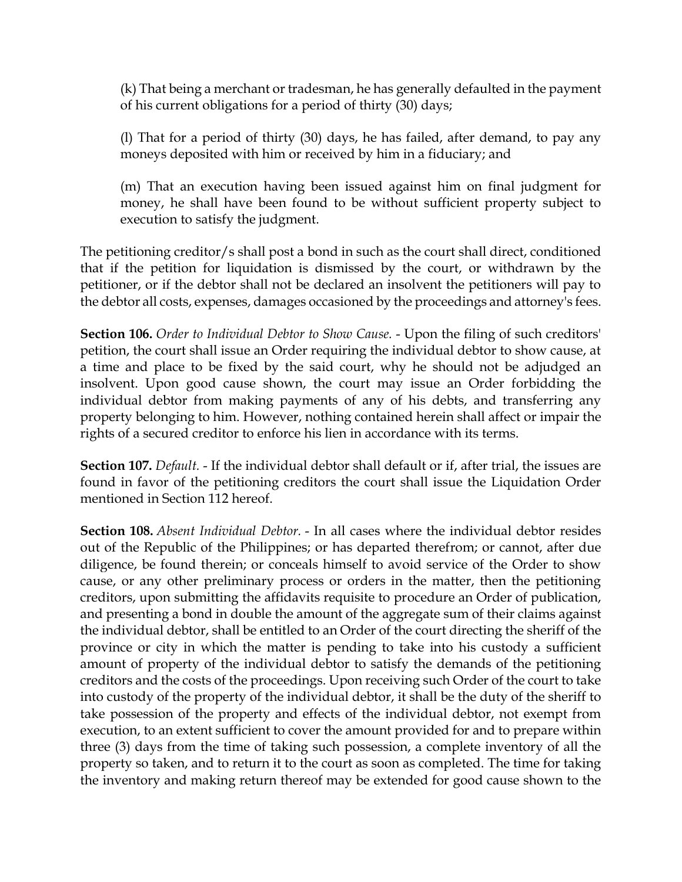(k) That being a merchant or tradesman, he has generally defaulted in the payment of his current obligations for a period of thirty (30) days;

(l) That for a period of thirty (30) days, he has failed, after demand, to pay any moneys deposited with him or received by him in a fiduciary; and

(m) That an execution having been issued against him on final judgment for money, he shall have been found to be without sufficient property subject to execution to satisfy the judgment.

The petitioning creditor/s shall post a bond in such as the court shall direct, conditioned that if the petition for liquidation is dismissed by the court, or withdrawn by the petitioner, or if the debtor shall not be declared an insolvent the petitioners will pay to the debtor all costs, expenses, damages occasioned by the proceedings and attorney's fees.

**Section 106.** *Order to Individual Debtor to Show Cause.* - Upon the filing of such creditors' petition, the court shall issue an Order requiring the individual debtor to show cause, at a time and place to be fixed by the said court, why he should not be adjudged an insolvent. Upon good cause shown, the court may issue an Order forbidding the individual debtor from making payments of any of his debts, and transferring any property belonging to him. However, nothing contained herein shall affect or impair the rights of a secured creditor to enforce his lien in accordance with its terms.

**Section 107.** *Default.* - If the individual debtor shall default or if, after trial, the issues are found in favor of the petitioning creditors the court shall issue the Liquidation Order mentioned in Section 112 hereof.

**Section 108.** *Absent Individual Debtor.* - In all cases where the individual debtor resides out of the Republic of the Philippines; or has departed therefrom; or cannot, after due diligence, be found therein; or conceals himself to avoid service of the Order to show cause, or any other preliminary process or orders in the matter, then the petitioning creditors, upon submitting the affidavits requisite to procedure an Order of publication, and presenting a bond in double the amount of the aggregate sum of their claims against the individual debtor, shall be entitled to an Order of the court directing the sheriff of the province or city in which the matter is pending to take into his custody a sufficient amount of property of the individual debtor to satisfy the demands of the petitioning creditors and the costs of the proceedings. Upon receiving such Order of the court to take into custody of the property of the individual debtor, it shall be the duty of the sheriff to take possession of the property and effects of the individual debtor, not exempt from execution, to an extent sufficient to cover the amount provided for and to prepare within three (3) days from the time of taking such possession, a complete inventory of all the property so taken, and to return it to the court as soon as completed. The time for taking the inventory and making return thereof may be extended for good cause shown to the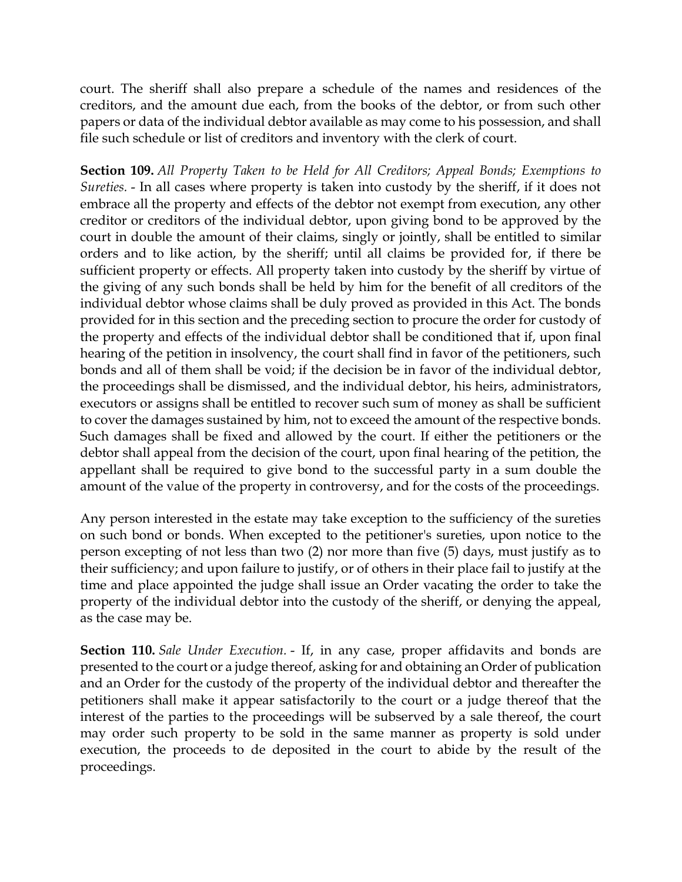court. The sheriff shall also prepare a schedule of the names and residences of the creditors, and the amount due each, from the books of the debtor, or from such other papers or data of the individual debtor available as may come to his possession, and shall file such schedule or list of creditors and inventory with the clerk of court.

**Section 109.** *All Property Taken to be Held for All Creditors; Appeal Bonds; Exemptions to Sureties.* - In all cases where property is taken into custody by the sheriff, if it does not embrace all the property and effects of the debtor not exempt from execution, any other creditor or creditors of the individual debtor, upon giving bond to be approved by the court in double the amount of their claims, singly or jointly, shall be entitled to similar orders and to like action, by the sheriff; until all claims be provided for, if there be sufficient property or effects. All property taken into custody by the sheriff by virtue of the giving of any such bonds shall be held by him for the benefit of all creditors of the individual debtor whose claims shall be duly proved as provided in this Act. The bonds provided for in this section and the preceding section to procure the order for custody of the property and effects of the individual debtor shall be conditioned that if, upon final hearing of the petition in insolvency, the court shall find in favor of the petitioners, such bonds and all of them shall be void; if the decision be in favor of the individual debtor, the proceedings shall be dismissed, and the individual debtor, his heirs, administrators, executors or assigns shall be entitled to recover such sum of money as shall be sufficient to cover the damages sustained by him, not to exceed the amount of the respective bonds. Such damages shall be fixed and allowed by the court. If either the petitioners or the debtor shall appeal from the decision of the court, upon final hearing of the petition, the appellant shall be required to give bond to the successful party in a sum double the amount of the value of the property in controversy, and for the costs of the proceedings.

Any person interested in the estate may take exception to the sufficiency of the sureties on such bond or bonds. When excepted to the petitioner's sureties, upon notice to the person excepting of not less than two (2) nor more than five (5) days, must justify as to their sufficiency; and upon failure to justify, or of others in their place fail to justify at the time and place appointed the judge shall issue an Order vacating the order to take the property of the individual debtor into the custody of the sheriff, or denying the appeal, as the case may be.

**Section 110.** *Sale Under Execution.* - If, in any case, proper affidavits and bonds are presented to the court or a judge thereof, asking for and obtaining an Order of publication and an Order for the custody of the property of the individual debtor and thereafter the petitioners shall make it appear satisfactorily to the court or a judge thereof that the interest of the parties to the proceedings will be subserved by a sale thereof, the court may order such property to be sold in the same manner as property is sold under execution, the proceeds to de deposited in the court to abide by the result of the proceedings.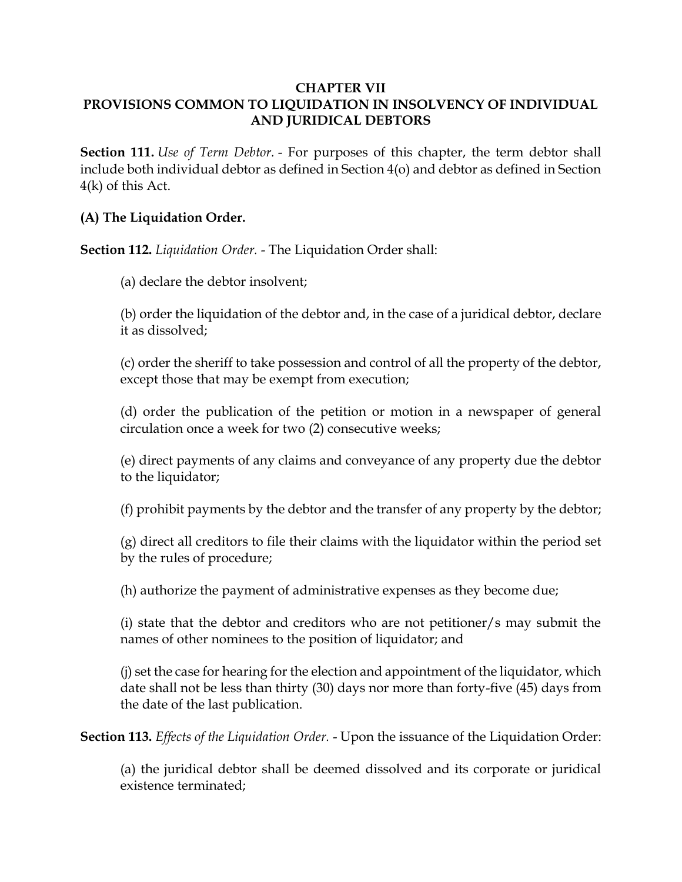#### **CHAPTER VII PROVISIONS COMMON TO LIQUIDATION IN INSOLVENCY OF INDIVIDUAL AND JURIDICAL DEBTORS**

**Section 111.** *Use of Term Debtor.* - For purposes of this chapter, the term debtor shall include both individual debtor as defined in Section 4(o) and debtor as defined in Section 4(k) of this Act.

### **(A) The Liquidation Order.**

**Section 112.** *Liquidation Order.* - The Liquidation Order shall:

(a) declare the debtor insolvent;

(b) order the liquidation of the debtor and, in the case of a juridical debtor, declare it as dissolved;

(c) order the sheriff to take possession and control of all the property of the debtor, except those that may be exempt from execution;

(d) order the publication of the petition or motion in a newspaper of general circulation once a week for two (2) consecutive weeks;

(e) direct payments of any claims and conveyance of any property due the debtor to the liquidator;

(f) prohibit payments by the debtor and the transfer of any property by the debtor;

(g) direct all creditors to file their claims with the liquidator within the period set by the rules of procedure;

(h) authorize the payment of administrative expenses as they become due;

(i) state that the debtor and creditors who are not petitioner/s may submit the names of other nominees to the position of liquidator; and

(j) set the case for hearing for the election and appointment of the liquidator, which date shall not be less than thirty (30) days nor more than forty-five (45) days from the date of the last publication.

**Section 113.** *Effects of the Liquidation Order.* - Upon the issuance of the Liquidation Order:

(a) the juridical debtor shall be deemed dissolved and its corporate or juridical existence terminated;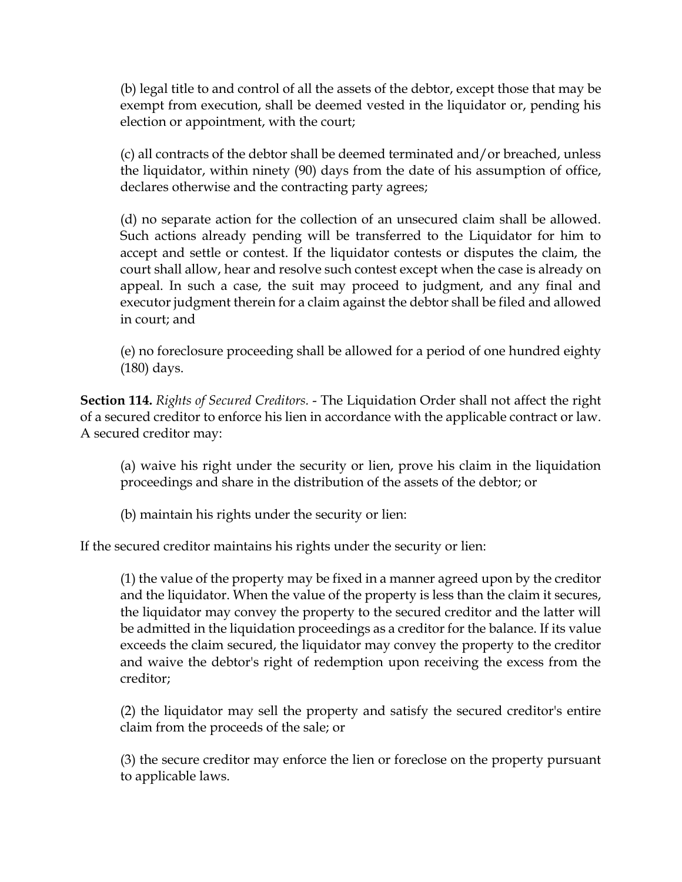(b) legal title to and control of all the assets of the debtor, except those that may be exempt from execution, shall be deemed vested in the liquidator or, pending his election or appointment, with the court;

(c) all contracts of the debtor shall be deemed terminated and/or breached, unless the liquidator, within ninety (90) days from the date of his assumption of office, declares otherwise and the contracting party agrees;

(d) no separate action for the collection of an unsecured claim shall be allowed. Such actions already pending will be transferred to the Liquidator for him to accept and settle or contest. If the liquidator contests or disputes the claim, the court shall allow, hear and resolve such contest except when the case is already on appeal. In such a case, the suit may proceed to judgment, and any final and executor judgment therein for a claim against the debtor shall be filed and allowed in court; and

(e) no foreclosure proceeding shall be allowed for a period of one hundred eighty (180) days.

**Section 114.** *Rights of Secured Creditors.* - The Liquidation Order shall not affect the right of a secured creditor to enforce his lien in accordance with the applicable contract or law. A secured creditor may:

(a) waive his right under the security or lien, prove his claim in the liquidation proceedings and share in the distribution of the assets of the debtor; or

(b) maintain his rights under the security or lien:

If the secured creditor maintains his rights under the security or lien:

(1) the value of the property may be fixed in a manner agreed upon by the creditor and the liquidator. When the value of the property is less than the claim it secures, the liquidator may convey the property to the secured creditor and the latter will be admitted in the liquidation proceedings as a creditor for the balance. If its value exceeds the claim secured, the liquidator may convey the property to the creditor and waive the debtor's right of redemption upon receiving the excess from the creditor;

(2) the liquidator may sell the property and satisfy the secured creditor's entire claim from the proceeds of the sale; or

(3) the secure creditor may enforce the lien or foreclose on the property pursuant to applicable laws.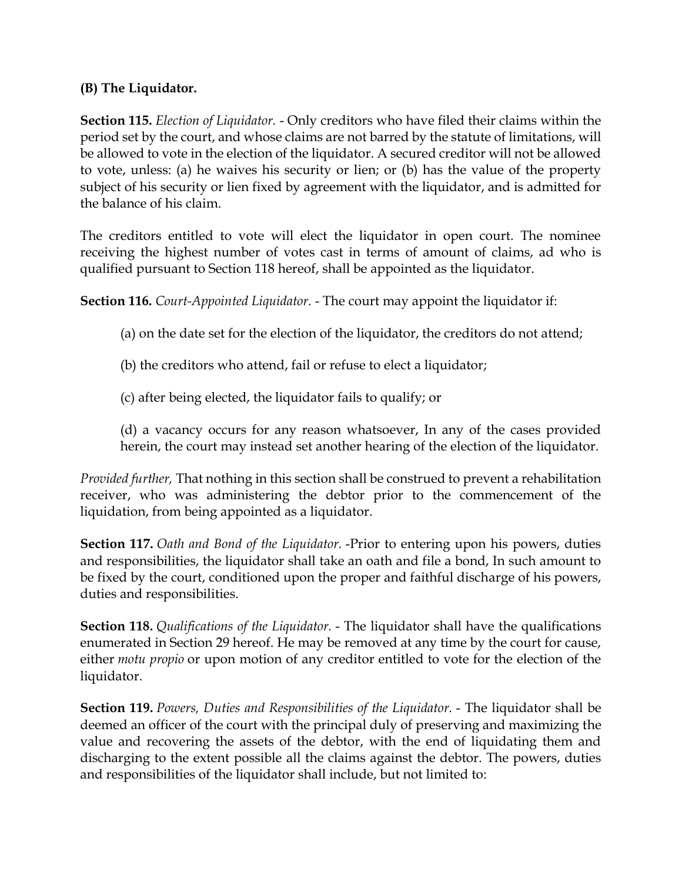## **(B) The Liquidator.**

**Section 115.** *Election of Liquidator.* - Only creditors who have filed their claims within the period set by the court, and whose claims are not barred by the statute of limitations, will be allowed to vote in the election of the liquidator. A secured creditor will not be allowed to vote, unless: (a) he waives his security or lien; or (b) has the value of the property subject of his security or lien fixed by agreement with the liquidator, and is admitted for the balance of his claim.

The creditors entitled to vote will elect the liquidator in open court. The nominee receiving the highest number of votes cast in terms of amount of claims, ad who is qualified pursuant to Section 118 hereof, shall be appointed as the liquidator.

**Section 116.** *Court-Appointed Liquidator.* - The court may appoint the liquidator if:

- (a) on the date set for the election of the liquidator, the creditors do not attend;
- (b) the creditors who attend, fail or refuse to elect a liquidator;
- (c) after being elected, the liquidator fails to qualify; or
- (d) a vacancy occurs for any reason whatsoever, In any of the cases provided herein, the court may instead set another hearing of the election of the liquidator.

*Provided further,* That nothing in this section shall be construed to prevent a rehabilitation receiver, who was administering the debtor prior to the commencement of the liquidation, from being appointed as a liquidator.

**Section 117.** *Oath and Bond of the Liquidator.* -Prior to entering upon his powers, duties and responsibilities, the liquidator shall take an oath and file a bond, In such amount to be fixed by the court, conditioned upon the proper and faithful discharge of his powers, duties and responsibilities.

**Section 118.** *Qualifications of the Liquidator.* - The liquidator shall have the qualifications enumerated in Section 29 hereof. He may be removed at any time by the court for cause, either *motu propio* or upon motion of any creditor entitled to vote for the election of the liquidator.

**Section 119.** *Powers, Duties and Responsibilities of the Liquidator.* - The liquidator shall be deemed an officer of the court with the principal duly of preserving and maximizing the value and recovering the assets of the debtor, with the end of liquidating them and discharging to the extent possible all the claims against the debtor. The powers, duties and responsibilities of the liquidator shall include, but not limited to: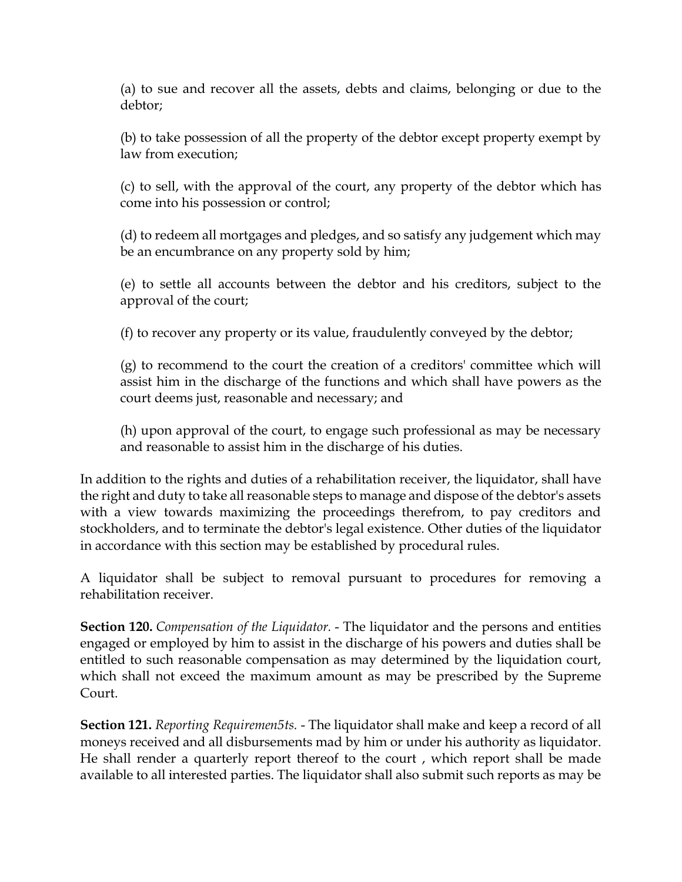(a) to sue and recover all the assets, debts and claims, belonging or due to the debtor;

(b) to take possession of all the property of the debtor except property exempt by law from execution;

(c) to sell, with the approval of the court, any property of the debtor which has come into his possession or control;

(d) to redeem all mortgages and pledges, and so satisfy any judgement which may be an encumbrance on any property sold by him;

(e) to settle all accounts between the debtor and his creditors, subject to the approval of the court;

(f) to recover any property or its value, fraudulently conveyed by the debtor;

(g) to recommend to the court the creation of a creditors' committee which will assist him in the discharge of the functions and which shall have powers as the court deems just, reasonable and necessary; and

(h) upon approval of the court, to engage such professional as may be necessary and reasonable to assist him in the discharge of his duties.

In addition to the rights and duties of a rehabilitation receiver, the liquidator, shall have the right and duty to take all reasonable steps to manage and dispose of the debtor's assets with a view towards maximizing the proceedings therefrom, to pay creditors and stockholders, and to terminate the debtor's legal existence. Other duties of the liquidator in accordance with this section may be established by procedural rules.

A liquidator shall be subject to removal pursuant to procedures for removing a rehabilitation receiver.

**Section 120.** *Compensation of the Liquidator.* - The liquidator and the persons and entities engaged or employed by him to assist in the discharge of his powers and duties shall be entitled to such reasonable compensation as may determined by the liquidation court, which shall not exceed the maximum amount as may be prescribed by the Supreme Court.

**Section 121.** *Reporting Requiremen5ts.* - The liquidator shall make and keep a record of all moneys received and all disbursements mad by him or under his authority as liquidator. He shall render a quarterly report thereof to the court , which report shall be made available to all interested parties. The liquidator shall also submit such reports as may be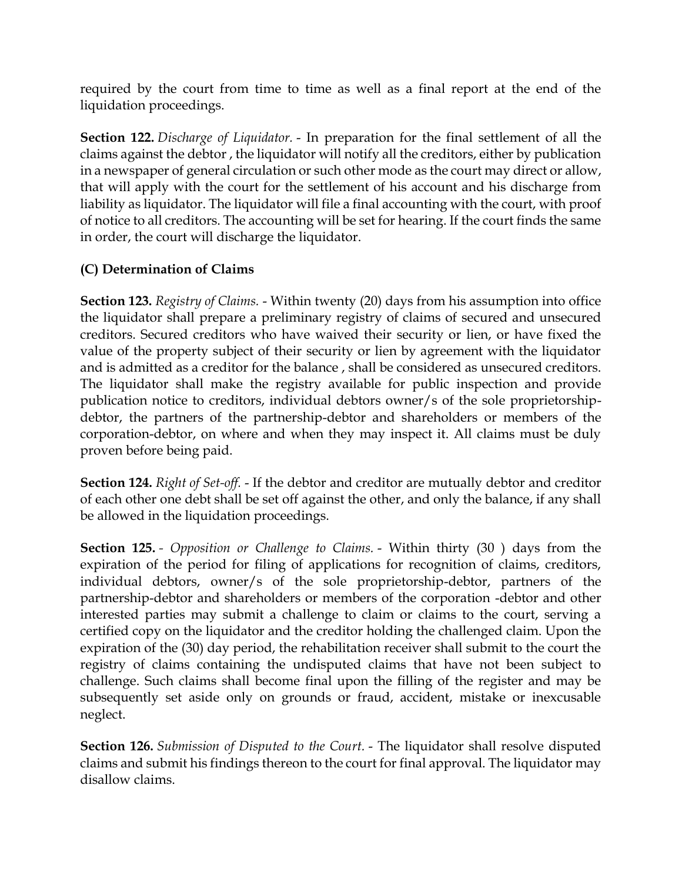required by the court from time to time as well as a final report at the end of the liquidation proceedings.

**Section 122.** *Discharge of Liquidator.* - In preparation for the final settlement of all the claims against the debtor , the liquidator will notify all the creditors, either by publication in a newspaper of general circulation or such other mode as the court may direct or allow, that will apply with the court for the settlement of his account and his discharge from liability as liquidator. The liquidator will file a final accounting with the court, with proof of notice to all creditors. The accounting will be set for hearing. If the court finds the same in order, the court will discharge the liquidator.

# **(C) Determination of Claims**

**Section 123.** *Registry of Claims.* - Within twenty (20) days from his assumption into office the liquidator shall prepare a preliminary registry of claims of secured and unsecured creditors. Secured creditors who have waived their security or lien, or have fixed the value of the property subject of their security or lien by agreement with the liquidator and is admitted as a creditor for the balance , shall be considered as unsecured creditors. The liquidator shall make the registry available for public inspection and provide publication notice to creditors, individual debtors owner/s of the sole proprietorshipdebtor, the partners of the partnership-debtor and shareholders or members of the corporation-debtor, on where and when they may inspect it. All claims must be duly proven before being paid.

**Section 124.** *Right of Set-off.* - If the debtor and creditor are mutually debtor and creditor of each other one debt shall be set off against the other, and only the balance, if any shall be allowed in the liquidation proceedings.

**Section 125.** *- Opposition or Challenge to Claims.* - Within thirty (30 ) days from the expiration of the period for filing of applications for recognition of claims, creditors, individual debtors, owner/s of the sole proprietorship-debtor, partners of the partnership-debtor and shareholders or members of the corporation -debtor and other interested parties may submit a challenge to claim or claims to the court, serving a certified copy on the liquidator and the creditor holding the challenged claim. Upon the expiration of the (30) day period, the rehabilitation receiver shall submit to the court the registry of claims containing the undisputed claims that have not been subject to challenge. Such claims shall become final upon the filling of the register and may be subsequently set aside only on grounds or fraud, accident, mistake or inexcusable neglect.

**Section 126.** *Submission of Disputed to the Court.* - The liquidator shall resolve disputed claims and submit his findings thereon to the court for final approval. The liquidator may disallow claims.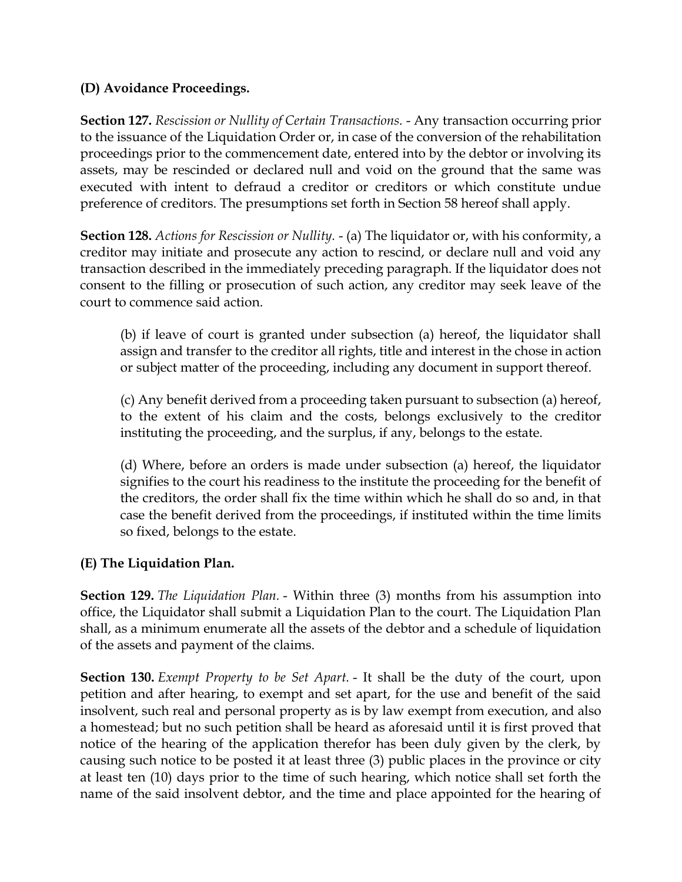## **(D) Avoidance Proceedings.**

**Section 127.** *Rescission or Nullity of Certain Transactions.* - Any transaction occurring prior to the issuance of the Liquidation Order or, in case of the conversion of the rehabilitation proceedings prior to the commencement date, entered into by the debtor or involving its assets, may be rescinded or declared null and void on the ground that the same was executed with intent to defraud a creditor or creditors or which constitute undue preference of creditors. The presumptions set forth in Section 58 hereof shall apply.

**Section 128.** *Actions for Rescission or Nullity.* - (a) The liquidator or, with his conformity, a creditor may initiate and prosecute any action to rescind, or declare null and void any transaction described in the immediately preceding paragraph. If the liquidator does not consent to the filling or prosecution of such action, any creditor may seek leave of the court to commence said action.

(b) if leave of court is granted under subsection (a) hereof, the liquidator shall assign and transfer to the creditor all rights, title and interest in the chose in action or subject matter of the proceeding, including any document in support thereof.

(c) Any benefit derived from a proceeding taken pursuant to subsection (a) hereof, to the extent of his claim and the costs, belongs exclusively to the creditor instituting the proceeding, and the surplus, if any, belongs to the estate.

(d) Where, before an orders is made under subsection (a) hereof, the liquidator signifies to the court his readiness to the institute the proceeding for the benefit of the creditors, the order shall fix the time within which he shall do so and, in that case the benefit derived from the proceedings, if instituted within the time limits so fixed, belongs to the estate.

# **(E) The Liquidation Plan.**

**Section 129.** *The Liquidation Plan.* - Within three (3) months from his assumption into office, the Liquidator shall submit a Liquidation Plan to the court. The Liquidation Plan shall, as a minimum enumerate all the assets of the debtor and a schedule of liquidation of the assets and payment of the claims.

**Section 130.** *Exempt Property to be Set Apart.* - It shall be the duty of the court, upon petition and after hearing, to exempt and set apart, for the use and benefit of the said insolvent, such real and personal property as is by law exempt from execution, and also a homestead; but no such petition shall be heard as aforesaid until it is first proved that notice of the hearing of the application therefor has been duly given by the clerk, by causing such notice to be posted it at least three (3) public places in the province or city at least ten (10) days prior to the time of such hearing, which notice shall set forth the name of the said insolvent debtor, and the time and place appointed for the hearing of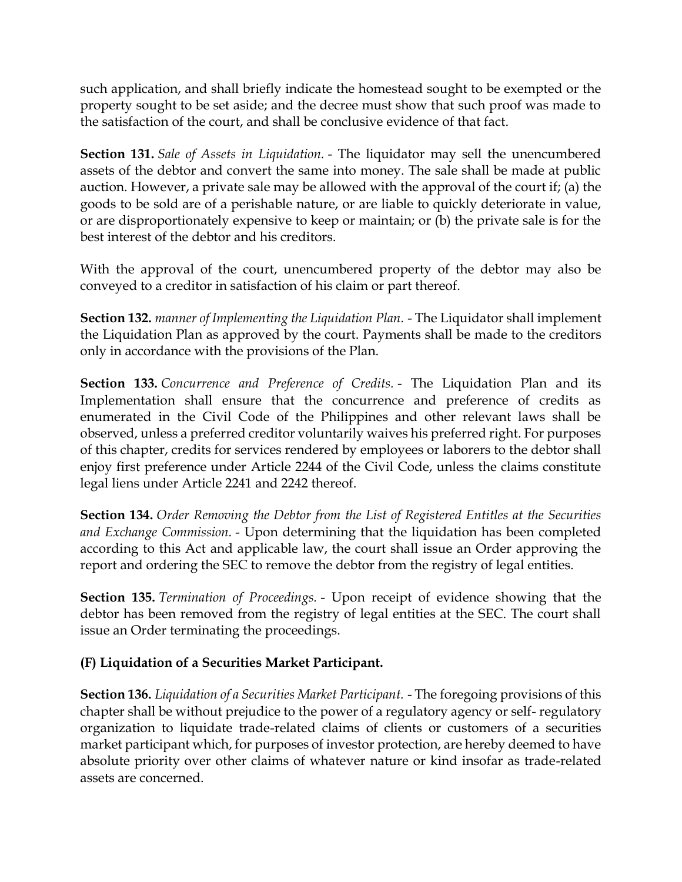such application, and shall briefly indicate the homestead sought to be exempted or the property sought to be set aside; and the decree must show that such proof was made to the satisfaction of the court, and shall be conclusive evidence of that fact.

**Section 131.** *Sale of Assets in Liquidation.* - The liquidator may sell the unencumbered assets of the debtor and convert the same into money. The sale shall be made at public auction. However, a private sale may be allowed with the approval of the court if; (a) the goods to be sold are of a perishable nature, or are liable to quickly deteriorate in value, or are disproportionately expensive to keep or maintain; or (b) the private sale is for the best interest of the debtor and his creditors.

With the approval of the court, unencumbered property of the debtor may also be conveyed to a creditor in satisfaction of his claim or part thereof.

**Section 132.** *manner of Implementing the Liquidation Plan.* - The Liquidator shall implement the Liquidation Plan as approved by the court. Payments shall be made to the creditors only in accordance with the provisions of the Plan.

**Section 133.** *Concurrence and Preference of Credits.* - The Liquidation Plan and its Implementation shall ensure that the concurrence and preference of credits as enumerated in the Civil Code of the Philippines and other relevant laws shall be observed, unless a preferred creditor voluntarily waives his preferred right. For purposes of this chapter, credits for services rendered by employees or laborers to the debtor shall enjoy first preference under Article 2244 of the Civil Code, unless the claims constitute legal liens under Article 2241 and 2242 thereof.

**Section 134.** *Order Removing the Debtor from the List of Registered Entitles at the Securities and Exchange Commission.* - Upon determining that the liquidation has been completed according to this Act and applicable law, the court shall issue an Order approving the report and ordering the SEC to remove the debtor from the registry of legal entities.

**Section 135.** *Termination of Proceedings.* - Upon receipt of evidence showing that the debtor has been removed from the registry of legal entities at the SEC. The court shall issue an Order terminating the proceedings.

## **(F) Liquidation of a Securities Market Participant.**

**Section 136.** *Liquidation of a Securities Market Participant.* - The foregoing provisions of this chapter shall be without prejudice to the power of a regulatory agency or self- regulatory organization to liquidate trade-related claims of clients or customers of a securities market participant which, for purposes of investor protection, are hereby deemed to have absolute priority over other claims of whatever nature or kind insofar as trade-related assets are concerned.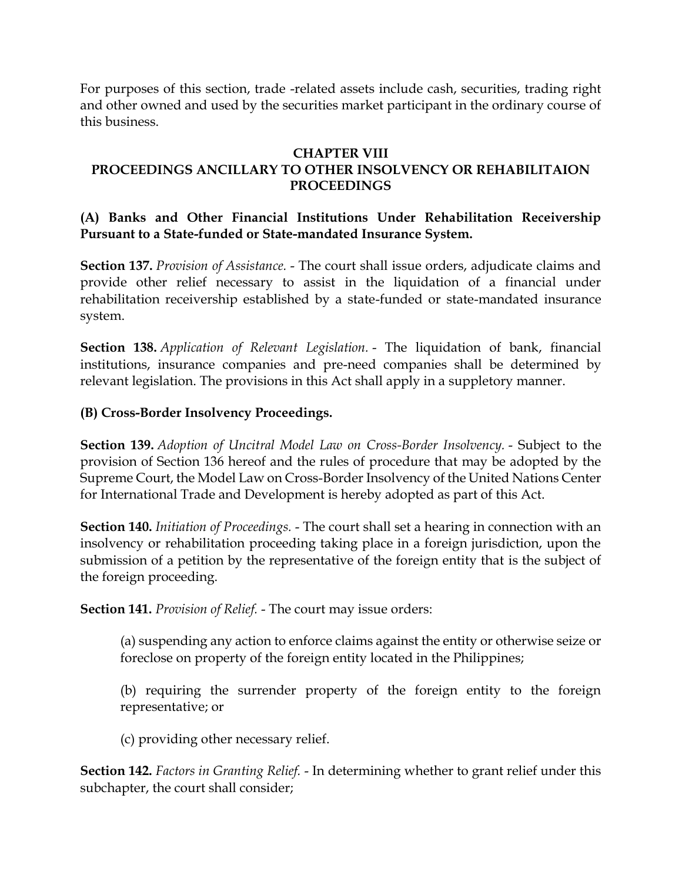For purposes of this section, trade -related assets include cash, securities, trading right and other owned and used by the securities market participant in the ordinary course of this business.

#### **CHAPTER VIII**

# **PROCEEDINGS ANCILLARY TO OTHER INSOLVENCY OR REHABILITAION PROCEEDINGS**

### **(A) Banks and Other Financial Institutions Under Rehabilitation Receivership Pursuant to a State-funded or State-mandated Insurance System.**

**Section 137.** *Provision of Assistance.* - The court shall issue orders, adjudicate claims and provide other relief necessary to assist in the liquidation of a financial under rehabilitation receivership established by a state-funded or state-mandated insurance system.

**Section 138.** *Application of Relevant Legislation.* - The liquidation of bank, financial institutions, insurance companies and pre-need companies shall be determined by relevant legislation. The provisions in this Act shall apply in a suppletory manner.

### **(B) Cross-Border Insolvency Proceedings.**

**Section 139.** *Adoption of Uncitral Model Law on Cross-Border Insolvency.* - Subject to the provision of Section 136 hereof and the rules of procedure that may be adopted by the Supreme Court, the Model Law on Cross-Border Insolvency of the United Nations Center for International Trade and Development is hereby adopted as part of this Act.

**Section 140.** *Initiation of Proceedings.* - The court shall set a hearing in connection with an insolvency or rehabilitation proceeding taking place in a foreign jurisdiction, upon the submission of a petition by the representative of the foreign entity that is the subject of the foreign proceeding.

**Section 141.** *Provision of Relief.* - The court may issue orders:

(a) suspending any action to enforce claims against the entity or otherwise seize or foreclose on property of the foreign entity located in the Philippines;

(b) requiring the surrender property of the foreign entity to the foreign representative; or

(c) providing other necessary relief.

**Section 142.** *Factors in Granting Relief.* - In determining whether to grant relief under this subchapter, the court shall consider;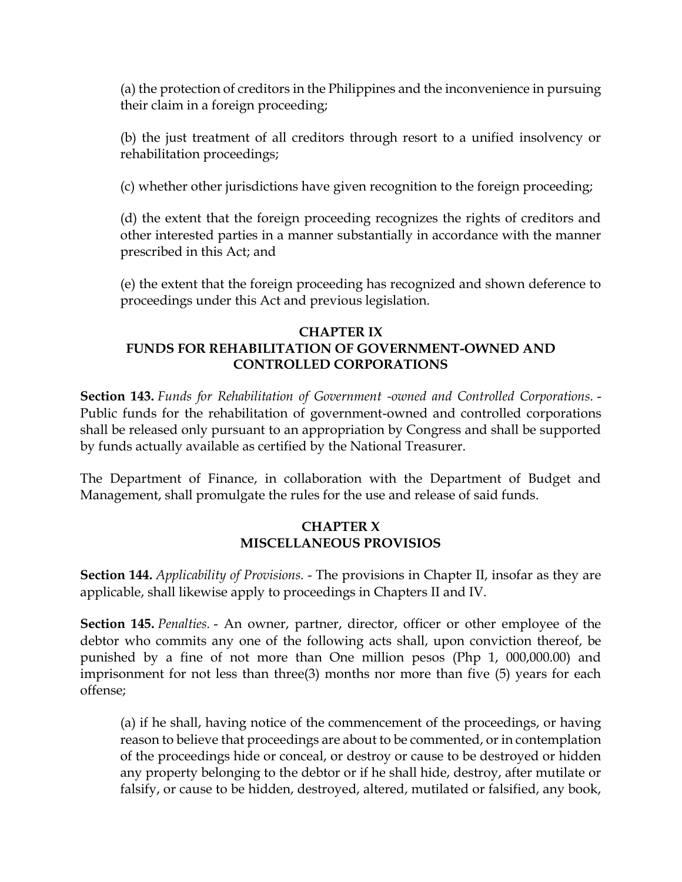(a) the protection of creditors in the Philippines and the inconvenience in pursuing their claim in a foreign proceeding;

(b) the just treatment of all creditors through resort to a unified insolvency or rehabilitation proceedings;

(c) whether other jurisdictions have given recognition to the foreign proceeding;

(d) the extent that the foreign proceeding recognizes the rights of creditors and other interested parties in a manner substantially in accordance with the manner prescribed in this Act; and

(e) the extent that the foreign proceeding has recognized and shown deference to proceedings under this Act and previous legislation.

### **CHAPTER IX FUNDS FOR REHABILITATION OF GOVERNMENT-OWNED AND CONTROLLED CORPORATIONS**

**Section 143.** *Funds for Rehabilitation of Government -owned and Controlled Corporations.* - Public funds for the rehabilitation of government-owned and controlled corporations shall be released only pursuant to an appropriation by Congress and shall be supported by funds actually available as certified by the National Treasurer.

The Department of Finance, in collaboration with the Department of Budget and Management, shall promulgate the rules for the use and release of said funds.

## **CHAPTER X MISCELLANEOUS PROVISIOS**

**Section 144.** *Applicability of Provisions.* - The provisions in Chapter II, insofar as they are applicable, shall likewise apply to proceedings in Chapters II and IV.

**Section 145.** *Penalties.* - An owner, partner, director, officer or other employee of the debtor who commits any one of the following acts shall, upon conviction thereof, be punished by a fine of not more than One million pesos (Php 1, 000,000.00) and imprisonment for not less than three(3) months nor more than five (5) years for each offense;

(a) if he shall, having notice of the commencement of the proceedings, or having reason to believe that proceedings are about to be commented, or in contemplation of the proceedings hide or conceal, or destroy or cause to be destroyed or hidden any property belonging to the debtor or if he shall hide, destroy, after mutilate or falsify, or cause to be hidden, destroyed, altered, mutilated or falsified, any book,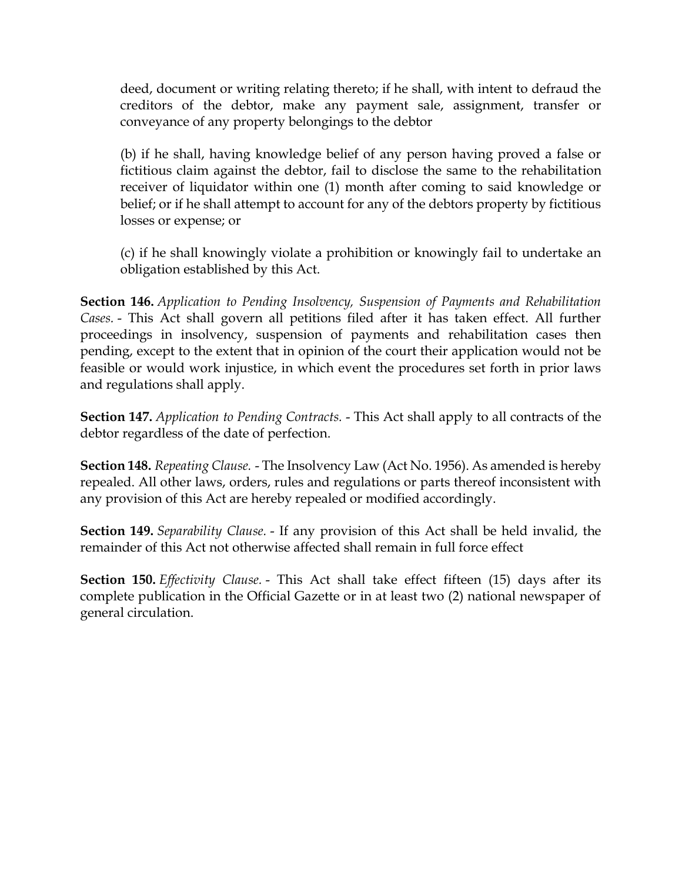deed, document or writing relating thereto; if he shall, with intent to defraud the creditors of the debtor, make any payment sale, assignment, transfer or conveyance of any property belongings to the debtor

(b) if he shall, having knowledge belief of any person having proved a false or fictitious claim against the debtor, fail to disclose the same to the rehabilitation receiver of liquidator within one (1) month after coming to said knowledge or belief; or if he shall attempt to account for any of the debtors property by fictitious losses or expense; or

(c) if he shall knowingly violate a prohibition or knowingly fail to undertake an obligation established by this Act.

**Section 146.** *Application to Pending Insolvency, Suspension of Payments and Rehabilitation Cases.* - This Act shall govern all petitions filed after it has taken effect. All further proceedings in insolvency, suspension of payments and rehabilitation cases then pending, except to the extent that in opinion of the court their application would not be feasible or would work injustice, in which event the procedures set forth in prior laws and regulations shall apply.

**Section 147.** *Application to Pending Contracts.* - This Act shall apply to all contracts of the debtor regardless of the date of perfection.

**Section 148.** *Repeating Clause.* - The Insolvency Law (Act No. 1956). As amended is hereby repealed. All other laws, orders, rules and regulations or parts thereof inconsistent with any provision of this Act are hereby repealed or modified accordingly.

**Section 149.** *Separability Clause.* - If any provision of this Act shall be held invalid, the remainder of this Act not otherwise affected shall remain in full force effect

**Section 150.** *Effectivity Clause.* - This Act shall take effect fifteen (15) days after its complete publication in the Official Gazette or in at least two (2) national newspaper of general circulation.